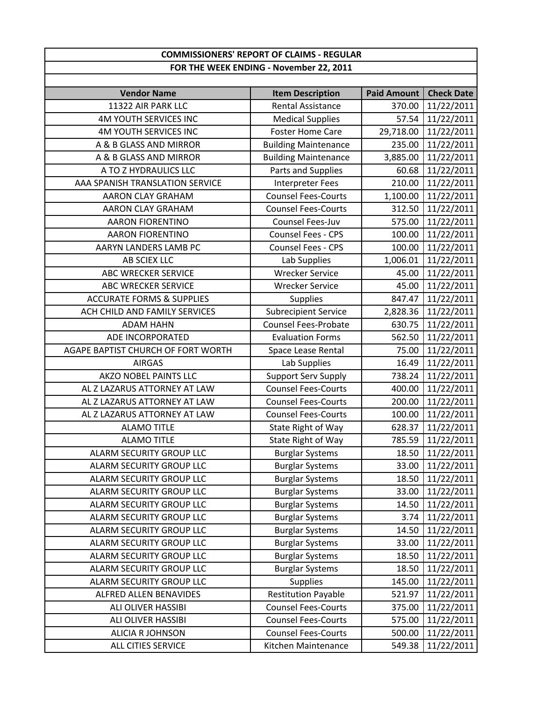## **FOR THE WEEK ENDING ‐ November 22, 2011 COMMISSIONERS' REPORT OF CLAIMS ‐ REGULAR**

| <b>Vendor Name</b>                   | <b>Item Description</b>     | <b>Paid Amount</b> | <b>Check Date</b> |
|--------------------------------------|-----------------------------|--------------------|-------------------|
| 11322 AIR PARK LLC                   | <b>Rental Assistance</b>    | 370.00             | 11/22/2011        |
| <b>4M YOUTH SERVICES INC</b>         | <b>Medical Supplies</b>     | 57.54              | 11/22/2011        |
| <b>4M YOUTH SERVICES INC</b>         | <b>Foster Home Care</b>     | 29,718.00          | 11/22/2011        |
| A & B GLASS AND MIRROR               | <b>Building Maintenance</b> | 235.00             | 11/22/2011        |
| A & B GLASS AND MIRROR               | <b>Building Maintenance</b> | 3,885.00           | 11/22/2011        |
| A TO Z HYDRAULICS LLC                | Parts and Supplies          | 60.68              | 11/22/2011        |
| AAA SPANISH TRANSLATION SERVICE      | Interpreter Fees            | 210.00             | 11/22/2011        |
| <b>AARON CLAY GRAHAM</b>             | <b>Counsel Fees-Courts</b>  | 1,100.00           | 11/22/2011        |
| AARON CLAY GRAHAM                    | <b>Counsel Fees-Courts</b>  | 312.50             | 11/22/2011        |
| <b>AARON FIORENTINO</b>              | Counsel Fees-Juv            | 575.00             | 11/22/2011        |
| <b>AARON FIORENTINO</b>              | <b>Counsel Fees - CPS</b>   | 100.00             | 11/22/2011        |
| AARYN LANDERS LAMB PC                | Counsel Fees - CPS          | 100.00             | 11/22/2011        |
| AB SCIEX LLC                         | Lab Supplies                | 1,006.01           | 11/22/2011        |
| <b>ABC WRECKER SERVICE</b>           | <b>Wrecker Service</b>      | 45.00              | 11/22/2011        |
| <b>ABC WRECKER SERVICE</b>           | <b>Wrecker Service</b>      | 45.00              | 11/22/2011        |
| <b>ACCURATE FORMS &amp; SUPPLIES</b> | <b>Supplies</b>             | 847.47             | 11/22/2011        |
| ACH CHILD AND FAMILY SERVICES        | <b>Subrecipient Service</b> | 2,828.36           | 11/22/2011        |
| <b>ADAM HAHN</b>                     | <b>Counsel Fees-Probate</b> | 630.75             | 11/22/2011        |
| ADE INCORPORATED                     | <b>Evaluation Forms</b>     | 562.50             | 11/22/2011        |
| AGAPE BAPTIST CHURCH OF FORT WORTH   | Space Lease Rental          | 75.00              | 11/22/2011        |
| <b>AIRGAS</b>                        | Lab Supplies                | 16.49              | 11/22/2011        |
| <b>AKZO NOBEL PAINTS LLC</b>         | <b>Support Serv Supply</b>  | 738.24             | 11/22/2011        |
| AL Z LAZARUS ATTORNEY AT LAW         | <b>Counsel Fees-Courts</b>  | 400.00             | 11/22/2011        |
| AL Z LAZARUS ATTORNEY AT LAW         | <b>Counsel Fees-Courts</b>  | 200.00             | 11/22/2011        |
| AL Z LAZARUS ATTORNEY AT LAW         | <b>Counsel Fees-Courts</b>  | 100.00             | 11/22/2011        |
| <b>ALAMO TITLE</b>                   | State Right of Way          | 628.37             | 11/22/2011        |
| <b>ALAMO TITLE</b>                   | State Right of Way          | 785.59             | 11/22/2011        |
| ALARM SECURITY GROUP LLC             | <b>Burglar Systems</b>      | 18.50              | 11/22/2011        |
| <b>ALARM SECURITY GROUP LLC</b>      | <b>Burglar Systems</b>      | 33.00              | 11/22/2011        |
| ALARM SECURITY GROUP LLC             | <b>Burglar Systems</b>      | 18.50              | 11/22/2011        |
| ALARM SECURITY GROUP LLC             | <b>Burglar Systems</b>      | 33.00              | 11/22/2011        |
| ALARM SECURITY GROUP LLC             | <b>Burglar Systems</b>      | 14.50              | 11/22/2011        |
| ALARM SECURITY GROUP LLC             | <b>Burglar Systems</b>      | 3.74               | 11/22/2011        |
| ALARM SECURITY GROUP LLC             | <b>Burglar Systems</b>      | 14.50              | 11/22/2011        |
| ALARM SECURITY GROUP LLC             | <b>Burglar Systems</b>      | 33.00              | 11/22/2011        |
| ALARM SECURITY GROUP LLC             | <b>Burglar Systems</b>      | 18.50              | 11/22/2011        |
| ALARM SECURITY GROUP LLC             | <b>Burglar Systems</b>      | 18.50              | 11/22/2011        |
| ALARM SECURITY GROUP LLC             | <b>Supplies</b>             | 145.00             | 11/22/2011        |
| <b>ALFRED ALLEN BENAVIDES</b>        | <b>Restitution Payable</b>  | 521.97             | 11/22/2011        |
| ALI OLIVER HASSIBI                   | <b>Counsel Fees-Courts</b>  | 375.00             | 11/22/2011        |
| ALI OLIVER HASSIBI                   | <b>Counsel Fees-Courts</b>  | 575.00             | 11/22/2011        |
| <b>ALICIA R JOHNSON</b>              | <b>Counsel Fees-Courts</b>  | 500.00             | 11/22/2011        |
| ALL CITIES SERVICE                   | Kitchen Maintenance         | 549.38             | 11/22/2011        |
|                                      |                             |                    |                   |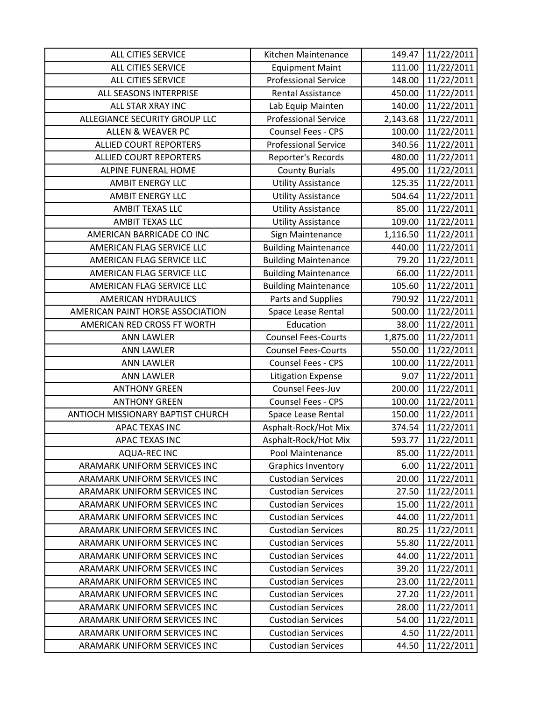| ALL CITIES SERVICE                | Kitchen Maintenance         | 149.47   | 11/22/2011 |
|-----------------------------------|-----------------------------|----------|------------|
| ALL CITIES SERVICE                | <b>Equipment Maint</b>      | 111.00   | 11/22/2011 |
| ALL CITIES SERVICE                | <b>Professional Service</b> | 148.00   | 11/22/2011 |
| ALL SEASONS INTERPRISE            | <b>Rental Assistance</b>    | 450.00   | 11/22/2011 |
| ALL STAR XRAY INC                 | Lab Equip Mainten           | 140.00   | 11/22/2011 |
| ALLEGIANCE SECURITY GROUP LLC     | <b>Professional Service</b> | 2,143.68 | 11/22/2011 |
| <b>ALLEN &amp; WEAVER PC</b>      | Counsel Fees - CPS          | 100.00   | 11/22/2011 |
| <b>ALLIED COURT REPORTERS</b>     | <b>Professional Service</b> | 340.56   | 11/22/2011 |
| <b>ALLIED COURT REPORTERS</b>     | Reporter's Records          | 480.00   | 11/22/2011 |
| <b>ALPINE FUNERAL HOME</b>        | <b>County Burials</b>       | 495.00   | 11/22/2011 |
| <b>AMBIT ENERGY LLC</b>           | <b>Utility Assistance</b>   | 125.35   | 11/22/2011 |
| <b>AMBIT ENERGY LLC</b>           | <b>Utility Assistance</b>   | 504.64   | 11/22/2011 |
| <b>AMBIT TEXAS LLC</b>            | <b>Utility Assistance</b>   | 85.00    | 11/22/2011 |
| <b>AMBIT TEXAS LLC</b>            | <b>Utility Assistance</b>   | 109.00   | 11/22/2011 |
| AMERICAN BARRICADE CO INC         | Sign Maintenance            | 1,116.50 | 11/22/2011 |
| AMERICAN FLAG SERVICE LLC         | <b>Building Maintenance</b> | 440.00   | 11/22/2011 |
| AMERICAN FLAG SERVICE LLC         | <b>Building Maintenance</b> | 79.20    | 11/22/2011 |
| AMERICAN FLAG SERVICE LLC         | <b>Building Maintenance</b> | 66.00    | 11/22/2011 |
| AMERICAN FLAG SERVICE LLC         | <b>Building Maintenance</b> | 105.60   | 11/22/2011 |
| AMERICAN HYDRAULICS               | Parts and Supplies          | 790.92   | 11/22/2011 |
| AMERICAN PAINT HORSE ASSOCIATION  | Space Lease Rental          | 500.00   | 11/22/2011 |
| AMERICAN RED CROSS FT WORTH       | Education                   | 38.00    | 11/22/2011 |
| <b>ANN LAWLER</b>                 | <b>Counsel Fees-Courts</b>  | 1,875.00 | 11/22/2011 |
| <b>ANN LAWLER</b>                 | <b>Counsel Fees-Courts</b>  | 550.00   | 11/22/2011 |
| <b>ANN LAWLER</b>                 | Counsel Fees - CPS          | 100.00   | 11/22/2011 |
| <b>ANN LAWLER</b>                 | <b>Litigation Expense</b>   | 9.07     | 11/22/2011 |
| <b>ANTHONY GREEN</b>              | Counsel Fees-Juv            | 200.00   | 11/22/2011 |
| <b>ANTHONY GREEN</b>              | Counsel Fees - CPS          | 100.00   | 11/22/2011 |
| ANTIOCH MISSIONARY BAPTIST CHURCH | Space Lease Rental          | 150.00   | 11/22/2011 |
| APAC TEXAS INC                    | Asphalt-Rock/Hot Mix        | 374.54   | 11/22/2011 |
| <b>APAC TEXAS INC</b>             | Asphalt-Rock/Hot Mix        | 593.77   | 11/22/2011 |
| <b>AQUA-REC INC</b>               | Pool Maintenance            | 85.00    | 11/22/2011 |
| ARAMARK UNIFORM SERVICES INC      | <b>Graphics Inventory</b>   | 6.00     | 11/22/2011 |
| ARAMARK UNIFORM SERVICES INC      | <b>Custodian Services</b>   | 20.00    | 11/22/2011 |
| ARAMARK UNIFORM SERVICES INC      | <b>Custodian Services</b>   | 27.50    | 11/22/2011 |
| ARAMARK UNIFORM SERVICES INC      | <b>Custodian Services</b>   | 15.00    | 11/22/2011 |
| ARAMARK UNIFORM SERVICES INC      | <b>Custodian Services</b>   | 44.00    | 11/22/2011 |
| ARAMARK UNIFORM SERVICES INC      | <b>Custodian Services</b>   | 80.25    | 11/22/2011 |
| ARAMARK UNIFORM SERVICES INC      | <b>Custodian Services</b>   | 55.80    | 11/22/2011 |
| ARAMARK UNIFORM SERVICES INC      | <b>Custodian Services</b>   | 44.00    | 11/22/2011 |
| ARAMARK UNIFORM SERVICES INC      | <b>Custodian Services</b>   | 39.20    | 11/22/2011 |
| ARAMARK UNIFORM SERVICES INC      | <b>Custodian Services</b>   | 23.00    | 11/22/2011 |
| ARAMARK UNIFORM SERVICES INC      | <b>Custodian Services</b>   | 27.20    | 11/22/2011 |
| ARAMARK UNIFORM SERVICES INC      | <b>Custodian Services</b>   | 28.00    | 11/22/2011 |
| ARAMARK UNIFORM SERVICES INC      | <b>Custodian Services</b>   | 54.00    | 11/22/2011 |
| ARAMARK UNIFORM SERVICES INC      | <b>Custodian Services</b>   | 4.50     | 11/22/2011 |
| ARAMARK UNIFORM SERVICES INC      | <b>Custodian Services</b>   | 44.50    | 11/22/2011 |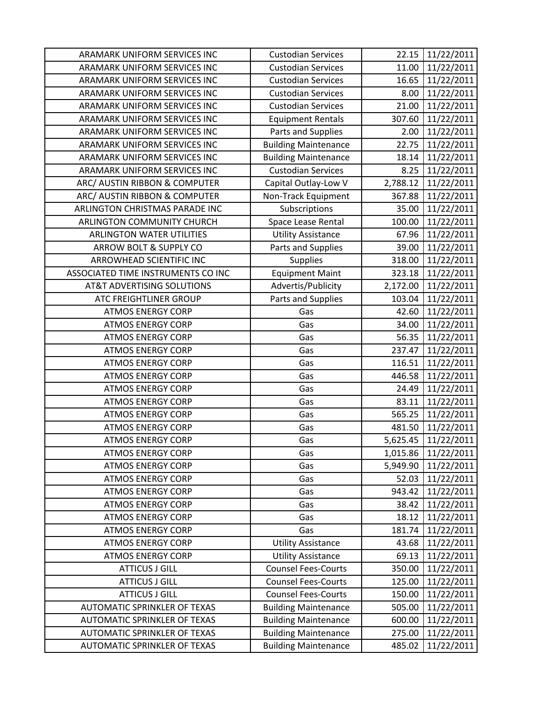| ARAMARK UNIFORM SERVICES INC          | <b>Custodian Services</b>   | 22.15    | 11/22/2011 |
|---------------------------------------|-----------------------------|----------|------------|
| ARAMARK UNIFORM SERVICES INC          | <b>Custodian Services</b>   | 11.00    | 11/22/2011 |
| ARAMARK UNIFORM SERVICES INC          | <b>Custodian Services</b>   | 16.65    | 11/22/2011 |
| ARAMARK UNIFORM SERVICES INC          | <b>Custodian Services</b>   | 8.00     | 11/22/2011 |
| ARAMARK UNIFORM SERVICES INC          | <b>Custodian Services</b>   | 21.00    | 11/22/2011 |
| ARAMARK UNIFORM SERVICES INC          | <b>Equipment Rentals</b>    | 307.60   | 11/22/2011 |
| ARAMARK UNIFORM SERVICES INC          | Parts and Supplies          | 2.00     | 11/22/2011 |
| ARAMARK UNIFORM SERVICES INC          | <b>Building Maintenance</b> | 22.75    | 11/22/2011 |
| ARAMARK UNIFORM SERVICES INC          | <b>Building Maintenance</b> | 18.14    | 11/22/2011 |
| ARAMARK UNIFORM SERVICES INC          | <b>Custodian Services</b>   | 8.25     | 11/22/2011 |
| ARC/ AUSTIN RIBBON & COMPUTER         | Capital Outlay-Low V        | 2,788.12 | 11/22/2011 |
| ARC/ AUSTIN RIBBON & COMPUTER         | Non-Track Equipment         | 367.88   | 11/22/2011 |
| ARLINGTON CHRISTMAS PARADE INC        | Subscriptions               | 35.00    | 11/22/2011 |
| ARLINGTON COMMUNITY CHURCH            | Space Lease Rental          | 100.00   | 11/22/2011 |
| <b>ARLINGTON WATER UTILITIES</b>      | <b>Utility Assistance</b>   | 67.96    | 11/22/2011 |
| ARROW BOLT & SUPPLY CO                | Parts and Supplies          | 39.00    | 11/22/2011 |
| <b>ARROWHEAD SCIENTIFIC INC</b>       | <b>Supplies</b>             | 318.00   | 11/22/2011 |
| ASSOCIATED TIME INSTRUMENTS CO INC    | <b>Equipment Maint</b>      | 323.18   | 11/22/2011 |
| <b>AT&amp;T ADVERTISING SOLUTIONS</b> | Advertis/Publicity          | 2,172.00 | 11/22/2011 |
| <b>ATC FREIGHTLINER GROUP</b>         | Parts and Supplies          | 103.04   | 11/22/2011 |
| <b>ATMOS ENERGY CORP</b>              | Gas                         | 42.60    | 11/22/2011 |
| <b>ATMOS ENERGY CORP</b>              | Gas                         | 34.00    | 11/22/2011 |
| <b>ATMOS ENERGY CORP</b>              | Gas                         | 56.35    | 11/22/2011 |
| <b>ATMOS ENERGY CORP</b>              | Gas                         | 237.47   | 11/22/2011 |
| <b>ATMOS ENERGY CORP</b>              | Gas                         | 116.51   | 11/22/2011 |
| <b>ATMOS ENERGY CORP</b>              | Gas                         | 446.58   | 11/22/2011 |
| <b>ATMOS ENERGY CORP</b>              | Gas                         | 24.49    | 11/22/2011 |
| <b>ATMOS ENERGY CORP</b>              | Gas                         | 83.11    | 11/22/2011 |
| <b>ATMOS ENERGY CORP</b>              | Gas                         | 565.25   | 11/22/2011 |
| <b>ATMOS ENERGY CORP</b>              | Gas                         | 481.50   | 11/22/2011 |
| <b>ATMOS ENERGY CORP</b>              | Gas                         | 5,625.45 | 11/22/2011 |
| <b>ATMOS ENERGY CORP</b>              | Gas                         | 1,015.86 | 11/22/2011 |
| <b>ATMOS ENERGY CORP</b>              | Gas                         | 5,949.90 | 11/22/2011 |
| <b>ATMOS ENERGY CORP</b>              | Gas                         | 52.03    | 11/22/2011 |
| <b>ATMOS ENERGY CORP</b>              | Gas                         | 943.42   | 11/22/2011 |
| <b>ATMOS ENERGY CORP</b>              | Gas                         | 38.42    | 11/22/2011 |
| <b>ATMOS ENERGY CORP</b>              | Gas                         | 18.12    | 11/22/2011 |
| <b>ATMOS ENERGY CORP</b>              | Gas                         | 181.74   | 11/22/2011 |
| <b>ATMOS ENERGY CORP</b>              | <b>Utility Assistance</b>   | 43.68    | 11/22/2011 |
| <b>ATMOS ENERGY CORP</b>              | <b>Utility Assistance</b>   | 69.13    | 11/22/2011 |
| <b>ATTICUS J GILL</b>                 | <b>Counsel Fees-Courts</b>  | 350.00   | 11/22/2011 |
| <b>ATTICUS J GILL</b>                 | <b>Counsel Fees-Courts</b>  | 125.00   | 11/22/2011 |
| <b>ATTICUS J GILL</b>                 | <b>Counsel Fees-Courts</b>  | 150.00   | 11/22/2011 |
| AUTOMATIC SPRINKLER OF TEXAS          | <b>Building Maintenance</b> | 505.00   | 11/22/2011 |
| AUTOMATIC SPRINKLER OF TEXAS          | <b>Building Maintenance</b> | 600.00   | 11/22/2011 |
| AUTOMATIC SPRINKLER OF TEXAS          | <b>Building Maintenance</b> | 275.00   | 11/22/2011 |
| AUTOMATIC SPRINKLER OF TEXAS          | <b>Building Maintenance</b> | 485.02   | 11/22/2011 |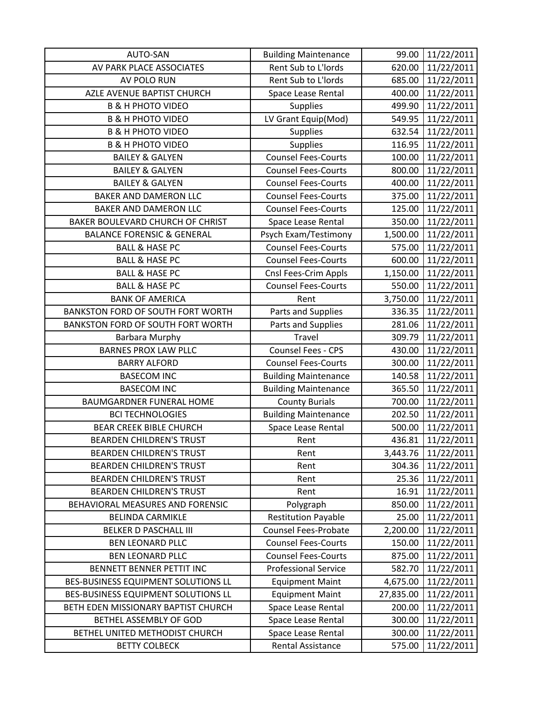| <b>AUTO-SAN</b>                       | <b>Building Maintenance</b> | 99.00     | 11/22/2011 |
|---------------------------------------|-----------------------------|-----------|------------|
| AV PARK PLACE ASSOCIATES              | Rent Sub to L'Iords         | 620.00    | 11/22/2011 |
| AV POLO RUN                           | Rent Sub to L'Iords         | 685.00    | 11/22/2011 |
| AZLE AVENUE BAPTIST CHURCH            | Space Lease Rental          | 400.00    | 11/22/2011 |
| <b>B &amp; H PHOTO VIDEO</b>          | <b>Supplies</b>             | 499.90    | 11/22/2011 |
| <b>B &amp; H PHOTO VIDEO</b>          | LV Grant Equip(Mod)         | 549.95    | 11/22/2011 |
| <b>B &amp; H PHOTO VIDEO</b>          | <b>Supplies</b>             | 632.54    | 11/22/2011 |
| <b>B &amp; H PHOTO VIDEO</b>          | Supplies                    | 116.95    | 11/22/2011 |
| <b>BAILEY &amp; GALYEN</b>            | <b>Counsel Fees-Courts</b>  | 100.00    | 11/22/2011 |
| <b>BAILEY &amp; GALYEN</b>            | <b>Counsel Fees-Courts</b>  | 800.00    | 11/22/2011 |
| <b>BAILEY &amp; GALYEN</b>            | <b>Counsel Fees-Courts</b>  | 400.00    | 11/22/2011 |
| BAKER AND DAMERON LLC                 | <b>Counsel Fees-Courts</b>  | 375.00    | 11/22/2011 |
| BAKER AND DAMERON LLC                 | <b>Counsel Fees-Courts</b>  | 125.00    | 11/22/2011 |
| BAKER BOULEVARD CHURCH OF CHRIST      | Space Lease Rental          | 350.00    | 11/22/2011 |
| <b>BALANCE FORENSIC &amp; GENERAL</b> | Psych Exam/Testimony        | 1,500.00  | 11/22/2011 |
| <b>BALL &amp; HASE PC</b>             | <b>Counsel Fees-Courts</b>  | 575.00    | 11/22/2011 |
| <b>BALL &amp; HASE PC</b>             | <b>Counsel Fees-Courts</b>  | 600.00    | 11/22/2011 |
| <b>BALL &amp; HASE PC</b>             | Cnsl Fees-Crim Appls        | 1,150.00  | 11/22/2011 |
| <b>BALL &amp; HASE PC</b>             | <b>Counsel Fees-Courts</b>  | 550.00    | 11/22/2011 |
| <b>BANK OF AMERICA</b>                | Rent                        | 3,750.00  | 11/22/2011 |
| BANKSTON FORD OF SOUTH FORT WORTH     | Parts and Supplies          | 336.35    | 11/22/2011 |
| BANKSTON FORD OF SOUTH FORT WORTH     | Parts and Supplies          | 281.06    | 11/22/2011 |
| <b>Barbara Murphy</b>                 | <b>Travel</b>               | 309.79    | 11/22/2011 |
| <b>BARNES PROX LAW PLLC</b>           | Counsel Fees - CPS          | 430.00    | 11/22/2011 |
| <b>BARRY ALFORD</b>                   | <b>Counsel Fees-Courts</b>  | 300.00    | 11/22/2011 |
| <b>BASECOM INC</b>                    | <b>Building Maintenance</b> | 140.58    | 11/22/2011 |
| <b>BASECOM INC</b>                    | <b>Building Maintenance</b> | 365.50    | 11/22/2011 |
| <b>BAUMGARDNER FUNERAL HOME</b>       | <b>County Burials</b>       | 700.00    | 11/22/2011 |
| <b>BCI TECHNOLOGIES</b>               | <b>Building Maintenance</b> | 202.50    | 11/22/2011 |
| <b>BEAR CREEK BIBLE CHURCH</b>        | Space Lease Rental          | 500.00    | 11/22/2011 |
| <b>BEARDEN CHILDREN'S TRUST</b>       | Rent                        | 436.81    | 11/22/2011 |
| <b>BEARDEN CHILDREN'S TRUST</b>       | Rent                        | 3,443.76  | 11/22/2011 |
| <b>BEARDEN CHILDREN'S TRUST</b>       | Rent                        | 304.36    | 11/22/2011 |
| <b>BEARDEN CHILDREN'S TRUST</b>       | Rent                        | 25.36     | 11/22/2011 |
| <b>BEARDEN CHILDREN'S TRUST</b>       | Rent                        | 16.91     | 11/22/2011 |
| BEHAVIORAL MEASURES AND FORENSIC      | Polygraph                   | 850.00    | 11/22/2011 |
| <b>BELINDA CARMIKLE</b>               | <b>Restitution Payable</b>  | 25.00     | 11/22/2011 |
| BELKER D PASCHALL III                 | <b>Counsel Fees-Probate</b> | 2,200.00  | 11/22/2011 |
| <b>BEN LEONARD PLLC</b>               | <b>Counsel Fees-Courts</b>  | 150.00    | 11/22/2011 |
| <b>BEN LEONARD PLLC</b>               | <b>Counsel Fees-Courts</b>  | 875.00    | 11/22/2011 |
| BENNETT BENNER PETTIT INC             | <b>Professional Service</b> | 582.70    | 11/22/2011 |
| BES-BUSINESS EQUIPMENT SOLUTIONS LL   | <b>Equipment Maint</b>      | 4,675.00  | 11/22/2011 |
| BES-BUSINESS EQUIPMENT SOLUTIONS LL   | <b>Equipment Maint</b>      | 27,835.00 | 11/22/2011 |
| BETH EDEN MISSIONARY BAPTIST CHURCH   | Space Lease Rental          | 200.00    | 11/22/2011 |
| BETHEL ASSEMBLY OF GOD                | Space Lease Rental          | 300.00    | 11/22/2011 |
| BETHEL UNITED METHODIST CHURCH        | Space Lease Rental          | 300.00    | 11/22/2011 |
| <b>BETTY COLBECK</b>                  | <b>Rental Assistance</b>    | 575.00    | 11/22/2011 |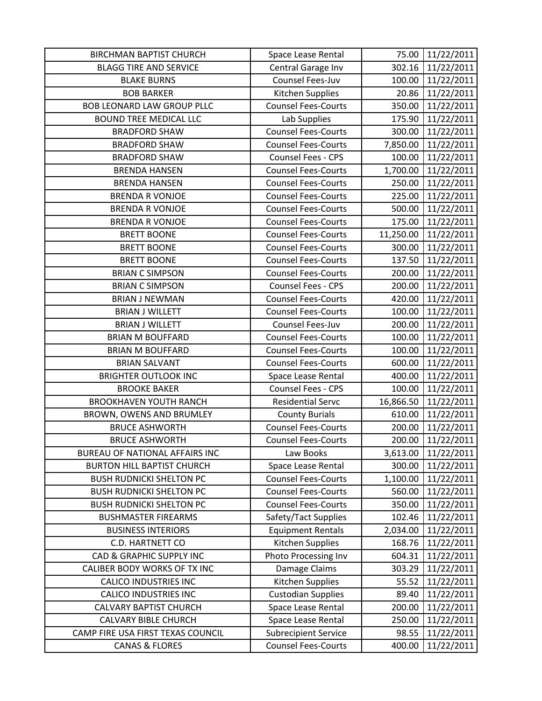| <b>BIRCHMAN BAPTIST CHURCH</b>      | Space Lease Rental          | 75.00     | 11/22/2011 |
|-------------------------------------|-----------------------------|-----------|------------|
| <b>BLAGG TIRE AND SERVICE</b>       | Central Garage Inv          | 302.16    | 11/22/2011 |
| <b>BLAKE BURNS</b>                  | Counsel Fees-Juv            | 100.00    | 11/22/2011 |
| <b>BOB BARKER</b>                   | Kitchen Supplies            | 20.86     | 11/22/2011 |
| <b>BOB LEONARD LAW GROUP PLLC</b>   | <b>Counsel Fees-Courts</b>  | 350.00    | 11/22/2011 |
| <b>BOUND TREE MEDICAL LLC</b>       | Lab Supplies                | 175.90    | 11/22/2011 |
| <b>BRADFORD SHAW</b>                | <b>Counsel Fees-Courts</b>  | 300.00    | 11/22/2011 |
| <b>BRADFORD SHAW</b>                | <b>Counsel Fees-Courts</b>  | 7,850.00  | 11/22/2011 |
| <b>BRADFORD SHAW</b>                | Counsel Fees - CPS          | 100.00    | 11/22/2011 |
| <b>BRENDA HANSEN</b>                | <b>Counsel Fees-Courts</b>  | 1,700.00  | 11/22/2011 |
| <b>BRENDA HANSEN</b>                | <b>Counsel Fees-Courts</b>  | 250.00    | 11/22/2011 |
| <b>BRENDA R VONJOE</b>              | <b>Counsel Fees-Courts</b>  | 225.00    | 11/22/2011 |
| <b>BRENDA R VONJOE</b>              | <b>Counsel Fees-Courts</b>  | 500.00    | 11/22/2011 |
| <b>BRENDA R VONJOE</b>              | <b>Counsel Fees-Courts</b>  | 175.00    | 11/22/2011 |
| <b>BRETT BOONE</b>                  | <b>Counsel Fees-Courts</b>  | 11,250.00 | 11/22/2011 |
| <b>BRETT BOONE</b>                  | <b>Counsel Fees-Courts</b>  | 300.00    | 11/22/2011 |
| <b>BRETT BOONE</b>                  | <b>Counsel Fees-Courts</b>  | 137.50    | 11/22/2011 |
| <b>BRIAN C SIMPSON</b>              | <b>Counsel Fees-Courts</b>  | 200.00    | 11/22/2011 |
| <b>BRIAN C SIMPSON</b>              | Counsel Fees - CPS          | 200.00    | 11/22/2011 |
| <b>BRIAN J NEWMAN</b>               | <b>Counsel Fees-Courts</b>  | 420.00    | 11/22/2011 |
| <b>BRIAN J WILLETT</b>              | <b>Counsel Fees-Courts</b>  | 100.00    | 11/22/2011 |
| <b>BRIAN J WILLETT</b>              | Counsel Fees-Juv            | 200.00    | 11/22/2011 |
| <b>BRIAN M BOUFFARD</b>             | <b>Counsel Fees-Courts</b>  | 100.00    | 11/22/2011 |
| <b>BRIAN M BOUFFARD</b>             | <b>Counsel Fees-Courts</b>  | 100.00    | 11/22/2011 |
| <b>BRIAN SALVANT</b>                | <b>Counsel Fees-Courts</b>  | 600.00    | 11/22/2011 |
| <b>BRIGHTER OUTLOOK INC</b>         | Space Lease Rental          | 400.00    | 11/22/2011 |
| <b>BROOKE BAKER</b>                 | Counsel Fees - CPS          | 100.00    | 11/22/2011 |
| <b>BROOKHAVEN YOUTH RANCH</b>       | <b>Residential Servc</b>    | 16,866.50 | 11/22/2011 |
| BROWN, OWENS AND BRUMLEY            | <b>County Burials</b>       | 610.00    | 11/22/2011 |
| <b>BRUCE ASHWORTH</b>               | <b>Counsel Fees-Courts</b>  | 200.00    | 11/22/2011 |
| <b>BRUCE ASHWORTH</b>               | <b>Counsel Fees-Courts</b>  | 200.00    | 11/22/2011 |
| BUREAU OF NATIONAL AFFAIRS INC      | Law Books                   | 3,613.00  | 11/22/2011 |
| <b>BURTON HILL BAPTIST CHURCH</b>   | Space Lease Rental          | 300.00    | 11/22/2011 |
| <b>BUSH RUDNICKI SHELTON PC</b>     | <b>Counsel Fees-Courts</b>  | 1,100.00  | 11/22/2011 |
| <b>BUSH RUDNICKI SHELTON PC</b>     | <b>Counsel Fees-Courts</b>  | 560.00    | 11/22/2011 |
| <b>BUSH RUDNICKI SHELTON PC</b>     | <b>Counsel Fees-Courts</b>  | 350.00    | 11/22/2011 |
| <b>BUSHMASTER FIREARMS</b>          | Safety/Tact Supplies        | 102.46    | 11/22/2011 |
| <b>BUSINESS INTERIORS</b>           | <b>Equipment Rentals</b>    | 2,034.00  | 11/22/2011 |
| <b>C.D. HARTNETT CO</b>             | Kitchen Supplies            | 168.76    | 11/22/2011 |
| <b>CAD &amp; GRAPHIC SUPPLY INC</b> | Photo Processing Inv        | 604.31    | 11/22/2011 |
| CALIBER BODY WORKS OF TX INC        | Damage Claims               | 303.29    | 11/22/2011 |
| <b>CALICO INDUSTRIES INC</b>        | Kitchen Supplies            | 55.52     | 11/22/2011 |
| <b>CALICO INDUSTRIES INC</b>        | <b>Custodian Supplies</b>   | 89.40     | 11/22/2011 |
| <b>CALVARY BAPTIST CHURCH</b>       | Space Lease Rental          | 200.00    | 11/22/2011 |
| <b>CALVARY BIBLE CHURCH</b>         | Space Lease Rental          | 250.00    | 11/22/2011 |
| CAMP FIRE USA FIRST TEXAS COUNCIL   | <b>Subrecipient Service</b> | 98.55     | 11/22/2011 |
| <b>CANAS &amp; FLORES</b>           | <b>Counsel Fees-Courts</b>  | 400.00    | 11/22/2011 |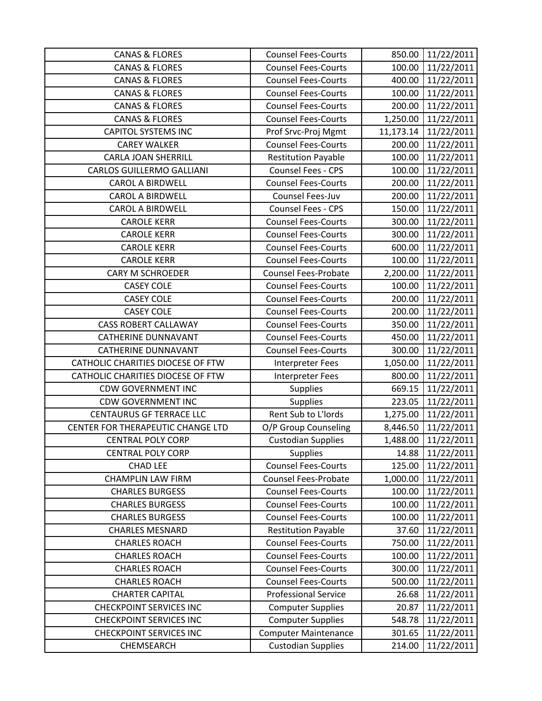| <b>CANAS &amp; FLORES</b>         | <b>Counsel Fees-Courts</b>  | 850.00    | 11/22/2011 |
|-----------------------------------|-----------------------------|-----------|------------|
| <b>CANAS &amp; FLORES</b>         | <b>Counsel Fees-Courts</b>  | 100.00    | 11/22/2011 |
| <b>CANAS &amp; FLORES</b>         | <b>Counsel Fees-Courts</b>  | 400.00    | 11/22/2011 |
| <b>CANAS &amp; FLORES</b>         | <b>Counsel Fees-Courts</b>  | 100.00    | 11/22/2011 |
| <b>CANAS &amp; FLORES</b>         | <b>Counsel Fees-Courts</b>  | 200.00    | 11/22/2011 |
| <b>CANAS &amp; FLORES</b>         | <b>Counsel Fees-Courts</b>  | 1,250.00  | 11/22/2011 |
| <b>CAPITOL SYSTEMS INC</b>        | Prof Srvc-Proj Mgmt         | 11,173.14 | 11/22/2011 |
| <b>CAREY WALKER</b>               | <b>Counsel Fees-Courts</b>  | 200.00    | 11/22/2011 |
| <b>CARLA JOAN SHERRILL</b>        | <b>Restitution Payable</b>  | 100.00    | 11/22/2011 |
| <b>CARLOS GUILLERMO GALLIANI</b>  | <b>Counsel Fees - CPS</b>   | 100.00    | 11/22/2011 |
| <b>CAROL A BIRDWELL</b>           | <b>Counsel Fees-Courts</b>  | 200.00    | 11/22/2011 |
| <b>CAROL A BIRDWELL</b>           | Counsel Fees-Juv            | 200.00    | 11/22/2011 |
| <b>CAROL A BIRDWELL</b>           | <b>Counsel Fees - CPS</b>   | 150.00    | 11/22/2011 |
| <b>CAROLE KERR</b>                | <b>Counsel Fees-Courts</b>  | 300.00    | 11/22/2011 |
| <b>CAROLE KERR</b>                | <b>Counsel Fees-Courts</b>  | 300.00    | 11/22/2011 |
| <b>CAROLE KERR</b>                | <b>Counsel Fees-Courts</b>  | 600.00    | 11/22/2011 |
| <b>CAROLE KERR</b>                | <b>Counsel Fees-Courts</b>  | 100.00    | 11/22/2011 |
| <b>CARY M SCHROEDER</b>           | <b>Counsel Fees-Probate</b> | 2,200.00  | 11/22/2011 |
| <b>CASEY COLE</b>                 | <b>Counsel Fees-Courts</b>  | 100.00    | 11/22/2011 |
| <b>CASEY COLE</b>                 | <b>Counsel Fees-Courts</b>  | 200.00    | 11/22/2011 |
| <b>CASEY COLE</b>                 | <b>Counsel Fees-Courts</b>  | 200.00    | 11/22/2011 |
| <b>CASS ROBERT CALLAWAY</b>       | <b>Counsel Fees-Courts</b>  | 350.00    | 11/22/2011 |
| <b>CATHERINE DUNNAVANT</b>        | <b>Counsel Fees-Courts</b>  | 450.00    | 11/22/2011 |
| <b>CATHERINE DUNNAVANT</b>        | <b>Counsel Fees-Courts</b>  | 300.00    | 11/22/2011 |
| CATHOLIC CHARITIES DIOCESE OF FTW | Interpreter Fees            | 1,050.00  | 11/22/2011 |
| CATHOLIC CHARITIES DIOCESE OF FTW | Interpreter Fees            | 800.00    | 11/22/2011 |
| <b>CDW GOVERNMENT INC</b>         | <b>Supplies</b>             | 669.15    | 11/22/2011 |
| <b>CDW GOVERNMENT INC</b>         | <b>Supplies</b>             | 223.05    | 11/22/2011 |
| CENTAURUS GF TERRACE LLC          | Rent Sub to L'Iords         | 1,275.00  | 11/22/2011 |
| CENTER FOR THERAPEUTIC CHANGE LTD | O/P Group Counseling        | 8,446.50  | 11/22/2011 |
| <b>CENTRAL POLY CORP</b>          | <b>Custodian Supplies</b>   | 1,488.00  | 11/22/2011 |
| <b>CENTRAL POLY CORP</b>          | <b>Supplies</b>             | 14.88     | 11/22/2011 |
| <b>CHAD LEE</b>                   | <b>Counsel Fees-Courts</b>  | 125.00    | 11/22/2011 |
| <b>CHAMPLIN LAW FIRM</b>          | <b>Counsel Fees-Probate</b> | 1,000.00  | 11/22/2011 |
| <b>CHARLES BURGESS</b>            | <b>Counsel Fees-Courts</b>  | 100.00    | 11/22/2011 |
| <b>CHARLES BURGESS</b>            | <b>Counsel Fees-Courts</b>  | 100.00    | 11/22/2011 |
| <b>CHARLES BURGESS</b>            | <b>Counsel Fees-Courts</b>  | 100.00    | 11/22/2011 |
| <b>CHARLES MESNARD</b>            | <b>Restitution Payable</b>  | 37.60     | 11/22/2011 |
| <b>CHARLES ROACH</b>              | <b>Counsel Fees-Courts</b>  | 750.00    | 11/22/2011 |
| <b>CHARLES ROACH</b>              | <b>Counsel Fees-Courts</b>  | 100.00    | 11/22/2011 |
| <b>CHARLES ROACH</b>              | <b>Counsel Fees-Courts</b>  | 300.00    | 11/22/2011 |
| <b>CHARLES ROACH</b>              | <b>Counsel Fees-Courts</b>  | 500.00    | 11/22/2011 |
| <b>CHARTER CAPITAL</b>            | <b>Professional Service</b> | 26.68     | 11/22/2011 |
| <b>CHECKPOINT SERVICES INC</b>    | <b>Computer Supplies</b>    | 20.87     | 11/22/2011 |
| <b>CHECKPOINT SERVICES INC</b>    | <b>Computer Supplies</b>    | 548.78    | 11/22/2011 |
| <b>CHECKPOINT SERVICES INC</b>    | <b>Computer Maintenance</b> | 301.65    | 11/22/2011 |
| CHEMSEARCH                        | <b>Custodian Supplies</b>   | 214.00    | 11/22/2011 |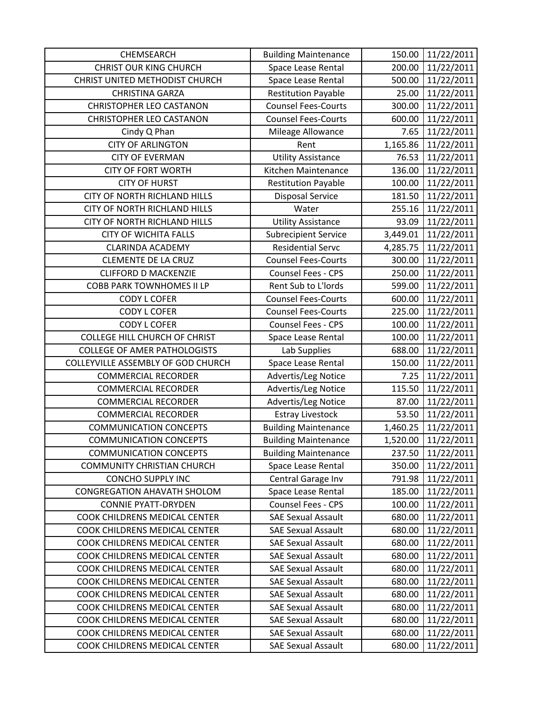| CHEMSEARCH                          | <b>Building Maintenance</b> | 150.00   | 11/22/2011 |
|-------------------------------------|-----------------------------|----------|------------|
| <b>CHRIST OUR KING CHURCH</b>       | Space Lease Rental          | 200.00   | 11/22/2011 |
| CHRIST UNITED METHODIST CHURCH      | Space Lease Rental          | 500.00   | 11/22/2011 |
| <b>CHRISTINA GARZA</b>              | <b>Restitution Payable</b>  | 25.00    | 11/22/2011 |
| <b>CHRISTOPHER LEO CASTANON</b>     | <b>Counsel Fees-Courts</b>  | 300.00   | 11/22/2011 |
| <b>CHRISTOPHER LEO CASTANON</b>     | <b>Counsel Fees-Courts</b>  | 600.00   | 11/22/2011 |
| Cindy Q Phan                        | Mileage Allowance           | 7.65     | 11/22/2011 |
| <b>CITY OF ARLINGTON</b>            | Rent                        | 1,165.86 | 11/22/2011 |
| <b>CITY OF EVERMAN</b>              | <b>Utility Assistance</b>   | 76.53    | 11/22/2011 |
| <b>CITY OF FORT WORTH</b>           | Kitchen Maintenance         | 136.00   | 11/22/2011 |
| <b>CITY OF HURST</b>                | <b>Restitution Payable</b>  | 100.00   | 11/22/2011 |
| <b>CITY OF NORTH RICHLAND HILLS</b> | <b>Disposal Service</b>     | 181.50   | 11/22/2011 |
| CITY OF NORTH RICHLAND HILLS        | Water                       | 255.16   | 11/22/2011 |
| CITY OF NORTH RICHLAND HILLS        | <b>Utility Assistance</b>   | 93.09    | 11/22/2011 |
| <b>CITY OF WICHITA FALLS</b>        | <b>Subrecipient Service</b> | 3,449.01 | 11/22/2011 |
| <b>CLARINDA ACADEMY</b>             | <b>Residential Servc</b>    | 4,285.75 | 11/22/2011 |
| <b>CLEMENTE DE LA CRUZ</b>          | <b>Counsel Fees-Courts</b>  | 300.00   | 11/22/2011 |
| <b>CLIFFORD D MACKENZIE</b>         | Counsel Fees - CPS          | 250.00   | 11/22/2011 |
| <b>COBB PARK TOWNHOMES II LP</b>    | Rent Sub to L'Iords         | 599.00   | 11/22/2011 |
| <b>CODY L COFER</b>                 | <b>Counsel Fees-Courts</b>  | 600.00   | 11/22/2011 |
| <b>CODY L COFER</b>                 | <b>Counsel Fees-Courts</b>  | 225.00   | 11/22/2011 |
| <b>CODY L COFER</b>                 | <b>Counsel Fees - CPS</b>   | 100.00   | 11/22/2011 |
| COLLEGE HILL CHURCH OF CHRIST       | Space Lease Rental          | 100.00   | 11/22/2011 |
| <b>COLLEGE OF AMER PATHOLOGISTS</b> | Lab Supplies                | 688.00   | 11/22/2011 |
| COLLEYVILLE ASSEMBLY OF GOD CHURCH  | Space Lease Rental          | 150.00   | 11/22/2011 |
| <b>COMMERCIAL RECORDER</b>          | Advertis/Leg Notice         | 7.25     | 11/22/2011 |
| <b>COMMERCIAL RECORDER</b>          | Advertis/Leg Notice         | 115.50   | 11/22/2011 |
| <b>COMMERCIAL RECORDER</b>          | Advertis/Leg Notice         | 87.00    | 11/22/2011 |
| <b>COMMERCIAL RECORDER</b>          | <b>Estray Livestock</b>     | 53.50    | 11/22/2011 |
| <b>COMMUNICATION CONCEPTS</b>       | <b>Building Maintenance</b> | 1,460.25 | 11/22/2011 |
| <b>COMMUNICATION CONCEPTS</b>       | <b>Building Maintenance</b> | 1,520.00 | 11/22/2011 |
| <b>COMMUNICATION CONCEPTS</b>       | <b>Building Maintenance</b> | 237.50   | 11/22/2011 |
| <b>COMMUNITY CHRISTIAN CHURCH</b>   | Space Lease Rental          | 350.00   | 11/22/2011 |
| <b>CONCHO SUPPLY INC</b>            | Central Garage Inv          | 791.98   | 11/22/2011 |
| <b>CONGREGATION AHAVATH SHOLOM</b>  | Space Lease Rental          | 185.00   | 11/22/2011 |
| <b>CONNIE PYATT-DRYDEN</b>          | <b>Counsel Fees - CPS</b>   | 100.00   | 11/22/2011 |
| COOK CHILDRENS MEDICAL CENTER       | <b>SAE Sexual Assault</b>   | 680.00   | 11/22/2011 |
| COOK CHILDRENS MEDICAL CENTER       | <b>SAE Sexual Assault</b>   | 680.00   | 11/22/2011 |
| COOK CHILDRENS MEDICAL CENTER       | <b>SAE Sexual Assault</b>   | 680.00   | 11/22/2011 |
| COOK CHILDRENS MEDICAL CENTER       | <b>SAE Sexual Assault</b>   | 680.00   | 11/22/2011 |
| COOK CHILDRENS MEDICAL CENTER       | <b>SAE Sexual Assault</b>   | 680.00   | 11/22/2011 |
| COOK CHILDRENS MEDICAL CENTER       | <b>SAE Sexual Assault</b>   | 680.00   | 11/22/2011 |
| COOK CHILDRENS MEDICAL CENTER       | <b>SAE Sexual Assault</b>   | 680.00   | 11/22/2011 |
| COOK CHILDRENS MEDICAL CENTER       | <b>SAE Sexual Assault</b>   | 680.00   | 11/22/2011 |
| COOK CHILDRENS MEDICAL CENTER       | <b>SAE Sexual Assault</b>   | 680.00   | 11/22/2011 |
| COOK CHILDRENS MEDICAL CENTER       | <b>SAE Sexual Assault</b>   | 680.00   | 11/22/2011 |
| COOK CHILDRENS MEDICAL CENTER       | <b>SAE Sexual Assault</b>   | 680.00   | 11/22/2011 |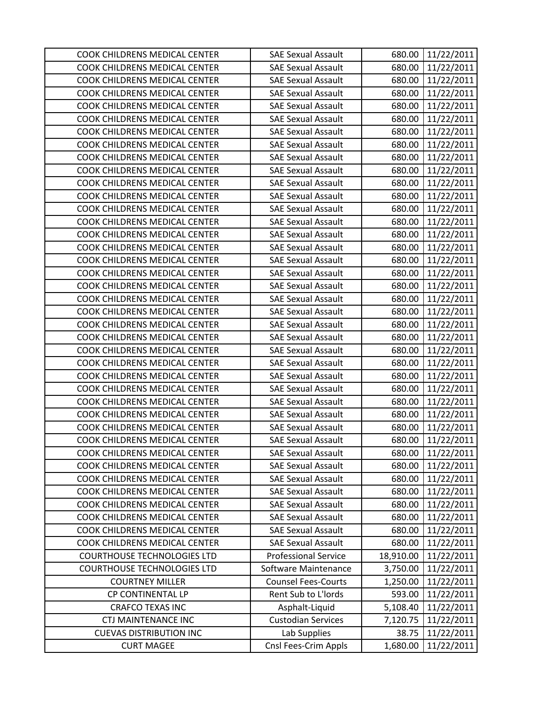| COOK CHILDRENS MEDICAL CENTER      | <b>SAE Sexual Assault</b>   | 680.00    | 11/22/2011 |
|------------------------------------|-----------------------------|-----------|------------|
| COOK CHILDRENS MEDICAL CENTER      | <b>SAE Sexual Assault</b>   | 680.00    | 11/22/2011 |
| COOK CHILDRENS MEDICAL CENTER      | <b>SAE Sexual Assault</b>   | 680.00    | 11/22/2011 |
| COOK CHILDRENS MEDICAL CENTER      | <b>SAE Sexual Assault</b>   | 680.00    | 11/22/2011 |
| COOK CHILDRENS MEDICAL CENTER      | <b>SAE Sexual Assault</b>   | 680.00    | 11/22/2011 |
| COOK CHILDRENS MEDICAL CENTER      | <b>SAE Sexual Assault</b>   | 680.00    | 11/22/2011 |
| COOK CHILDRENS MEDICAL CENTER      | <b>SAE Sexual Assault</b>   | 680.00    | 11/22/2011 |
| COOK CHILDRENS MEDICAL CENTER      | <b>SAE Sexual Assault</b>   | 680.00    | 11/22/2011 |
| COOK CHILDRENS MEDICAL CENTER      | <b>SAE Sexual Assault</b>   | 680.00    | 11/22/2011 |
| COOK CHILDRENS MEDICAL CENTER      | <b>SAE Sexual Assault</b>   | 680.00    | 11/22/2011 |
| COOK CHILDRENS MEDICAL CENTER      | <b>SAE Sexual Assault</b>   | 680.00    | 11/22/2011 |
| COOK CHILDRENS MEDICAL CENTER      | <b>SAE Sexual Assault</b>   | 680.00    | 11/22/2011 |
| COOK CHILDRENS MEDICAL CENTER      | <b>SAE Sexual Assault</b>   | 680.00    | 11/22/2011 |
| COOK CHILDRENS MEDICAL CENTER      | <b>SAE Sexual Assault</b>   | 680.00    | 11/22/2011 |
| COOK CHILDRENS MEDICAL CENTER      | <b>SAE Sexual Assault</b>   | 680.00    | 11/22/2011 |
| COOK CHILDRENS MEDICAL CENTER      | <b>SAE Sexual Assault</b>   | 680.00    | 11/22/2011 |
| COOK CHILDRENS MEDICAL CENTER      | <b>SAE Sexual Assault</b>   | 680.00    | 11/22/2011 |
| COOK CHILDRENS MEDICAL CENTER      | <b>SAE Sexual Assault</b>   | 680.00    | 11/22/2011 |
| COOK CHILDRENS MEDICAL CENTER      | <b>SAE Sexual Assault</b>   | 680.00    | 11/22/2011 |
| COOK CHILDRENS MEDICAL CENTER      | <b>SAE Sexual Assault</b>   | 680.00    | 11/22/2011 |
| COOK CHILDRENS MEDICAL CENTER      | <b>SAE Sexual Assault</b>   | 680.00    | 11/22/2011 |
| COOK CHILDRENS MEDICAL CENTER      | <b>SAE Sexual Assault</b>   | 680.00    | 11/22/2011 |
| COOK CHILDRENS MEDICAL CENTER      | <b>SAE Sexual Assault</b>   | 680.00    | 11/22/2011 |
| COOK CHILDRENS MEDICAL CENTER      | <b>SAE Sexual Assault</b>   | 680.00    | 11/22/2011 |
| COOK CHILDRENS MEDICAL CENTER      | <b>SAE Sexual Assault</b>   | 680.00    | 11/22/2011 |
| COOK CHILDRENS MEDICAL CENTER      | <b>SAE Sexual Assault</b>   | 680.00    | 11/22/2011 |
| COOK CHILDRENS MEDICAL CENTER      | <b>SAE Sexual Assault</b>   | 680.00    | 11/22/2011 |
| COOK CHILDRENS MEDICAL CENTER      | <b>SAE Sexual Assault</b>   | 680.00    | 11/22/2011 |
| COOK CHILDRENS MEDICAL CENTER      | <b>SAE Sexual Assault</b>   | 680.00    | 11/22/2011 |
| COOK CHILDRENS MEDICAL CENTER      | <b>SAE Sexual Assault</b>   | 680.00    | 11/22/2011 |
| COOK CHILDRENS MEDICAL CENTER      | <b>SAE Sexual Assault</b>   | 680.00    | 11/22/2011 |
| COOK CHILDRENS MEDICAL CENTER      | <b>SAE Sexual Assault</b>   | 680.00    | 11/22/2011 |
| COOK CHILDRENS MEDICAL CENTER      | <b>SAE Sexual Assault</b>   | 680.00    | 11/22/2011 |
| COOK CHILDRENS MEDICAL CENTER      | <b>SAE Sexual Assault</b>   | 680.00    | 11/22/2011 |
| COOK CHILDRENS MEDICAL CENTER      | <b>SAE Sexual Assault</b>   | 680.00    | 11/22/2011 |
| COOK CHILDRENS MEDICAL CENTER      | <b>SAE Sexual Assault</b>   | 680.00    | 11/22/2011 |
| COOK CHILDRENS MEDICAL CENTER      | <b>SAE Sexual Assault</b>   | 680.00    | 11/22/2011 |
| COOK CHILDRENS MEDICAL CENTER      | <b>SAE Sexual Assault</b>   | 680.00    | 11/22/2011 |
| COOK CHILDRENS MEDICAL CENTER      | <b>SAE Sexual Assault</b>   | 680.00    | 11/22/2011 |
| <b>COURTHOUSE TECHNOLOGIES LTD</b> | <b>Professional Service</b> | 18,910.00 | 11/22/2011 |
| <b>COURTHOUSE TECHNOLOGIES LTD</b> | Software Maintenance        | 3,750.00  | 11/22/2011 |
| <b>COURTNEY MILLER</b>             | <b>Counsel Fees-Courts</b>  | 1,250.00  | 11/22/2011 |
| CP CONTINENTAL LP                  | Rent Sub to L'Iords         | 593.00    | 11/22/2011 |
| <b>CRAFCO TEXAS INC</b>            | Asphalt-Liquid              | 5,108.40  | 11/22/2011 |
| CTJ MAINTENANCE INC                | <b>Custodian Services</b>   | 7,120.75  | 11/22/2011 |
| <b>CUEVAS DISTRIBUTION INC</b>     | Lab Supplies                | 38.75     | 11/22/2011 |
| <b>CURT MAGEE</b>                  | Cnsl Fees-Crim Appls        | 1,680.00  | 11/22/2011 |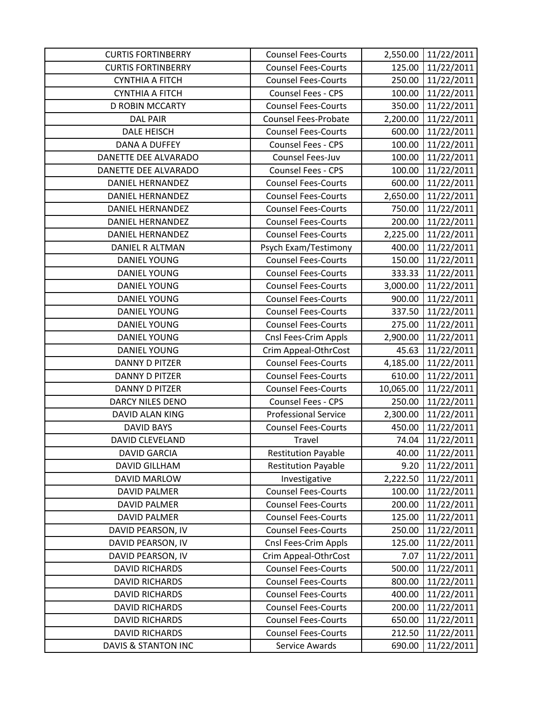| <b>CURTIS FORTINBERRY</b> | <b>Counsel Fees-Courts</b>  | 2,550.00  | 11/22/2011 |
|---------------------------|-----------------------------|-----------|------------|
| <b>CURTIS FORTINBERRY</b> | <b>Counsel Fees-Courts</b>  | 125.00    | 11/22/2011 |
| <b>CYNTHIA A FITCH</b>    | <b>Counsel Fees-Courts</b>  | 250.00    | 11/22/2011 |
| <b>CYNTHIA A FITCH</b>    | Counsel Fees - CPS          | 100.00    | 11/22/2011 |
| <b>D ROBIN MCCARTY</b>    | <b>Counsel Fees-Courts</b>  | 350.00    | 11/22/2011 |
| <b>DAL PAIR</b>           | Counsel Fees-Probate        | 2,200.00  | 11/22/2011 |
| <b>DALE HEISCH</b>        | <b>Counsel Fees-Courts</b>  | 600.00    | 11/22/2011 |
| DANA A DUFFEY             | Counsel Fees - CPS          | 100.00    | 11/22/2011 |
| DANETTE DEE ALVARADO      | Counsel Fees-Juv            | 100.00    | 11/22/2011 |
| DANETTE DEE ALVARADO      | <b>Counsel Fees - CPS</b>   | 100.00    | 11/22/2011 |
| <b>DANIEL HERNANDEZ</b>   | <b>Counsel Fees-Courts</b>  | 600.00    | 11/22/2011 |
| <b>DANIEL HERNANDEZ</b>   | <b>Counsel Fees-Courts</b>  | 2,650.00  | 11/22/2011 |
| <b>DANIEL HERNANDEZ</b>   | <b>Counsel Fees-Courts</b>  | 750.00    | 11/22/2011 |
| <b>DANIEL HERNANDEZ</b>   | <b>Counsel Fees-Courts</b>  | 200.00    | 11/22/2011 |
| <b>DANIEL HERNANDEZ</b>   | <b>Counsel Fees-Courts</b>  | 2,225.00  | 11/22/2011 |
| DANIEL R ALTMAN           | Psych Exam/Testimony        | 400.00    | 11/22/2011 |
| <b>DANIEL YOUNG</b>       | <b>Counsel Fees-Courts</b>  | 150.00    | 11/22/2011 |
| <b>DANIEL YOUNG</b>       | <b>Counsel Fees-Courts</b>  | 333.33    | 11/22/2011 |
| <b>DANIEL YOUNG</b>       | <b>Counsel Fees-Courts</b>  | 3,000.00  | 11/22/2011 |
| <b>DANIEL YOUNG</b>       | <b>Counsel Fees-Courts</b>  | 900.00    | 11/22/2011 |
| <b>DANIEL YOUNG</b>       | <b>Counsel Fees-Courts</b>  | 337.50    | 11/22/2011 |
| <b>DANIEL YOUNG</b>       | <b>Counsel Fees-Courts</b>  | 275.00    | 11/22/2011 |
| <b>DANIEL YOUNG</b>       | Cnsl Fees-Crim Appls        | 2,900.00  | 11/22/2011 |
| <b>DANIEL YOUNG</b>       | Crim Appeal-OthrCost        | 45.63     | 11/22/2011 |
| <b>DANNY D PITZER</b>     | <b>Counsel Fees-Courts</b>  | 4,185.00  | 11/22/2011 |
| <b>DANNY D PITZER</b>     | <b>Counsel Fees-Courts</b>  | 610.00    | 11/22/2011 |
| <b>DANNY D PITZER</b>     | <b>Counsel Fees-Courts</b>  | 10,065.00 | 11/22/2011 |
| <b>DARCY NILES DENO</b>   | Counsel Fees - CPS          | 250.00    | 11/22/2011 |
| <b>DAVID ALAN KING</b>    | <b>Professional Service</b> | 2,300.00  | 11/22/2011 |
| <b>DAVID BAYS</b>         | <b>Counsel Fees-Courts</b>  | 450.00    | 11/22/2011 |
| <b>DAVID CLEVELAND</b>    | Travel                      | 74.04     | 11/22/2011 |
| <b>DAVID GARCIA</b>       | <b>Restitution Payable</b>  | 40.00     | 11/22/2011 |
| <b>DAVID GILLHAM</b>      | <b>Restitution Payable</b>  | 9.20      | 11/22/2011 |
| <b>DAVID MARLOW</b>       | Investigative               | 2,222.50  | 11/22/2011 |
| <b>DAVID PALMER</b>       | <b>Counsel Fees-Courts</b>  | 100.00    | 11/22/2011 |
| <b>DAVID PALMER</b>       | <b>Counsel Fees-Courts</b>  | 200.00    | 11/22/2011 |
| <b>DAVID PALMER</b>       | <b>Counsel Fees-Courts</b>  | 125.00    | 11/22/2011 |
| DAVID PEARSON, IV         | <b>Counsel Fees-Courts</b>  | 250.00    | 11/22/2011 |
| DAVID PEARSON, IV         | Cnsl Fees-Crim Appls        | 125.00    | 11/22/2011 |
| DAVID PEARSON, IV         | Crim Appeal-OthrCost        | 7.07      | 11/22/2011 |
| <b>DAVID RICHARDS</b>     | <b>Counsel Fees-Courts</b>  | 500.00    | 11/22/2011 |
| <b>DAVID RICHARDS</b>     | <b>Counsel Fees-Courts</b>  | 800.00    | 11/22/2011 |
| <b>DAVID RICHARDS</b>     | <b>Counsel Fees-Courts</b>  | 400.00    | 11/22/2011 |
| <b>DAVID RICHARDS</b>     | <b>Counsel Fees-Courts</b>  | 200.00    | 11/22/2011 |
| <b>DAVID RICHARDS</b>     | <b>Counsel Fees-Courts</b>  | 650.00    | 11/22/2011 |
| <b>DAVID RICHARDS</b>     | <b>Counsel Fees-Courts</b>  | 212.50    | 11/22/2011 |
| DAVIS & STANTON INC       | Service Awards              | 690.00    | 11/22/2011 |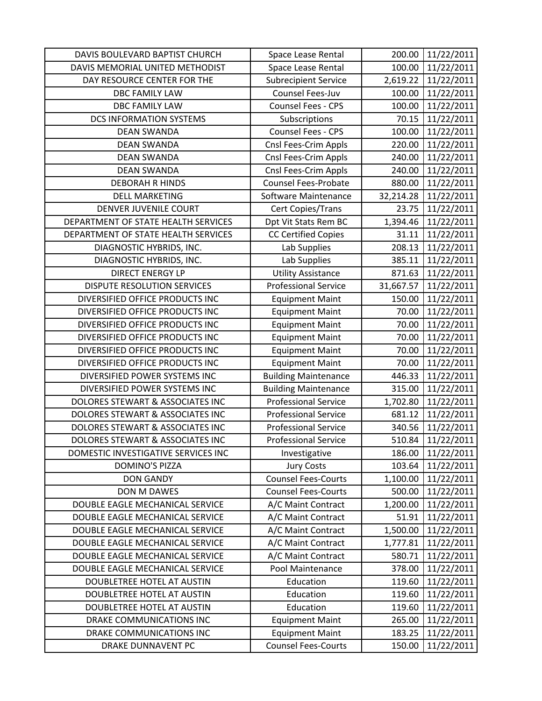| DAVIS BOULEVARD BAPTIST CHURCH      | Space Lease Rental          | 200.00    | 11/22/2011 |
|-------------------------------------|-----------------------------|-----------|------------|
| DAVIS MEMORIAL UNITED METHODIST     | Space Lease Rental          | 100.00    | 11/22/2011 |
| DAY RESOURCE CENTER FOR THE         | <b>Subrecipient Service</b> | 2,619.22  | 11/22/2011 |
| DBC FAMILY LAW                      | Counsel Fees-Juv            | 100.00    | 11/22/2011 |
| <b>DBC FAMILY LAW</b>               | Counsel Fees - CPS          | 100.00    | 11/22/2011 |
| <b>DCS INFORMATION SYSTEMS</b>      | Subscriptions               | 70.15     | 11/22/2011 |
| <b>DEAN SWANDA</b>                  | <b>Counsel Fees - CPS</b>   | 100.00    | 11/22/2011 |
| <b>DEAN SWANDA</b>                  | Cnsl Fees-Crim Appls        | 220.00    | 11/22/2011 |
| <b>DEAN SWANDA</b>                  | Cnsl Fees-Crim Appls        | 240.00    | 11/22/2011 |
| <b>DEAN SWANDA</b>                  | Cnsl Fees-Crim Appls        | 240.00    | 11/22/2011 |
| <b>DEBORAH R HINDS</b>              | <b>Counsel Fees-Probate</b> | 880.00    | 11/22/2011 |
| <b>DELL MARKETING</b>               | Software Maintenance        | 32,214.28 | 11/22/2011 |
| DENVER JUVENILE COURT               | Cert Copies/Trans           | 23.75     | 11/22/2011 |
| DEPARTMENT OF STATE HEALTH SERVICES | Dpt Vit Stats Rem BC        | 1,394.46  | 11/22/2011 |
| DEPARTMENT OF STATE HEALTH SERVICES | <b>CC Certified Copies</b>  | 31.11     | 11/22/2011 |
| DIAGNOSTIC HYBRIDS, INC.            | Lab Supplies                | 208.13    | 11/22/2011 |
| DIAGNOSTIC HYBRIDS, INC.            | Lab Supplies                | 385.11    | 11/22/2011 |
| <b>DIRECT ENERGY LP</b>             | <b>Utility Assistance</b>   | 871.63    | 11/22/2011 |
| DISPUTE RESOLUTION SERVICES         | <b>Professional Service</b> | 31,667.57 | 11/22/2011 |
| DIVERSIFIED OFFICE PRODUCTS INC     | <b>Equipment Maint</b>      | 150.00    | 11/22/2011 |
| DIVERSIFIED OFFICE PRODUCTS INC     | <b>Equipment Maint</b>      | 70.00     | 11/22/2011 |
| DIVERSIFIED OFFICE PRODUCTS INC     | <b>Equipment Maint</b>      | 70.00     | 11/22/2011 |
| DIVERSIFIED OFFICE PRODUCTS INC     | <b>Equipment Maint</b>      | 70.00     | 11/22/2011 |
| DIVERSIFIED OFFICE PRODUCTS INC     | <b>Equipment Maint</b>      | 70.00     | 11/22/2011 |
| DIVERSIFIED OFFICE PRODUCTS INC     | <b>Equipment Maint</b>      | 70.00     | 11/22/2011 |
| DIVERSIFIED POWER SYSTEMS INC       | <b>Building Maintenance</b> | 446.33    | 11/22/2011 |
| DIVERSIFIED POWER SYSTEMS INC       | <b>Building Maintenance</b> | 315.00    | 11/22/2011 |
| DOLORES STEWART & ASSOCIATES INC    | <b>Professional Service</b> | 1,702.80  | 11/22/2011 |
| DOLORES STEWART & ASSOCIATES INC    | <b>Professional Service</b> | 681.12    | 11/22/2011 |
| DOLORES STEWART & ASSOCIATES INC    | <b>Professional Service</b> | 340.56    | 11/22/2011 |
| DOLORES STEWART & ASSOCIATES INC    | <b>Professional Service</b> | 510.84    | 11/22/2011 |
| DOMESTIC INVESTIGATIVE SERVICES INC | Investigative               | 186.00    | 11/22/2011 |
| <b>DOMINO'S PIZZA</b>               | <b>Jury Costs</b>           | 103.64    | 11/22/2011 |
| <b>DON GANDY</b>                    | <b>Counsel Fees-Courts</b>  | 1,100.00  | 11/22/2011 |
| DON M DAWES                         | <b>Counsel Fees-Courts</b>  | 500.00    | 11/22/2011 |
| DOUBLE EAGLE MECHANICAL SERVICE     | A/C Maint Contract          | 1,200.00  | 11/22/2011 |
| DOUBLE EAGLE MECHANICAL SERVICE     | A/C Maint Contract          | 51.91     | 11/22/2011 |
| DOUBLE EAGLE MECHANICAL SERVICE     | A/C Maint Contract          | 1,500.00  | 11/22/2011 |
| DOUBLE EAGLE MECHANICAL SERVICE     | A/C Maint Contract          | 1,777.81  | 11/22/2011 |
| DOUBLE EAGLE MECHANICAL SERVICE     | A/C Maint Contract          | 580.71    | 11/22/2011 |
| DOUBLE EAGLE MECHANICAL SERVICE     | Pool Maintenance            | 378.00    | 11/22/2011 |
| DOUBLETREE HOTEL AT AUSTIN          | Education                   | 119.60    | 11/22/2011 |
| DOUBLETREE HOTEL AT AUSTIN          | Education                   | 119.60    | 11/22/2011 |
| DOUBLETREE HOTEL AT AUSTIN          | Education                   | 119.60    | 11/22/2011 |
| DRAKE COMMUNICATIONS INC            | <b>Equipment Maint</b>      | 265.00    | 11/22/2011 |
| DRAKE COMMUNICATIONS INC            | <b>Equipment Maint</b>      | 183.25    | 11/22/2011 |
| DRAKE DUNNAVENT PC                  | <b>Counsel Fees-Courts</b>  | 150.00    | 11/22/2011 |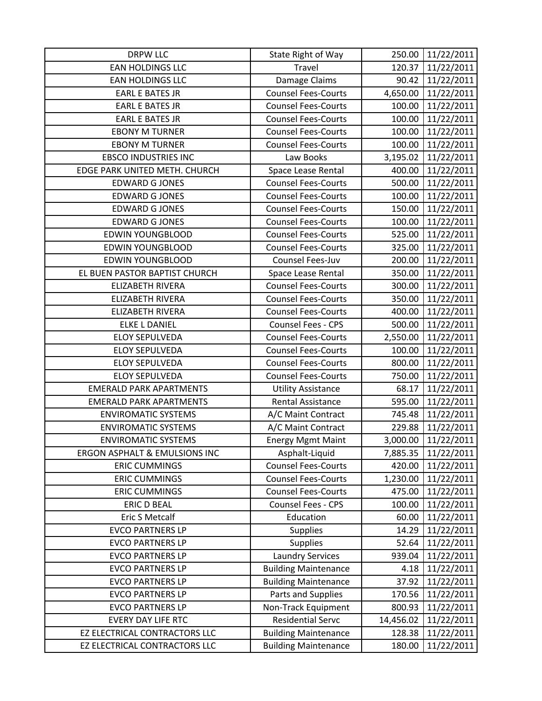| <b>DRPW LLC</b>                          | State Right of Way          | 250.00    | 11/22/2011 |
|------------------------------------------|-----------------------------|-----------|------------|
| EAN HOLDINGS LLC                         | Travel                      | 120.37    | 11/22/2011 |
| <b>EAN HOLDINGS LLC</b>                  | Damage Claims               | 90.42     | 11/22/2011 |
| <b>EARL E BATES JR</b>                   | <b>Counsel Fees-Courts</b>  | 4,650.00  | 11/22/2011 |
| <b>EARL E BATES JR</b>                   | <b>Counsel Fees-Courts</b>  | 100.00    | 11/22/2011 |
| <b>EARL E BATES JR</b>                   | <b>Counsel Fees-Courts</b>  | 100.00    | 11/22/2011 |
| <b>EBONY M TURNER</b>                    | <b>Counsel Fees-Courts</b>  | 100.00    | 11/22/2011 |
| <b>EBONY M TURNER</b>                    | <b>Counsel Fees-Courts</b>  | 100.00    | 11/22/2011 |
| <b>EBSCO INDUSTRIES INC</b>              | Law Books                   | 3,195.02  | 11/22/2011 |
| EDGE PARK UNITED METH. CHURCH            | Space Lease Rental          | 400.00    | 11/22/2011 |
| <b>EDWARD GJONES</b>                     | <b>Counsel Fees-Courts</b>  | 500.00    | 11/22/2011 |
| <b>EDWARD G JONES</b>                    | <b>Counsel Fees-Courts</b>  | 100.00    | 11/22/2011 |
| <b>EDWARD G JONES</b>                    | <b>Counsel Fees-Courts</b>  | 150.00    | 11/22/2011 |
| <b>EDWARD GJONES</b>                     | <b>Counsel Fees-Courts</b>  | 100.00    | 11/22/2011 |
| <b>EDWIN YOUNGBLOOD</b>                  | <b>Counsel Fees-Courts</b>  | 525.00    | 11/22/2011 |
| <b>EDWIN YOUNGBLOOD</b>                  | <b>Counsel Fees-Courts</b>  | 325.00    | 11/22/2011 |
| <b>EDWIN YOUNGBLOOD</b>                  | Counsel Fees-Juv            | 200.00    | 11/22/2011 |
| EL BUEN PASTOR BAPTIST CHURCH            | Space Lease Rental          | 350.00    | 11/22/2011 |
| <b>ELIZABETH RIVERA</b>                  | <b>Counsel Fees-Courts</b>  | 300.00    | 11/22/2011 |
| <b>ELIZABETH RIVERA</b>                  | <b>Counsel Fees-Courts</b>  | 350.00    | 11/22/2011 |
| <b>ELIZABETH RIVERA</b>                  | <b>Counsel Fees-Courts</b>  | 400.00    | 11/22/2011 |
| <b>ELKE L DANIEL</b>                     | Counsel Fees - CPS          | 500.00    | 11/22/2011 |
| <b>ELOY SEPULVEDA</b>                    | <b>Counsel Fees-Courts</b>  | 2,550.00  | 11/22/2011 |
| <b>ELOY SEPULVEDA</b>                    | <b>Counsel Fees-Courts</b>  | 100.00    | 11/22/2011 |
| <b>ELOY SEPULVEDA</b>                    | <b>Counsel Fees-Courts</b>  | 800.00    | 11/22/2011 |
| <b>ELOY SEPULVEDA</b>                    | <b>Counsel Fees-Courts</b>  | 750.00    | 11/22/2011 |
| <b>EMERALD PARK APARTMENTS</b>           | <b>Utility Assistance</b>   | 68.17     | 11/22/2011 |
| <b>EMERALD PARK APARTMENTS</b>           | Rental Assistance           | 595.00    | 11/22/2011 |
| <b>ENVIROMATIC SYSTEMS</b>               | A/C Maint Contract          | 745.48    | 11/22/2011 |
| <b>ENVIROMATIC SYSTEMS</b>               | A/C Maint Contract          | 229.88    | 11/22/2011 |
| <b>ENVIROMATIC SYSTEMS</b>               | <b>Energy Mgmt Maint</b>    | 3,000.00  | 11/22/2011 |
| <b>ERGON ASPHALT &amp; EMULSIONS INC</b> | Asphalt-Liquid              | 7,885.35  | 11/22/2011 |
| <b>ERIC CUMMINGS</b>                     | <b>Counsel Fees-Courts</b>  | 420.00    | 11/22/2011 |
| <b>ERIC CUMMINGS</b>                     | <b>Counsel Fees-Courts</b>  | 1,230.00  | 11/22/2011 |
| <b>ERIC CUMMINGS</b>                     | <b>Counsel Fees-Courts</b>  | 475.00    | 11/22/2011 |
| <b>ERIC D BEAL</b>                       | Counsel Fees - CPS          | 100.00    | 11/22/2011 |
| Eric S Metcalf                           | Education                   | 60.00     | 11/22/2011 |
| <b>EVCO PARTNERS LP</b>                  | <b>Supplies</b>             | 14.29     | 11/22/2011 |
| <b>EVCO PARTNERS LP</b>                  | <b>Supplies</b>             | 52.64     | 11/22/2011 |
| <b>EVCO PARTNERS LP</b>                  | <b>Laundry Services</b>     | 939.04    | 11/22/2011 |
| <b>EVCO PARTNERS LP</b>                  | <b>Building Maintenance</b> | 4.18      | 11/22/2011 |
| <b>EVCO PARTNERS LP</b>                  | <b>Building Maintenance</b> | 37.92     | 11/22/2011 |
| <b>EVCO PARTNERS LP</b>                  | Parts and Supplies          | 170.56    | 11/22/2011 |
| <b>EVCO PARTNERS LP</b>                  | Non-Track Equipment         | 800.93    | 11/22/2011 |
| <b>EVERY DAY LIFE RTC</b>                | <b>Residential Servc</b>    | 14,456.02 | 11/22/2011 |
| EZ ELECTRICAL CONTRACTORS LLC            | <b>Building Maintenance</b> | 128.38    | 11/22/2011 |
| EZ ELECTRICAL CONTRACTORS LLC            | <b>Building Maintenance</b> | 180.00    | 11/22/2011 |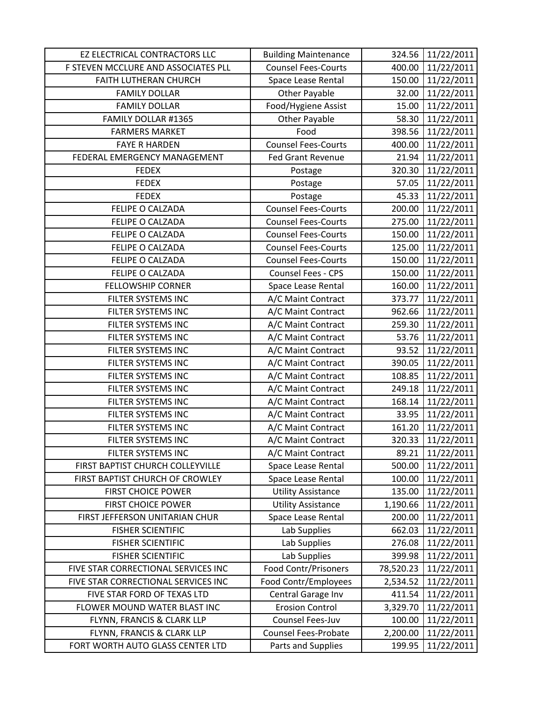| EZ ELECTRICAL CONTRACTORS LLC       | <b>Building Maintenance</b> | 324.56    | 11/22/2011 |
|-------------------------------------|-----------------------------|-----------|------------|
| F STEVEN MCCLURE AND ASSOCIATES PLL | <b>Counsel Fees-Courts</b>  | 400.00    | 11/22/2011 |
| FAITH LUTHERAN CHURCH               | Space Lease Rental          | 150.00    | 11/22/2011 |
| <b>FAMILY DOLLAR</b>                | <b>Other Payable</b>        | 32.00     | 11/22/2011 |
| <b>FAMILY DOLLAR</b>                | Food/Hygiene Assist         | 15.00     | 11/22/2011 |
| FAMILY DOLLAR #1365                 | <b>Other Payable</b>        | 58.30     | 11/22/2011 |
| <b>FARMERS MARKET</b>               | Food                        | 398.56    | 11/22/2011 |
| <b>FAYE R HARDEN</b>                | <b>Counsel Fees-Courts</b>  | 400.00    | 11/22/2011 |
| FEDERAL EMERGENCY MANAGEMENT        | <b>Fed Grant Revenue</b>    | 21.94     | 11/22/2011 |
| <b>FEDEX</b>                        | Postage                     | 320.30    | 11/22/2011 |
| <b>FEDEX</b>                        | Postage                     | 57.05     | 11/22/2011 |
| <b>FEDEX</b>                        | Postage                     | 45.33     | 11/22/2011 |
| FELIPE O CALZADA                    | <b>Counsel Fees-Courts</b>  | 200.00    | 11/22/2011 |
| FELIPE O CALZADA                    | <b>Counsel Fees-Courts</b>  | 275.00    | 11/22/2011 |
| FELIPE O CALZADA                    | <b>Counsel Fees-Courts</b>  | 150.00    | 11/22/2011 |
| FELIPE O CALZADA                    | <b>Counsel Fees-Courts</b>  | 125.00    | 11/22/2011 |
| FELIPE O CALZADA                    | <b>Counsel Fees-Courts</b>  | 150.00    | 11/22/2011 |
| FELIPE O CALZADA                    | Counsel Fees - CPS          | 150.00    | 11/22/2011 |
| <b>FELLOWSHIP CORNER</b>            | Space Lease Rental          | 160.00    | 11/22/2011 |
| FILTER SYSTEMS INC                  | A/C Maint Contract          | 373.77    | 11/22/2011 |
| FILTER SYSTEMS INC                  | A/C Maint Contract          | 962.66    | 11/22/2011 |
| FILTER SYSTEMS INC                  | A/C Maint Contract          | 259.30    | 11/22/2011 |
| FILTER SYSTEMS INC                  | A/C Maint Contract          | 53.76     | 11/22/2011 |
| FILTER SYSTEMS INC                  | A/C Maint Contract          | 93.52     | 11/22/2011 |
| FILTER SYSTEMS INC                  | A/C Maint Contract          | 390.05    | 11/22/2011 |
| FILTER SYSTEMS INC                  | A/C Maint Contract          | 108.85    | 11/22/2011 |
| FILTER SYSTEMS INC                  | A/C Maint Contract          | 249.18    | 11/22/2011 |
| FILTER SYSTEMS INC                  | A/C Maint Contract          | 168.14    | 11/22/2011 |
| FILTER SYSTEMS INC                  | A/C Maint Contract          | 33.95     | 11/22/2011 |
| FILTER SYSTEMS INC                  | A/C Maint Contract          | 161.20    | 11/22/2011 |
| FILTER SYSTEMS INC                  | A/C Maint Contract          | 320.33    | 11/22/2011 |
| FILTER SYSTEMS INC                  | A/C Maint Contract          | 89.21     | 11/22/2011 |
| FIRST BAPTIST CHURCH COLLEYVILLE    | Space Lease Rental          | 500.00    | 11/22/2011 |
| FIRST BAPTIST CHURCH OF CROWLEY     | <b>Space Lease Rental</b>   | 100.00    | 11/22/2011 |
| <b>FIRST CHOICE POWER</b>           | <b>Utility Assistance</b>   | 135.00    | 11/22/2011 |
| <b>FIRST CHOICE POWER</b>           | <b>Utility Assistance</b>   | 1,190.66  | 11/22/2011 |
| FIRST JEFFERSON UNITARIAN CHUR      | Space Lease Rental          | 200.00    | 11/22/2011 |
| <b>FISHER SCIENTIFIC</b>            | Lab Supplies                | 662.03    | 11/22/2011 |
| <b>FISHER SCIENTIFIC</b>            | Lab Supplies                | 276.08    | 11/22/2011 |
| <b>FISHER SCIENTIFIC</b>            | Lab Supplies                | 399.98    | 11/22/2011 |
| FIVE STAR CORRECTIONAL SERVICES INC | Food Contr/Prisoners        | 78,520.23 | 11/22/2011 |
| FIVE STAR CORRECTIONAL SERVICES INC | Food Contr/Employees        | 2,534.52  | 11/22/2011 |
| FIVE STAR FORD OF TEXAS LTD         | Central Garage Inv          | 411.54    | 11/22/2011 |
| FLOWER MOUND WATER BLAST INC        | <b>Erosion Control</b>      | 3,329.70  | 11/22/2011 |
| FLYNN, FRANCIS & CLARK LLP          | Counsel Fees-Juv            | 100.00    | 11/22/2011 |
| FLYNN, FRANCIS & CLARK LLP          | Counsel Fees-Probate        | 2,200.00  | 11/22/2011 |
| FORT WORTH AUTO GLASS CENTER LTD    | Parts and Supplies          | 199.95    | 11/22/2011 |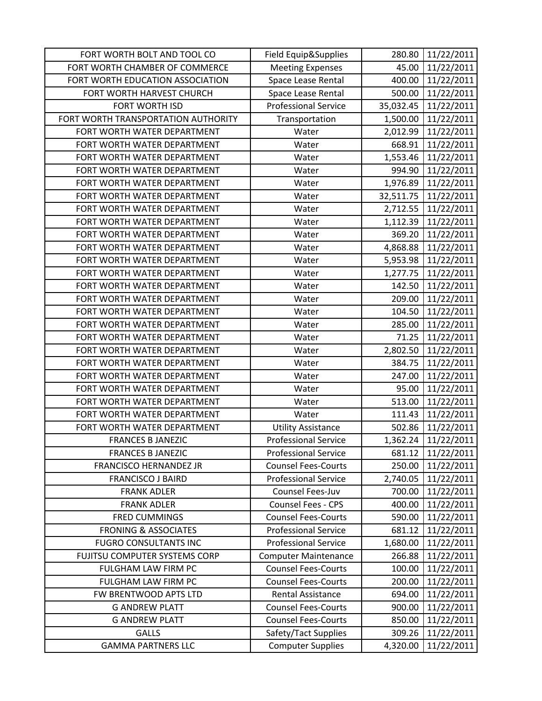| FORT WORTH BOLT AND TOOL CO         | Field Equip&Supplies        | 280.80    | 11/22/2011 |
|-------------------------------------|-----------------------------|-----------|------------|
| FORT WORTH CHAMBER OF COMMERCE      | <b>Meeting Expenses</b>     | 45.00     | 11/22/2011 |
| FORT WORTH EDUCATION ASSOCIATION    | Space Lease Rental          | 400.00    | 11/22/2011 |
| FORT WORTH HARVEST CHURCH           | Space Lease Rental          | 500.00    | 11/22/2011 |
| FORT WORTH ISD                      | <b>Professional Service</b> | 35,032.45 | 11/22/2011 |
| FORT WORTH TRANSPORTATION AUTHORITY | Transportation              | 1,500.00  | 11/22/2011 |
| FORT WORTH WATER DEPARTMENT         | Water                       | 2,012.99  | 11/22/2011 |
| FORT WORTH WATER DEPARTMENT         | Water                       | 668.91    | 11/22/2011 |
| FORT WORTH WATER DEPARTMENT         | Water                       | 1,553.46  | 11/22/2011 |
| FORT WORTH WATER DEPARTMENT         | Water                       | 994.90    | 11/22/2011 |
| FORT WORTH WATER DEPARTMENT         | Water                       | 1,976.89  | 11/22/2011 |
| FORT WORTH WATER DEPARTMENT         | Water                       | 32,511.75 | 11/22/2011 |
| FORT WORTH WATER DEPARTMENT         | Water                       | 2,712.55  | 11/22/2011 |
| FORT WORTH WATER DEPARTMENT         | Water                       | 1,112.39  | 11/22/2011 |
| FORT WORTH WATER DEPARTMENT         | Water                       | 369.20    | 11/22/2011 |
| FORT WORTH WATER DEPARTMENT         | Water                       | 4,868.88  | 11/22/2011 |
| FORT WORTH WATER DEPARTMENT         | Water                       | 5,953.98  | 11/22/2011 |
| FORT WORTH WATER DEPARTMENT         | Water                       | 1,277.75  | 11/22/2011 |
| FORT WORTH WATER DEPARTMENT         | Water                       | 142.50    | 11/22/2011 |
| FORT WORTH WATER DEPARTMENT         | Water                       | 209.00    | 11/22/2011 |
| FORT WORTH WATER DEPARTMENT         | Water                       | 104.50    | 11/22/2011 |
| FORT WORTH WATER DEPARTMENT         | Water                       | 285.00    | 11/22/2011 |
| FORT WORTH WATER DEPARTMENT         | Water                       | 71.25     | 11/22/2011 |
| FORT WORTH WATER DEPARTMENT         | Water                       | 2,802.50  | 11/22/2011 |
| FORT WORTH WATER DEPARTMENT         | Water                       | 384.75    | 11/22/2011 |
| FORT WORTH WATER DEPARTMENT         | Water                       | 247.00    | 11/22/2011 |
| FORT WORTH WATER DEPARTMENT         | Water                       | 95.00     | 11/22/2011 |
| FORT WORTH WATER DEPARTMENT         | Water                       | 513.00    | 11/22/2011 |
| FORT WORTH WATER DEPARTMENT         | Water                       | 111.43    | 11/22/2011 |
| FORT WORTH WATER DEPARTMENT         | <b>Utility Assistance</b>   | 502.86    | 11/22/2011 |
| <b>FRANCES B JANEZIC</b>            | <b>Professional Service</b> | 1,362.24  | 11/22/2011 |
| <b>FRANCES B JANEZIC</b>            | <b>Professional Service</b> | 681.12    | 11/22/2011 |
| <b>FRANCISCO HERNANDEZ JR</b>       | <b>Counsel Fees-Courts</b>  | 250.00    | 11/22/2011 |
| <b>FRANCISCO J BAIRD</b>            | <b>Professional Service</b> | 2,740.05  | 11/22/2011 |
| <b>FRANK ADLER</b>                  | Counsel Fees-Juv            | 700.00    | 11/22/2011 |
| <b>FRANK ADLER</b>                  | <b>Counsel Fees - CPS</b>   | 400.00    | 11/22/2011 |
| <b>FRED CUMMINGS</b>                | <b>Counsel Fees-Courts</b>  | 590.00    | 11/22/2011 |
| <b>FRONING &amp; ASSOCIATES</b>     | <b>Professional Service</b> | 681.12    | 11/22/2011 |
| <b>FUGRO CONSULTANTS INC</b>        | <b>Professional Service</b> | 1,680.00  | 11/22/2011 |
| FUJITSU COMPUTER SYSTEMS CORP       | <b>Computer Maintenance</b> | 266.88    | 11/22/2011 |
| FULGHAM LAW FIRM PC                 | <b>Counsel Fees-Courts</b>  | 100.00    | 11/22/2011 |
| FULGHAM LAW FIRM PC                 | <b>Counsel Fees-Courts</b>  | 200.00    | 11/22/2011 |
| FW BRENTWOOD APTS LTD               | <b>Rental Assistance</b>    | 694.00    | 11/22/2011 |
| <b>G ANDREW PLATT</b>               | <b>Counsel Fees-Courts</b>  | 900.00    | 11/22/2011 |
| <b>G ANDREW PLATT</b>               | <b>Counsel Fees-Courts</b>  | 850.00    | 11/22/2011 |
| <b>GALLS</b>                        | Safety/Tact Supplies        | 309.26    | 11/22/2011 |
| <b>GAMMA PARTNERS LLC</b>           | <b>Computer Supplies</b>    | 4,320.00  | 11/22/2011 |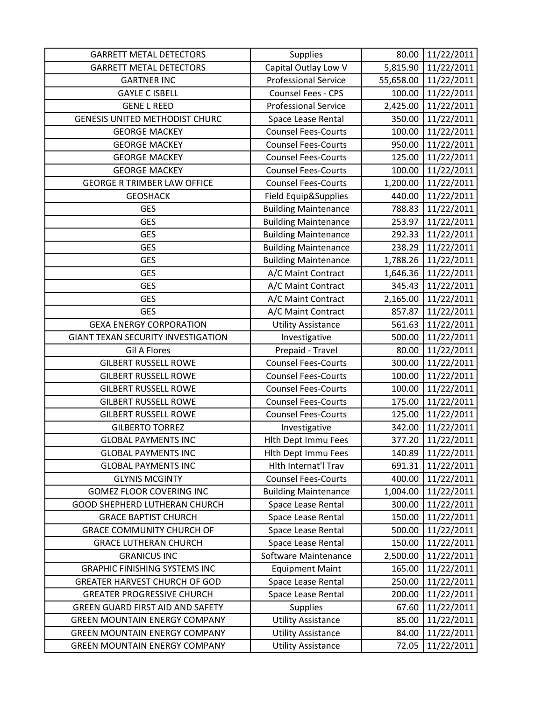| <b>GARRETT METAL DETECTORS</b>            | <b>Supplies</b>             | 80.00     | 11/22/2011 |
|-------------------------------------------|-----------------------------|-----------|------------|
| <b>GARRETT METAL DETECTORS</b>            | Capital Outlay Low V        | 5,815.90  | 11/22/2011 |
| <b>GARTNER INC</b>                        | <b>Professional Service</b> | 55,658.00 | 11/22/2011 |
| <b>GAYLE C ISBELL</b>                     | Counsel Fees - CPS          | 100.00    | 11/22/2011 |
| <b>GENE L REED</b>                        | <b>Professional Service</b> | 2,425.00  | 11/22/2011 |
| <b>GENESIS UNITED METHODIST CHURC</b>     | Space Lease Rental          | 350.00    | 11/22/2011 |
| <b>GEORGE MACKEY</b>                      | <b>Counsel Fees-Courts</b>  | 100.00    | 11/22/2011 |
| <b>GEORGE MACKEY</b>                      | <b>Counsel Fees-Courts</b>  | 950.00    | 11/22/2011 |
| <b>GEORGE MACKEY</b>                      | <b>Counsel Fees-Courts</b>  | 125.00    | 11/22/2011 |
| <b>GEORGE MACKEY</b>                      | <b>Counsel Fees-Courts</b>  | 100.00    | 11/22/2011 |
| <b>GEORGE R TRIMBER LAW OFFICE</b>        | <b>Counsel Fees-Courts</b>  | 1,200.00  | 11/22/2011 |
| <b>GEOSHACK</b>                           | Field Equip&Supplies        | 440.00    | 11/22/2011 |
| <b>GES</b>                                | <b>Building Maintenance</b> | 788.83    | 11/22/2011 |
| <b>GES</b>                                | <b>Building Maintenance</b> | 253.97    | 11/22/2011 |
| <b>GES</b>                                | <b>Building Maintenance</b> | 292.33    | 11/22/2011 |
| <b>GES</b>                                | <b>Building Maintenance</b> | 238.29    | 11/22/2011 |
| <b>GES</b>                                | <b>Building Maintenance</b> | 1,788.26  | 11/22/2011 |
| <b>GES</b>                                | A/C Maint Contract          | 1,646.36  | 11/22/2011 |
| <b>GES</b>                                | A/C Maint Contract          | 345.43    | 11/22/2011 |
| <b>GES</b>                                | A/C Maint Contract          | 2,165.00  | 11/22/2011 |
| <b>GES</b>                                | A/C Maint Contract          | 857.87    | 11/22/2011 |
| <b>GEXA ENERGY CORPORATION</b>            | <b>Utility Assistance</b>   | 561.63    | 11/22/2011 |
| <b>GIANT TEXAN SECURITY INVESTIGATION</b> | Investigative               | 500.00    | 11/22/2011 |
| <b>Gil A Flores</b>                       | Prepaid - Travel            | 80.00     | 11/22/2011 |
| <b>GILBERT RUSSELL ROWE</b>               | <b>Counsel Fees-Courts</b>  | 300.00    | 11/22/2011 |
| <b>GILBERT RUSSELL ROWE</b>               | <b>Counsel Fees-Courts</b>  | 100.00    | 11/22/2011 |
| <b>GILBERT RUSSELL ROWE</b>               | <b>Counsel Fees-Courts</b>  | 100.00    | 11/22/2011 |
| <b>GILBERT RUSSELL ROWE</b>               | <b>Counsel Fees-Courts</b>  | 175.00    | 11/22/2011 |
| <b>GILBERT RUSSELL ROWE</b>               | <b>Counsel Fees-Courts</b>  | 125.00    | 11/22/2011 |
| <b>GILBERTO TORREZ</b>                    | Investigative               | 342.00    | 11/22/2011 |
| <b>GLOBAL PAYMENTS INC</b>                | <b>Hith Dept Immu Fees</b>  | 377.20    | 11/22/2011 |
| <b>GLOBAL PAYMENTS INC</b>                | <b>Hith Dept Immu Fees</b>  | 140.89    | 11/22/2011 |
| <b>GLOBAL PAYMENTS INC</b>                | Hith Internat'l Trav        | 691.31    | 11/22/2011 |
| <b>GLYNIS MCGINTY</b>                     | <b>Counsel Fees-Courts</b>  | 400.00    | 11/22/2011 |
| <b>GOMEZ FLOOR COVERING INC</b>           | <b>Building Maintenance</b> | 1,004.00  | 11/22/2011 |
| GOOD SHEPHERD LUTHERAN CHURCH             | Space Lease Rental          | 300.00    | 11/22/2011 |
| <b>GRACE BAPTIST CHURCH</b>               | Space Lease Rental          | 150.00    | 11/22/2011 |
| <b>GRACE COMMUNITY CHURCH OF</b>          | Space Lease Rental          | 500.00    | 11/22/2011 |
| <b>GRACE LUTHERAN CHURCH</b>              | Space Lease Rental          | 150.00    | 11/22/2011 |
| <b>GRANICUS INC</b>                       | Software Maintenance        | 2,500.00  | 11/22/2011 |
| <b>GRAPHIC FINISHING SYSTEMS INC</b>      | <b>Equipment Maint</b>      | 165.00    | 11/22/2011 |
| <b>GREATER HARVEST CHURCH OF GOD</b>      | Space Lease Rental          | 250.00    | 11/22/2011 |
| <b>GREATER PROGRESSIVE CHURCH</b>         | Space Lease Rental          | 200.00    | 11/22/2011 |
| GREEN GUARD FIRST AID AND SAFETY          | <b>Supplies</b>             | 67.60     | 11/22/2011 |
| <b>GREEN MOUNTAIN ENERGY COMPANY</b>      | <b>Utility Assistance</b>   | 85.00     | 11/22/2011 |
| <b>GREEN MOUNTAIN ENERGY COMPANY</b>      | <b>Utility Assistance</b>   | 84.00     | 11/22/2011 |
| <b>GREEN MOUNTAIN ENERGY COMPANY</b>      | <b>Utility Assistance</b>   | 72.05     | 11/22/2011 |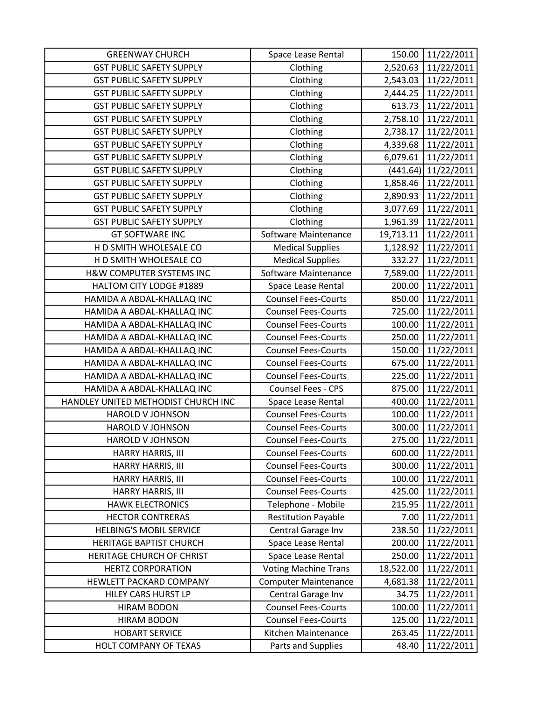| <b>GREENWAY CHURCH</b>              | Space Lease Rental          | 150.00    | 11/22/2011            |
|-------------------------------------|-----------------------------|-----------|-----------------------|
| <b>GST PUBLIC SAFETY SUPPLY</b>     | Clothing                    | 2,520.63  | 11/22/2011            |
| <b>GST PUBLIC SAFETY SUPPLY</b>     | Clothing                    | 2,543.03  | 11/22/2011            |
| <b>GST PUBLIC SAFETY SUPPLY</b>     | Clothing                    | 2,444.25  | 11/22/2011            |
| <b>GST PUBLIC SAFETY SUPPLY</b>     | Clothing                    | 613.73    | 11/22/2011            |
| <b>GST PUBLIC SAFETY SUPPLY</b>     | Clothing                    | 2,758.10  | 11/22/2011            |
| <b>GST PUBLIC SAFETY SUPPLY</b>     | Clothing                    | 2,738.17  | 11/22/2011            |
| <b>GST PUBLIC SAFETY SUPPLY</b>     | Clothing                    | 4,339.68  | 11/22/2011            |
| <b>GST PUBLIC SAFETY SUPPLY</b>     | Clothing                    | 6,079.61  | 11/22/2011            |
| <b>GST PUBLIC SAFETY SUPPLY</b>     | Clothing                    |           | $(441.64)$ 11/22/2011 |
| <b>GST PUBLIC SAFETY SUPPLY</b>     | Clothing                    | 1,858.46  | 11/22/2011            |
| <b>GST PUBLIC SAFETY SUPPLY</b>     | Clothing                    | 2,890.93  | 11/22/2011            |
| <b>GST PUBLIC SAFETY SUPPLY</b>     | Clothing                    | 3,077.69  | 11/22/2011            |
| <b>GST PUBLIC SAFETY SUPPLY</b>     | Clothing                    | 1,961.39  | 11/22/2011            |
| <b>GT SOFTWARE INC</b>              | Software Maintenance        | 19,713.11 | 11/22/2011            |
| H D SMITH WHOLESALE CO              | <b>Medical Supplies</b>     | 1,128.92  | 11/22/2011            |
| H D SMITH WHOLESALE CO              | <b>Medical Supplies</b>     | 332.27    | 11/22/2011            |
| H&W COMPUTER SYSTEMS INC            | Software Maintenance        | 7,589.00  | 11/22/2011            |
| HALTOM CITY LODGE #1889             | Space Lease Rental          | 200.00    | 11/22/2011            |
| HAMIDA A ABDAL-KHALLAQ INC          | <b>Counsel Fees-Courts</b>  | 850.00    | 11/22/2011            |
| HAMIDA A ABDAL-KHALLAQ INC          | <b>Counsel Fees-Courts</b>  | 725.00    | 11/22/2011            |
| HAMIDA A ABDAL-KHALLAQ INC          | <b>Counsel Fees-Courts</b>  | 100.00    | 11/22/2011            |
| HAMIDA A ABDAL-KHALLAQ INC          | <b>Counsel Fees-Courts</b>  | 250.00    | 11/22/2011            |
| HAMIDA A ABDAL-KHALLAQ INC          | <b>Counsel Fees-Courts</b>  | 150.00    | 11/22/2011            |
| HAMIDA A ABDAL-KHALLAQ INC          | <b>Counsel Fees-Courts</b>  | 675.00    | 11/22/2011            |
| HAMIDA A ABDAL-KHALLAQ INC          | <b>Counsel Fees-Courts</b>  | 225.00    | 11/22/2011            |
| HAMIDA A ABDAL-KHALLAQ INC          | Counsel Fees - CPS          | 875.00    | 11/22/2011            |
| HANDLEY UNITED METHODIST CHURCH INC | Space Lease Rental          | 400.00    | 11/22/2011            |
| <b>HAROLD V JOHNSON</b>             | <b>Counsel Fees-Courts</b>  | 100.00    | 11/22/2011            |
| <b>HAROLD V JOHNSON</b>             | <b>Counsel Fees-Courts</b>  | 300.00    | 11/22/2011            |
| <b>HAROLD V JOHNSON</b>             | <b>Counsel Fees-Courts</b>  | 275.00    | 11/22/2011            |
| HARRY HARRIS, III                   | <b>Counsel Fees-Courts</b>  | 600.00    | 11/22/2011            |
| HARRY HARRIS, III                   | <b>Counsel Fees-Courts</b>  | 300.00    | 11/22/2011            |
| HARRY HARRIS, III                   | <b>Counsel Fees-Courts</b>  | 100.00    | 11/22/2011            |
| HARRY HARRIS, III                   | <b>Counsel Fees-Courts</b>  | 425.00    | 11/22/2011            |
| <b>HAWK ELECTRONICS</b>             | Telephone - Mobile          | 215.95    | 11/22/2011            |
| <b>HECTOR CONTRERAS</b>             | <b>Restitution Payable</b>  | 7.00      | 11/22/2011            |
| <b>HELBING'S MOBIL SERVICE</b>      | Central Garage Inv          | 238.50    | 11/22/2011            |
| <b>HERITAGE BAPTIST CHURCH</b>      | Space Lease Rental          | 200.00    | 11/22/2011            |
| HERITAGE CHURCH OF CHRIST           | Space Lease Rental          | 250.00    | 11/22/2011            |
| <b>HERTZ CORPORATION</b>            | <b>Voting Machine Trans</b> | 18,522.00 | 11/22/2011            |
| HEWLETT PACKARD COMPANY             | <b>Computer Maintenance</b> | 4,681.38  | 11/22/2011            |
| HILEY CARS HURST LP                 | Central Garage Inv          | 34.75     | 11/22/2011            |
| <b>HIRAM BODON</b>                  | <b>Counsel Fees-Courts</b>  | 100.00    | 11/22/2011            |
| <b>HIRAM BODON</b>                  | <b>Counsel Fees-Courts</b>  | 125.00    | 11/22/2011            |
| <b>HOBART SERVICE</b>               | Kitchen Maintenance         | 263.45    | 11/22/2011            |
| HOLT COMPANY OF TEXAS               | Parts and Supplies          | 48.40     | 11/22/2011            |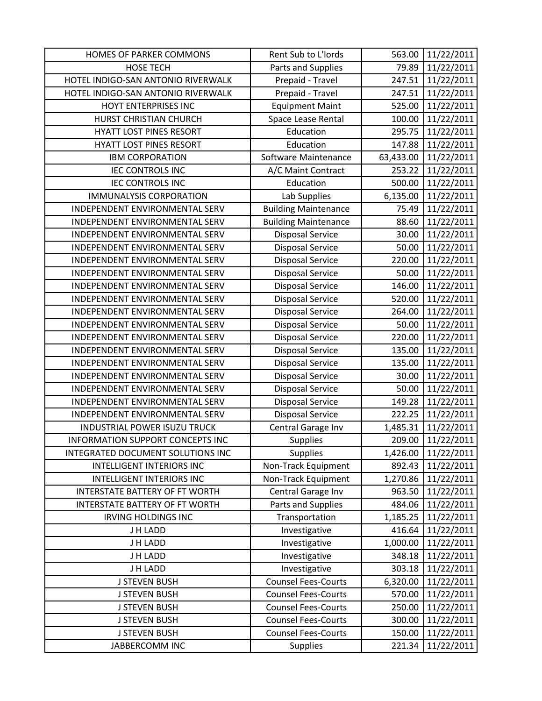| HOMES OF PARKER COMMONS            | Rent Sub to L'Iords         | 563.00    | 11/22/2011 |
|------------------------------------|-----------------------------|-----------|------------|
| <b>HOSE TECH</b>                   | Parts and Supplies          | 79.89     | 11/22/2011 |
| HOTEL INDIGO-SAN ANTONIO RIVERWALK | Prepaid - Travel            | 247.51    | 11/22/2011 |
| HOTEL INDIGO-SAN ANTONIO RIVERWALK | Prepaid - Travel            | 247.51    | 11/22/2011 |
| HOYT ENTERPRISES INC               | <b>Equipment Maint</b>      | 525.00    | 11/22/2011 |
| HURST CHRISTIAN CHURCH             | Space Lease Rental          | 100.00    | 11/22/2011 |
| <b>HYATT LOST PINES RESORT</b>     | Education                   | 295.75    | 11/22/2011 |
| <b>HYATT LOST PINES RESORT</b>     | Education                   | 147.88    | 11/22/2011 |
| <b>IBM CORPORATION</b>             | Software Maintenance        | 63,433.00 | 11/22/2011 |
| <b>IEC CONTROLS INC</b>            | A/C Maint Contract          | 253.22    | 11/22/2011 |
| <b>IEC CONTROLS INC</b>            | Education                   | 500.00    | 11/22/2011 |
| <b>IMMUNALYSIS CORPORATION</b>     | Lab Supplies                | 6,135.00  | 11/22/2011 |
| INDEPENDENT ENVIRONMENTAL SERV     | <b>Building Maintenance</b> | 75.49     | 11/22/2011 |
| INDEPENDENT ENVIRONMENTAL SERV     | <b>Building Maintenance</b> | 88.60     | 11/22/2011 |
| INDEPENDENT ENVIRONMENTAL SERV     | <b>Disposal Service</b>     | 30.00     | 11/22/2011 |
| INDEPENDENT ENVIRONMENTAL SERV     | <b>Disposal Service</b>     | 50.00     | 11/22/2011 |
| INDEPENDENT ENVIRONMENTAL SERV     | <b>Disposal Service</b>     | 220.00    | 11/22/2011 |
| INDEPENDENT ENVIRONMENTAL SERV     | <b>Disposal Service</b>     | 50.00     | 11/22/2011 |
| INDEPENDENT ENVIRONMENTAL SERV     | <b>Disposal Service</b>     | 146.00    | 11/22/2011 |
| INDEPENDENT ENVIRONMENTAL SERV     | <b>Disposal Service</b>     | 520.00    | 11/22/2011 |
| INDEPENDENT ENVIRONMENTAL SERV     | <b>Disposal Service</b>     | 264.00    | 11/22/2011 |
| INDEPENDENT ENVIRONMENTAL SERV     | <b>Disposal Service</b>     | 50.00     | 11/22/2011 |
| INDEPENDENT ENVIRONMENTAL SERV     | <b>Disposal Service</b>     | 220.00    | 11/22/2011 |
| INDEPENDENT ENVIRONMENTAL SERV     | <b>Disposal Service</b>     | 135.00    | 11/22/2011 |
| INDEPENDENT ENVIRONMENTAL SERV     | <b>Disposal Service</b>     | 135.00    | 11/22/2011 |
| INDEPENDENT ENVIRONMENTAL SERV     | <b>Disposal Service</b>     | 30.00     | 11/22/2011 |
| INDEPENDENT ENVIRONMENTAL SERV     | <b>Disposal Service</b>     | 50.00     | 11/22/2011 |
| INDEPENDENT ENVIRONMENTAL SERV     | <b>Disposal Service</b>     | 149.28    | 11/22/2011 |
| INDEPENDENT ENVIRONMENTAL SERV     | <b>Disposal Service</b>     | 222.25    | 11/22/2011 |
| INDUSTRIAL POWER ISUZU TRUCK       | Central Garage Inv          | 1,485.31  | 11/22/2011 |
| INFORMATION SUPPORT CONCEPTS INC   | <b>Supplies</b>             | 209.00    | 11/22/2011 |
| INTEGRATED DOCUMENT SOLUTIONS INC  | <b>Supplies</b>             | 1,426.00  | 11/22/2011 |
| <b>INTELLIGENT INTERIORS INC</b>   | Non-Track Equipment         | 892.43    | 11/22/2011 |
| <b>INTELLIGENT INTERIORS INC</b>   | Non-Track Equipment         | 1,270.86  | 11/22/2011 |
| INTERSTATE BATTERY OF FT WORTH     | Central Garage Inv          | 963.50    | 11/22/2011 |
| INTERSTATE BATTERY OF FT WORTH     | Parts and Supplies          | 484.06    | 11/22/2011 |
| <b>IRVING HOLDINGS INC</b>         | Transportation              | 1,185.25  | 11/22/2011 |
| J H LADD                           | Investigative               | 416.64    | 11/22/2011 |
| J H LADD                           | Investigative               | 1,000.00  | 11/22/2011 |
| J H LADD                           | Investigative               | 348.18    | 11/22/2011 |
| J H LADD                           | Investigative               | 303.18    | 11/22/2011 |
| <b>J STEVEN BUSH</b>               | <b>Counsel Fees-Courts</b>  | 6,320.00  | 11/22/2011 |
| <b>J STEVEN BUSH</b>               | <b>Counsel Fees-Courts</b>  | 570.00    | 11/22/2011 |
| <b>J STEVEN BUSH</b>               | <b>Counsel Fees-Courts</b>  | 250.00    | 11/22/2011 |
| <b>J STEVEN BUSH</b>               | <b>Counsel Fees-Courts</b>  | 300.00    | 11/22/2011 |
| <b>J STEVEN BUSH</b>               | <b>Counsel Fees-Courts</b>  | 150.00    | 11/22/2011 |
| JABBERCOMM INC                     | <b>Supplies</b>             | 221.34    | 11/22/2011 |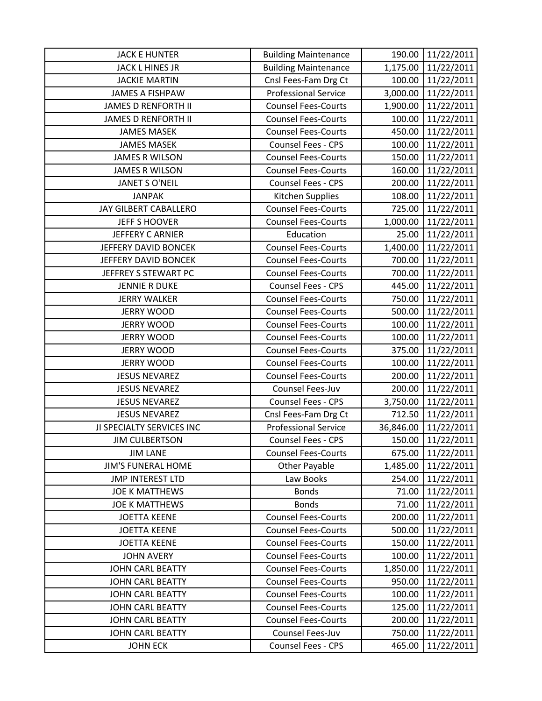| <b>JACK E HUNTER</b>       | <b>Building Maintenance</b> | 190.00    | 11/22/2011 |
|----------------------------|-----------------------------|-----------|------------|
| <b>JACK L HINES JR</b>     | <b>Building Maintenance</b> | 1,175.00  | 11/22/2011 |
| <b>JACKIE MARTIN</b>       | Cnsl Fees-Fam Drg Ct        | 100.00    | 11/22/2011 |
| <b>JAMES A FISHPAW</b>     | <b>Professional Service</b> | 3,000.00  | 11/22/2011 |
| <b>JAMES D RENFORTH II</b> | <b>Counsel Fees-Courts</b>  | 1,900.00  | 11/22/2011 |
| <b>JAMES D RENFORTH II</b> | <b>Counsel Fees-Courts</b>  | 100.00    | 11/22/2011 |
| <b>JAMES MASEK</b>         | <b>Counsel Fees-Courts</b>  | 450.00    | 11/22/2011 |
| <b>JAMES MASEK</b>         | Counsel Fees - CPS          | 100.00    | 11/22/2011 |
| <b>JAMES R WILSON</b>      | <b>Counsel Fees-Courts</b>  | 150.00    | 11/22/2011 |
| <b>JAMES R WILSON</b>      | <b>Counsel Fees-Courts</b>  | 160.00    | 11/22/2011 |
| <b>JANET S O'NEIL</b>      | Counsel Fees - CPS          | 200.00    | 11/22/2011 |
| <b>JANPAK</b>              | Kitchen Supplies            | 108.00    | 11/22/2011 |
| JAY GILBERT CABALLERO      | <b>Counsel Fees-Courts</b>  | 725.00    | 11/22/2011 |
| <b>JEFF S HOOVER</b>       | <b>Counsel Fees-Courts</b>  | 1,000.00  | 11/22/2011 |
| <b>JEFFERY C ARNIER</b>    | Education                   | 25.00     | 11/22/2011 |
| JEFFERY DAVID BONCEK       | <b>Counsel Fees-Courts</b>  | 1,400.00  | 11/22/2011 |
| JEFFERY DAVID BONCEK       | <b>Counsel Fees-Courts</b>  | 700.00    | 11/22/2011 |
| JEFFREY S STEWART PC       | <b>Counsel Fees-Courts</b>  | 700.00    | 11/22/2011 |
| <b>JENNIE R DUKE</b>       | Counsel Fees - CPS          | 445.00    | 11/22/2011 |
| <b>JERRY WALKER</b>        | <b>Counsel Fees-Courts</b>  | 750.00    | 11/22/2011 |
| <b>JERRY WOOD</b>          | <b>Counsel Fees-Courts</b>  | 500.00    | 11/22/2011 |
| <b>JERRY WOOD</b>          | <b>Counsel Fees-Courts</b>  | 100.00    | 11/22/2011 |
| <b>JERRY WOOD</b>          | <b>Counsel Fees-Courts</b>  | 100.00    | 11/22/2011 |
| <b>JERRY WOOD</b>          | <b>Counsel Fees-Courts</b>  | 375.00    | 11/22/2011 |
| <b>JERRY WOOD</b>          | <b>Counsel Fees-Courts</b>  | 100.00    | 11/22/2011 |
| <b>JESUS NEVAREZ</b>       | <b>Counsel Fees-Courts</b>  | 200.00    | 11/22/2011 |
| <b>JESUS NEVAREZ</b>       | Counsel Fees-Juv            | 200.00    | 11/22/2011 |
| <b>JESUS NEVAREZ</b>       | Counsel Fees - CPS          | 3,750.00  | 11/22/2011 |
| <b>JESUS NEVAREZ</b>       | Cnsl Fees-Fam Drg Ct        | 712.50    | 11/22/2011 |
| JI SPECIALTY SERVICES INC  | <b>Professional Service</b> | 36,846.00 | 11/22/2011 |
| <b>JIM CULBERTSON</b>      | <b>Counsel Fees - CPS</b>   | 150.00    | 11/22/2011 |
| <b>JIM LANE</b>            | <b>Counsel Fees-Courts</b>  | 675.00    | 11/22/2011 |
| <b>JIM'S FUNERAL HOME</b>  | <b>Other Payable</b>        | 1,485.00  | 11/22/2011 |
| <b>JMP INTEREST LTD</b>    | Law Books                   | 254.00    | 11/22/2011 |
| <b>JOE K MATTHEWS</b>      | <b>Bonds</b>                | 71.00     | 11/22/2011 |
| <b>JOE K MATTHEWS</b>      | <b>Bonds</b>                | 71.00     | 11/22/2011 |
| <b>JOETTA KEENE</b>        | <b>Counsel Fees-Courts</b>  | 200.00    | 11/22/2011 |
| <b>JOETTA KEENE</b>        | <b>Counsel Fees-Courts</b>  | 500.00    | 11/22/2011 |
| <b>JOETTA KEENE</b>        | <b>Counsel Fees-Courts</b>  | 150.00    | 11/22/2011 |
| <b>JOHN AVERY</b>          | <b>Counsel Fees-Courts</b>  | 100.00    | 11/22/2011 |
| <b>JOHN CARL BEATTY</b>    | <b>Counsel Fees-Courts</b>  | 1,850.00  | 11/22/2011 |
| JOHN CARL BEATTY           | <b>Counsel Fees-Courts</b>  | 950.00    | 11/22/2011 |
| JOHN CARL BEATTY           | <b>Counsel Fees-Courts</b>  | 100.00    | 11/22/2011 |
| JOHN CARL BEATTY           | <b>Counsel Fees-Courts</b>  | 125.00    | 11/22/2011 |
| JOHN CARL BEATTY           | <b>Counsel Fees-Courts</b>  | 200.00    | 11/22/2011 |
| JOHN CARL BEATTY           | Counsel Fees-Juv            | 750.00    | 11/22/2011 |
| <b>JOHN ECK</b>            | Counsel Fees - CPS          | 465.00    | 11/22/2011 |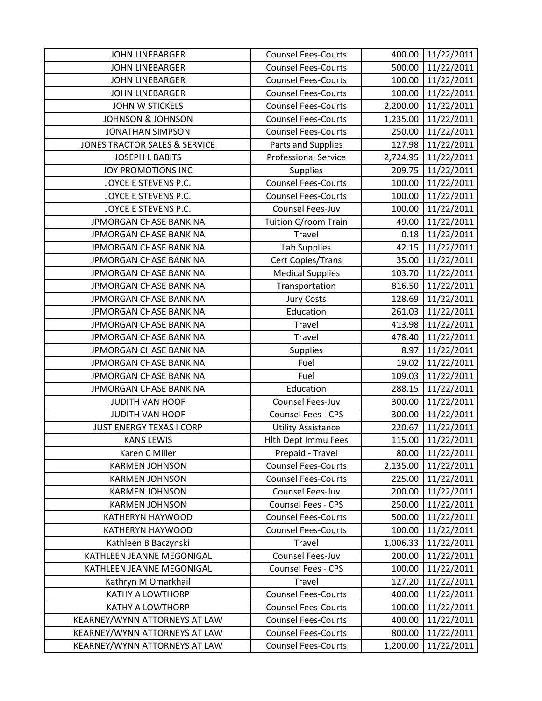| <b>JOHN LINEBARGER</b>                   | <b>Counsel Fees-Courts</b>  | 400.00   | 11/22/2011 |
|------------------------------------------|-----------------------------|----------|------------|
| <b>JOHN LINEBARGER</b>                   | <b>Counsel Fees-Courts</b>  | 500.00   | 11/22/2011 |
| <b>JOHN LINEBARGER</b>                   | <b>Counsel Fees-Courts</b>  | 100.00   | 11/22/2011 |
| <b>JOHN LINEBARGER</b>                   | <b>Counsel Fees-Courts</b>  | 100.00   | 11/22/2011 |
| <b>JOHN W STICKELS</b>                   | <b>Counsel Fees-Courts</b>  | 2,200.00 | 11/22/2011 |
| <b>JOHNSON &amp; JOHNSON</b>             | <b>Counsel Fees-Courts</b>  | 1,235.00 | 11/22/2011 |
| <b>JONATHAN SIMPSON</b>                  | <b>Counsel Fees-Courts</b>  | 250.00   | 11/22/2011 |
| <b>JONES TRACTOR SALES &amp; SERVICE</b> | Parts and Supplies          | 127.98   | 11/22/2011 |
| <b>JOSEPH L BABITS</b>                   | <b>Professional Service</b> | 2,724.95 | 11/22/2011 |
| JOY PROMOTIONS INC                       | <b>Supplies</b>             | 209.75   | 11/22/2011 |
| JOYCE E STEVENS P.C.                     | <b>Counsel Fees-Courts</b>  | 100.00   | 11/22/2011 |
| JOYCE E STEVENS P.C.                     | <b>Counsel Fees-Courts</b>  | 100.00   | 11/22/2011 |
| JOYCE E STEVENS P.C.                     | Counsel Fees-Juv            | 100.00   | 11/22/2011 |
| JPMORGAN CHASE BANK NA                   | Tuition C/room Train        | 49.00    | 11/22/2011 |
| JPMORGAN CHASE BANK NA                   | Travel                      | 0.18     | 11/22/2011 |
| JPMORGAN CHASE BANK NA                   | Lab Supplies                | 42.15    | 11/22/2011 |
| JPMORGAN CHASE BANK NA                   | Cert Copies/Trans           | 35.00    | 11/22/2011 |
| JPMORGAN CHASE BANK NA                   | <b>Medical Supplies</b>     | 103.70   | 11/22/2011 |
| JPMORGAN CHASE BANK NA                   | Transportation              | 816.50   | 11/22/2011 |
| JPMORGAN CHASE BANK NA                   | <b>Jury Costs</b>           | 128.69   | 11/22/2011 |
| JPMORGAN CHASE BANK NA                   | Education                   | 261.03   | 11/22/2011 |
| JPMORGAN CHASE BANK NA                   | <b>Travel</b>               | 413.98   | 11/22/2011 |
| JPMORGAN CHASE BANK NA                   | Travel                      | 478.40   | 11/22/2011 |
| JPMORGAN CHASE BANK NA                   | <b>Supplies</b>             | 8.97     | 11/22/2011 |
| JPMORGAN CHASE BANK NA                   | Fuel                        | 19.02    | 11/22/2011 |
| JPMORGAN CHASE BANK NA                   | Fuel                        | 109.03   | 11/22/2011 |
| JPMORGAN CHASE BANK NA                   | Education                   | 288.15   | 11/22/2011 |
| <b>JUDITH VAN HOOF</b>                   | Counsel Fees-Juv            | 300.00   | 11/22/2011 |
| <b>JUDITH VAN HOOF</b>                   | Counsel Fees - CPS          | 300.00   | 11/22/2011 |
| <b>JUST ENERGY TEXAS I CORP</b>          | <b>Utility Assistance</b>   | 220.67   | 11/22/2011 |
| <b>KANS LEWIS</b>                        | <b>Hith Dept Immu Fees</b>  | 115.00   | 11/22/2011 |
| Karen C Miller                           | Prepaid - Travel            | 80.00    | 11/22/2011 |
| <b>KARMEN JOHNSON</b>                    | <b>Counsel Fees-Courts</b>  | 2,135.00 | 11/22/2011 |
| <b>KARMEN JOHNSON</b>                    | <b>Counsel Fees-Courts</b>  | 225.00   | 11/22/2011 |
| <b>KARMEN JOHNSON</b>                    | Counsel Fees-Juv            | 200.00   | 11/22/2011 |
| <b>KARMEN JOHNSON</b>                    | Counsel Fees - CPS          | 250.00   | 11/22/2011 |
| KATHERYN HAYWOOD                         | <b>Counsel Fees-Courts</b>  | 500.00   | 11/22/2011 |
| KATHERYN HAYWOOD                         | <b>Counsel Fees-Courts</b>  | 100.00   | 11/22/2011 |
| Kathleen B Baczynski                     | Travel                      | 1,006.33 | 11/22/2011 |
| KATHLEEN JEANNE MEGONIGAL                | Counsel Fees-Juv            | 200.00   | 11/22/2011 |
| KATHLEEN JEANNE MEGONIGAL                | <b>Counsel Fees - CPS</b>   | 100.00   | 11/22/2011 |
| Kathryn M Omarkhail                      | Travel                      | 127.20   | 11/22/2011 |
| <b>KATHY A LOWTHORP</b>                  | <b>Counsel Fees-Courts</b>  | 400.00   | 11/22/2011 |
| <b>KATHY A LOWTHORP</b>                  | <b>Counsel Fees-Courts</b>  | 100.00   | 11/22/2011 |
| KEARNEY/WYNN ATTORNEYS AT LAW            | <b>Counsel Fees-Courts</b>  | 400.00   | 11/22/2011 |
| KEARNEY/WYNN ATTORNEYS AT LAW            | <b>Counsel Fees-Courts</b>  | 800.00   | 11/22/2011 |
| KEARNEY/WYNN ATTORNEYS AT LAW            | <b>Counsel Fees-Courts</b>  | 1,200.00 | 11/22/2011 |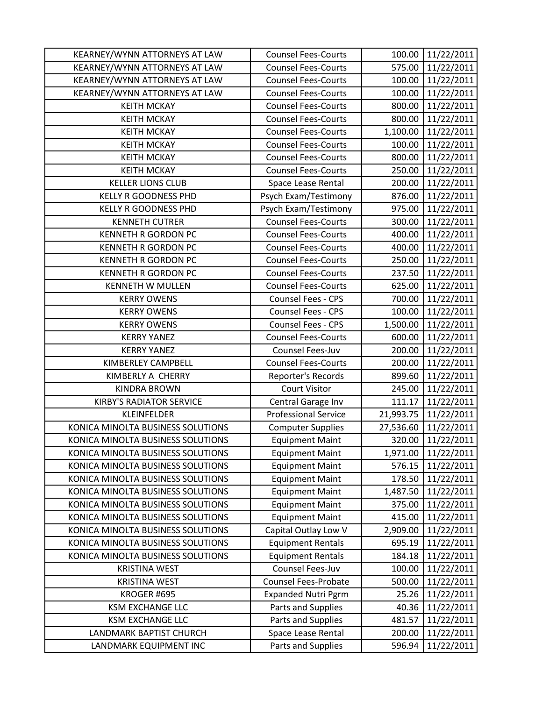| KEARNEY/WYNN ATTORNEYS AT LAW     | <b>Counsel Fees-Courts</b>  | 100.00    | 11/22/2011 |
|-----------------------------------|-----------------------------|-----------|------------|
| KEARNEY/WYNN ATTORNEYS AT LAW     | <b>Counsel Fees-Courts</b>  | 575.00    | 11/22/2011 |
| KEARNEY/WYNN ATTORNEYS AT LAW     | <b>Counsel Fees-Courts</b>  | 100.00    | 11/22/2011 |
| KEARNEY/WYNN ATTORNEYS AT LAW     | <b>Counsel Fees-Courts</b>  | 100.00    | 11/22/2011 |
| <b>KEITH MCKAY</b>                | <b>Counsel Fees-Courts</b>  | 800.00    | 11/22/2011 |
| <b>KEITH MCKAY</b>                | <b>Counsel Fees-Courts</b>  | 800.00    | 11/22/2011 |
| <b>KEITH MCKAY</b>                | <b>Counsel Fees-Courts</b>  | 1,100.00  | 11/22/2011 |
| <b>KEITH MCKAY</b>                | <b>Counsel Fees-Courts</b>  | 100.00    | 11/22/2011 |
| <b>KEITH MCKAY</b>                | <b>Counsel Fees-Courts</b>  | 800.00    | 11/22/2011 |
| <b>KEITH MCKAY</b>                | <b>Counsel Fees-Courts</b>  | 250.00    | 11/22/2011 |
| <b>KELLER LIONS CLUB</b>          | Space Lease Rental          | 200.00    | 11/22/2011 |
| <b>KELLY R GOODNESS PHD</b>       | Psych Exam/Testimony        | 876.00    | 11/22/2011 |
| KELLY R GOODNESS PHD              | Psych Exam/Testimony        | 975.00    | 11/22/2011 |
| <b>KENNETH CUTRER</b>             | <b>Counsel Fees-Courts</b>  | 300.00    | 11/22/2011 |
| <b>KENNETH R GORDON PC</b>        | <b>Counsel Fees-Courts</b>  | 400.00    | 11/22/2011 |
| <b>KENNETH R GORDON PC</b>        | <b>Counsel Fees-Courts</b>  | 400.00    | 11/22/2011 |
| KENNETH R GORDON PC               | <b>Counsel Fees-Courts</b>  | 250.00    | 11/22/2011 |
| KENNETH R GORDON PC               | <b>Counsel Fees-Courts</b>  | 237.50    | 11/22/2011 |
| <b>KENNETH W MULLEN</b>           | <b>Counsel Fees-Courts</b>  | 625.00    | 11/22/2011 |
| <b>KERRY OWENS</b>                | Counsel Fees - CPS          | 700.00    | 11/22/2011 |
| <b>KERRY OWENS</b>                | Counsel Fees - CPS          | 100.00    | 11/22/2011 |
| <b>KERRY OWENS</b>                | Counsel Fees - CPS          | 1,500.00  | 11/22/2011 |
| <b>KERRY YANEZ</b>                | <b>Counsel Fees-Courts</b>  | 600.00    | 11/22/2011 |
| <b>KERRY YANEZ</b>                | Counsel Fees-Juv            | 200.00    | 11/22/2011 |
| KIMBERLEY CAMPBELL                | <b>Counsel Fees-Courts</b>  | 200.00    | 11/22/2011 |
| KIMBERLY A CHERRY                 | Reporter's Records          | 899.60    | 11/22/2011 |
| <b>KINDRA BROWN</b>               | <b>Court Visitor</b>        | 245.00    | 11/22/2011 |
| <b>KIRBY'S RADIATOR SERVICE</b>   | Central Garage Inv          | 111.17    | 11/22/2011 |
| <b>KLEINFELDER</b>                | <b>Professional Service</b> | 21,993.75 | 11/22/2011 |
| KONICA MINOLTA BUSINESS SOLUTIONS | <b>Computer Supplies</b>    | 27,536.60 | 11/22/2011 |
| KONICA MINOLTA BUSINESS SOLUTIONS | <b>Equipment Maint</b>      | 320.00    | 11/22/2011 |
| KONICA MINOLTA BUSINESS SOLUTIONS | <b>Equipment Maint</b>      | 1,971.00  | 11/22/2011 |
| KONICA MINOLTA BUSINESS SOLUTIONS | <b>Equipment Maint</b>      | 576.15    | 11/22/2011 |
| KONICA MINOLTA BUSINESS SOLUTIONS | <b>Equipment Maint</b>      | 178.50    | 11/22/2011 |
| KONICA MINOLTA BUSINESS SOLUTIONS | <b>Equipment Maint</b>      | 1,487.50  | 11/22/2011 |
| KONICA MINOLTA BUSINESS SOLUTIONS | <b>Equipment Maint</b>      | 375.00    | 11/22/2011 |
| KONICA MINOLTA BUSINESS SOLUTIONS | <b>Equipment Maint</b>      | 415.00    | 11/22/2011 |
| KONICA MINOLTA BUSINESS SOLUTIONS | Capital Outlay Low V        | 2,909.00  | 11/22/2011 |
| KONICA MINOLTA BUSINESS SOLUTIONS | <b>Equipment Rentals</b>    | 695.19    | 11/22/2011 |
| KONICA MINOLTA BUSINESS SOLUTIONS | <b>Equipment Rentals</b>    | 184.18    | 11/22/2011 |
| <b>KRISTINA WEST</b>              | Counsel Fees-Juv            | 100.00    | 11/22/2011 |
| <b>KRISTINA WEST</b>              | <b>Counsel Fees-Probate</b> | 500.00    | 11/22/2011 |
| <b>KROGER #695</b>                | <b>Expanded Nutri Pgrm</b>  | 25.26     | 11/22/2011 |
| <b>KSM EXCHANGE LLC</b>           | Parts and Supplies          | 40.36     | 11/22/2011 |
| <b>KSM EXCHANGE LLC</b>           | Parts and Supplies          | 481.57    | 11/22/2011 |
| LANDMARK BAPTIST CHURCH           | Space Lease Rental          | 200.00    | 11/22/2011 |
| LANDMARK EQUIPMENT INC            | Parts and Supplies          | 596.94    | 11/22/2011 |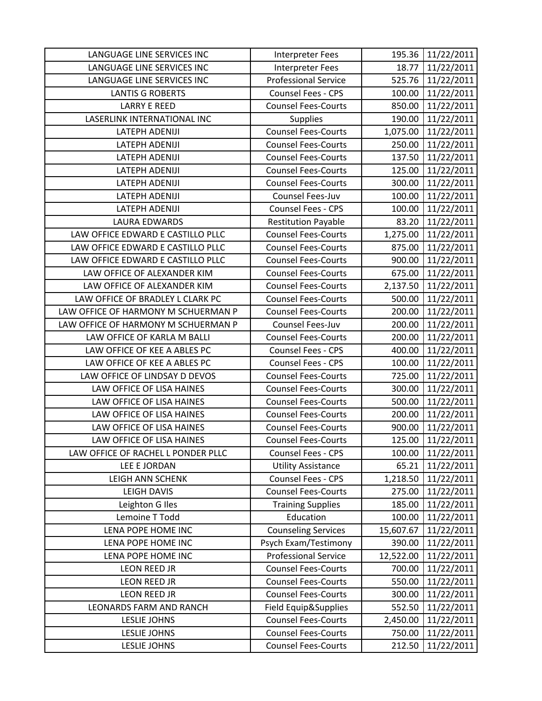| LANGUAGE LINE SERVICES INC          | <b>Interpreter Fees</b>     | 195.36    | 11/22/2011 |
|-------------------------------------|-----------------------------|-----------|------------|
| LANGUAGE LINE SERVICES INC          | <b>Interpreter Fees</b>     | 18.77     | 11/22/2011 |
| LANGUAGE LINE SERVICES INC          | <b>Professional Service</b> | 525.76    | 11/22/2011 |
| <b>LANTIS G ROBERTS</b>             | Counsel Fees - CPS          | 100.00    | 11/22/2011 |
| <b>LARRY E REED</b>                 | <b>Counsel Fees-Courts</b>  | 850.00    | 11/22/2011 |
| LASERLINK INTERNATIONAL INC         | <b>Supplies</b>             | 190.00    | 11/22/2011 |
| LATEPH ADENIJI                      | <b>Counsel Fees-Courts</b>  | 1,075.00  | 11/22/2011 |
| LATEPH ADENIJI                      | <b>Counsel Fees-Courts</b>  | 250.00    | 11/22/2011 |
| LATEPH ADENIJI                      | <b>Counsel Fees-Courts</b>  | 137.50    | 11/22/2011 |
| <b>LATEPH ADENIJI</b>               | <b>Counsel Fees-Courts</b>  | 125.00    | 11/22/2011 |
| <b>LATEPH ADENIJI</b>               | <b>Counsel Fees-Courts</b>  | 300.00    | 11/22/2011 |
| LATEPH ADENIJI                      | Counsel Fees-Juv            | 100.00    | 11/22/2011 |
| LATEPH ADENIJI                      | <b>Counsel Fees - CPS</b>   | 100.00    | 11/22/2011 |
| <b>LAURA EDWARDS</b>                | <b>Restitution Payable</b>  | 83.20     | 11/22/2011 |
| LAW OFFICE EDWARD E CASTILLO PLLC   | <b>Counsel Fees-Courts</b>  | 1,275.00  | 11/22/2011 |
| LAW OFFICE EDWARD E CASTILLO PLLC   | <b>Counsel Fees-Courts</b>  | 875.00    | 11/22/2011 |
| LAW OFFICE EDWARD E CASTILLO PLLC   | <b>Counsel Fees-Courts</b>  | 900.00    | 11/22/2011 |
| LAW OFFICE OF ALEXANDER KIM         | <b>Counsel Fees-Courts</b>  | 675.00    | 11/22/2011 |
| LAW OFFICE OF ALEXANDER KIM         | <b>Counsel Fees-Courts</b>  | 2,137.50  | 11/22/2011 |
| LAW OFFICE OF BRADLEY L CLARK PC    | <b>Counsel Fees-Courts</b>  | 500.00    | 11/22/2011 |
| LAW OFFICE OF HARMONY M SCHUERMAN P | <b>Counsel Fees-Courts</b>  | 200.00    | 11/22/2011 |
| LAW OFFICE OF HARMONY M SCHUERMAN P | Counsel Fees-Juv            | 200.00    | 11/22/2011 |
| LAW OFFICE OF KARLA M BALLI         | <b>Counsel Fees-Courts</b>  | 200.00    | 11/22/2011 |
| LAW OFFICE OF KEE A ABLES PC        | <b>Counsel Fees - CPS</b>   | 400.00    | 11/22/2011 |
| LAW OFFICE OF KEE A ABLES PC        | <b>Counsel Fees - CPS</b>   | 100.00    | 11/22/2011 |
| LAW OFFICE OF LINDSAY D DEVOS       | <b>Counsel Fees-Courts</b>  | 725.00    | 11/22/2011 |
| LAW OFFICE OF LISA HAINES           | <b>Counsel Fees-Courts</b>  | 300.00    | 11/22/2011 |
| LAW OFFICE OF LISA HAINES           | <b>Counsel Fees-Courts</b>  | 500.00    | 11/22/2011 |
| LAW OFFICE OF LISA HAINES           | <b>Counsel Fees-Courts</b>  | 200.00    | 11/22/2011 |
| LAW OFFICE OF LISA HAINES           | <b>Counsel Fees-Courts</b>  | 900.00    | 11/22/2011 |
| LAW OFFICE OF LISA HAINES           | <b>Counsel Fees-Courts</b>  | 125.00    | 11/22/2011 |
| LAW OFFICE OF RACHEL L PONDER PLLC  | Counsel Fees - CPS          | 100.00    | 11/22/2011 |
| LEE E JORDAN                        | <b>Utility Assistance</b>   | 65.21     | 11/22/2011 |
| <b>LEIGH ANN SCHENK</b>             | Counsel Fees - CPS          | 1,218.50  | 11/22/2011 |
| LEIGH DAVIS                         | <b>Counsel Fees-Courts</b>  | 275.00    | 11/22/2011 |
| Leighton G Iles                     | <b>Training Supplies</b>    | 185.00    | 11/22/2011 |
| Lemoine T Todd                      | Education                   | 100.00    | 11/22/2011 |
| LENA POPE HOME INC                  | <b>Counseling Services</b>  | 15,607.67 | 11/22/2011 |
| LENA POPE HOME INC                  | Psych Exam/Testimony        | 390.00    | 11/22/2011 |
| LENA POPE HOME INC                  | <b>Professional Service</b> | 12,522.00 | 11/22/2011 |
| LEON REED JR                        | <b>Counsel Fees-Courts</b>  | 700.00    | 11/22/2011 |
| <b>LEON REED JR</b>                 | <b>Counsel Fees-Courts</b>  | 550.00    | 11/22/2011 |
| LEON REED JR                        | <b>Counsel Fees-Courts</b>  | 300.00    | 11/22/2011 |
| LEONARDS FARM AND RANCH             | Field Equip&Supplies        | 552.50    | 11/22/2011 |
| <b>LESLIE JOHNS</b>                 | <b>Counsel Fees-Courts</b>  | 2,450.00  | 11/22/2011 |
| <b>LESLIE JOHNS</b>                 | <b>Counsel Fees-Courts</b>  | 750.00    | 11/22/2011 |
| LESLIE JOHNS                        | <b>Counsel Fees-Courts</b>  | 212.50    | 11/22/2011 |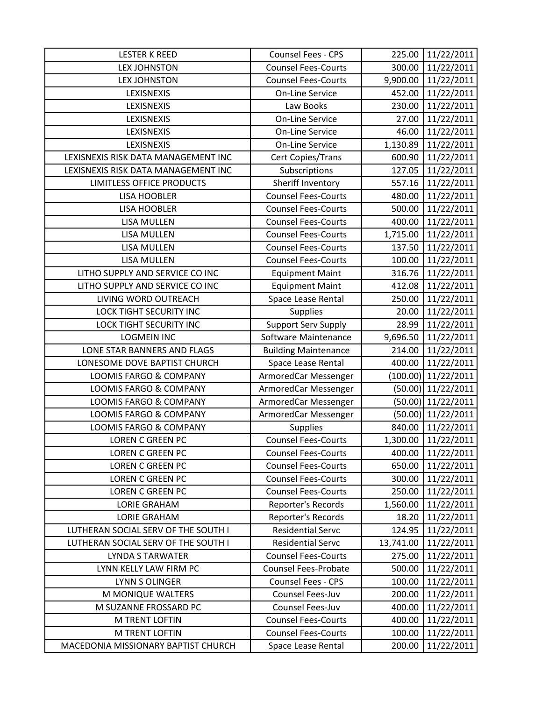| <b>LESTER K REED</b>                | Counsel Fees - CPS          | 225.00    | 11/22/2011           |
|-------------------------------------|-----------------------------|-----------|----------------------|
| <b>LEX JOHNSTON</b>                 | <b>Counsel Fees-Courts</b>  | 300.00    | 11/22/2011           |
| <b>LEX JOHNSTON</b>                 | <b>Counsel Fees-Courts</b>  | 9,900.00  | 11/22/2011           |
| LEXISNEXIS                          | <b>On-Line Service</b>      | 452.00    | 11/22/2011           |
| LEXISNEXIS                          | Law Books                   | 230.00    | 11/22/2011           |
| LEXISNEXIS                          | <b>On-Line Service</b>      | 27.00     | 11/22/2011           |
| LEXISNEXIS                          | <b>On-Line Service</b>      | 46.00     | 11/22/2011           |
| LEXISNEXIS                          | <b>On-Line Service</b>      | 1,130.89  | 11/22/2011           |
| LEXISNEXIS RISK DATA MANAGEMENT INC | Cert Copies/Trans           | 600.90    | 11/22/2011           |
| LEXISNEXIS RISK DATA MANAGEMENT INC | Subscriptions               | 127.05    | 11/22/2011           |
| LIMITLESS OFFICE PRODUCTS           | Sheriff Inventory           | 557.16    | 11/22/2011           |
| <b>LISA HOOBLER</b>                 | <b>Counsel Fees-Courts</b>  | 480.00    | 11/22/2011           |
| <b>LISA HOOBLER</b>                 | <b>Counsel Fees-Courts</b>  | 500.00    | 11/22/2011           |
| <b>LISA MULLEN</b>                  | <b>Counsel Fees-Courts</b>  | 400.00    | 11/22/2011           |
| <b>LISA MULLEN</b>                  | <b>Counsel Fees-Courts</b>  | 1,715.00  | 11/22/2011           |
| <b>LISA MULLEN</b>                  | <b>Counsel Fees-Courts</b>  | 137.50    | 11/22/2011           |
| <b>LISA MULLEN</b>                  | <b>Counsel Fees-Courts</b>  | 100.00    | 11/22/2011           |
| LITHO SUPPLY AND SERVICE CO INC     | <b>Equipment Maint</b>      | 316.76    | 11/22/2011           |
| LITHO SUPPLY AND SERVICE CO INC     | <b>Equipment Maint</b>      | 412.08    | 11/22/2011           |
| LIVING WORD OUTREACH                | Space Lease Rental          | 250.00    | 11/22/2011           |
| LOCK TIGHT SECURITY INC             | <b>Supplies</b>             | 20.00     | 11/22/2011           |
| <b>LOCK TIGHT SECURITY INC</b>      | Support Serv Supply         | 28.99     | 11/22/2011           |
| <b>LOGMEIN INC</b>                  | Software Maintenance        | 9,696.50  | 11/22/2011           |
| LONE STAR BANNERS AND FLAGS         | <b>Building Maintenance</b> | 214.00    | 11/22/2011           |
| LONESOME DOVE BAPTIST CHURCH        | Space Lease Rental          | 400.00    | 11/22/2011           |
| LOOMIS FARGO & COMPANY              | ArmoredCar Messenger        | (100.00)  | 11/22/2011           |
| <b>LOOMIS FARGO &amp; COMPANY</b>   | ArmoredCar Messenger        | (50.00)   | 11/22/2011           |
| LOOMIS FARGO & COMPANY              | ArmoredCar Messenger        |           | $(50.00)$ 11/22/2011 |
| <b>LOOMIS FARGO &amp; COMPANY</b>   | ArmoredCar Messenger        | (50.00)   | 11/22/2011           |
| LOOMIS FARGO & COMPANY              | <b>Supplies</b>             | 840.00    | 11/22/2011           |
| <b>LOREN C GREEN PC</b>             | <b>Counsel Fees-Courts</b>  | 1,300.00  | 11/22/2011           |
| <b>LOREN C GREEN PC</b>             | <b>Counsel Fees-Courts</b>  | 400.00    | 11/22/2011           |
| LOREN C GREEN PC                    | <b>Counsel Fees-Courts</b>  | 650.00    | 11/22/2011           |
| <b>LOREN C GREEN PC</b>             | <b>Counsel Fees-Courts</b>  | 300.00    | 11/22/2011           |
| <b>LOREN C GREEN PC</b>             | <b>Counsel Fees-Courts</b>  | 250.00    | 11/22/2011           |
| <b>LORIE GRAHAM</b>                 | Reporter's Records          | 1,560.00  | 11/22/2011           |
| <b>LORIE GRAHAM</b>                 | Reporter's Records          | 18.20     | 11/22/2011           |
| LUTHERAN SOCIAL SERV OF THE SOUTH I | <b>Residential Servc</b>    | 124.95    | 11/22/2011           |
| LUTHERAN SOCIAL SERV OF THE SOUTH I | <b>Residential Servc</b>    | 13,741.00 | 11/22/2011           |
| <b>LYNDA S TARWATER</b>             | <b>Counsel Fees-Courts</b>  | 275.00    | 11/22/2011           |
| LYNN KELLY LAW FIRM PC              | <b>Counsel Fees-Probate</b> | 500.00    | 11/22/2011           |
| <b>LYNN S OLINGER</b>               | <b>Counsel Fees - CPS</b>   | 100.00    | 11/22/2011           |
| M MONIQUE WALTERS                   | Counsel Fees-Juv            | 200.00    | 11/22/2011           |
| M SUZANNE FROSSARD PC               | Counsel Fees-Juv            | 400.00    | 11/22/2011           |
| M TRENT LOFTIN                      | <b>Counsel Fees-Courts</b>  | 400.00    | 11/22/2011           |
| <b>M TRENT LOFTIN</b>               | <b>Counsel Fees-Courts</b>  | 100.00    | 11/22/2011           |
| MACEDONIA MISSIONARY BAPTIST CHURCH | Space Lease Rental          | 200.00    | 11/22/2011           |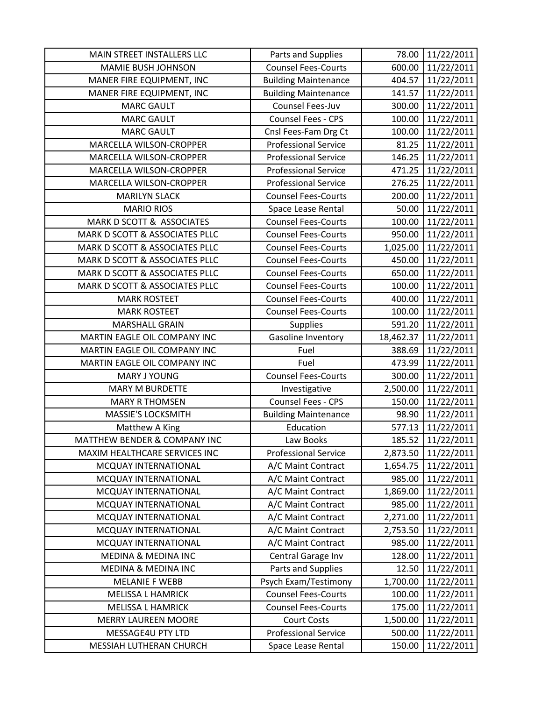| MAIN STREET INSTALLERS LLC     | Parts and Supplies          | 78.00     | 11/22/2011 |
|--------------------------------|-----------------------------|-----------|------------|
| <b>MAMIE BUSH JOHNSON</b>      | <b>Counsel Fees-Courts</b>  | 600.00    | 11/22/2011 |
| MANER FIRE EQUIPMENT, INC      | <b>Building Maintenance</b> | 404.57    | 11/22/2011 |
| MANER FIRE EQUIPMENT, INC      | <b>Building Maintenance</b> | 141.57    | 11/22/2011 |
| <b>MARC GAULT</b>              | Counsel Fees-Juv            | 300.00    | 11/22/2011 |
| <b>MARC GAULT</b>              | Counsel Fees - CPS          | 100.00    | 11/22/2011 |
| <b>MARC GAULT</b>              | Cnsl Fees-Fam Drg Ct        | 100.00    | 11/22/2011 |
| MARCELLA WILSON-CROPPER        | <b>Professional Service</b> | 81.25     | 11/22/2011 |
| MARCELLA WILSON-CROPPER        | <b>Professional Service</b> | 146.25    | 11/22/2011 |
| MARCELLA WILSON-CROPPER        | <b>Professional Service</b> | 471.25    | 11/22/2011 |
| MARCELLA WILSON-CROPPER        | <b>Professional Service</b> | 276.25    | 11/22/2011 |
| <b>MARILYN SLACK</b>           | <b>Counsel Fees-Courts</b>  | 200.00    | 11/22/2011 |
| <b>MARIO RIOS</b>              | Space Lease Rental          | 50.00     | 11/22/2011 |
| MARK D SCOTT & ASSOCIATES      | <b>Counsel Fees-Courts</b>  | 100.00    | 11/22/2011 |
| MARK D SCOTT & ASSOCIATES PLLC | <b>Counsel Fees-Courts</b>  | 950.00    | 11/22/2011 |
| MARK D SCOTT & ASSOCIATES PLLC | <b>Counsel Fees-Courts</b>  | 1,025.00  | 11/22/2011 |
| MARK D SCOTT & ASSOCIATES PLLC | <b>Counsel Fees-Courts</b>  | 450.00    | 11/22/2011 |
| MARK D SCOTT & ASSOCIATES PLLC | <b>Counsel Fees-Courts</b>  | 650.00    | 11/22/2011 |
| MARK D SCOTT & ASSOCIATES PLLC | <b>Counsel Fees-Courts</b>  | 100.00    | 11/22/2011 |
| <b>MARK ROSTEET</b>            | <b>Counsel Fees-Courts</b>  | 400.00    | 11/22/2011 |
| <b>MARK ROSTEET</b>            | <b>Counsel Fees-Courts</b>  | 100.00    | 11/22/2011 |
| <b>MARSHALL GRAIN</b>          | <b>Supplies</b>             | 591.20    | 11/22/2011 |
| MARTIN EAGLE OIL COMPANY INC   | Gasoline Inventory          | 18,462.37 | 11/22/2011 |
| MARTIN EAGLE OIL COMPANY INC   | Fuel                        | 388.69    | 11/22/2011 |
| MARTIN EAGLE OIL COMPANY INC   | Fuel                        | 473.99    | 11/22/2011 |
| MARY J YOUNG                   | <b>Counsel Fees-Courts</b>  | 300.00    | 11/22/2011 |
| <b>MARY M BURDETTE</b>         | Investigative               | 2,500.00  | 11/22/2011 |
| <b>MARY R THOMSEN</b>          | <b>Counsel Fees - CPS</b>   | 150.00    | 11/22/2011 |
| <b>MASSIE'S LOCKSMITH</b>      | <b>Building Maintenance</b> | 98.90     | 11/22/2011 |
| Matthew A King                 | Education                   | 577.13    | 11/22/2011 |
| MATTHEW BENDER & COMPANY INC   | Law Books                   | 185.52    | 11/22/2011 |
| MAXIM HEALTHCARE SERVICES INC  | <b>Professional Service</b> | 2,873.50  | 11/22/2011 |
| MCQUAY INTERNATIONAL           | A/C Maint Contract          | 1,654.75  | 11/22/2011 |
| MCQUAY INTERNATIONAL           | A/C Maint Contract          | 985.00    | 11/22/2011 |
| MCQUAY INTERNATIONAL           | A/C Maint Contract          | 1,869.00  | 11/22/2011 |
| MCQUAY INTERNATIONAL           | A/C Maint Contract          | 985.00    | 11/22/2011 |
| MCQUAY INTERNATIONAL           | A/C Maint Contract          | 2,271.00  | 11/22/2011 |
| MCQUAY INTERNATIONAL           | A/C Maint Contract          | 2,753.50  | 11/22/2011 |
| MCQUAY INTERNATIONAL           | A/C Maint Contract          | 985.00    | 11/22/2011 |
| MEDINA & MEDINA INC            | Central Garage Inv          | 128.00    | 11/22/2011 |
| <b>MEDINA &amp; MEDINA INC</b> | Parts and Supplies          | 12.50     | 11/22/2011 |
| <b>MELANIE F WEBB</b>          | Psych Exam/Testimony        | 1,700.00  | 11/22/2011 |
| <b>MELISSA L HAMRICK</b>       | <b>Counsel Fees-Courts</b>  | 100.00    | 11/22/2011 |
| <b>MELISSA L HAMRICK</b>       | <b>Counsel Fees-Courts</b>  | 175.00    | 11/22/2011 |
| <b>MERRY LAUREEN MOORE</b>     | <b>Court Costs</b>          | 1,500.00  | 11/22/2011 |
| MESSAGE4U PTY LTD              | <b>Professional Service</b> | 500.00    | 11/22/2011 |
| MESSIAH LUTHERAN CHURCH        | Space Lease Rental          | 150.00    | 11/22/2011 |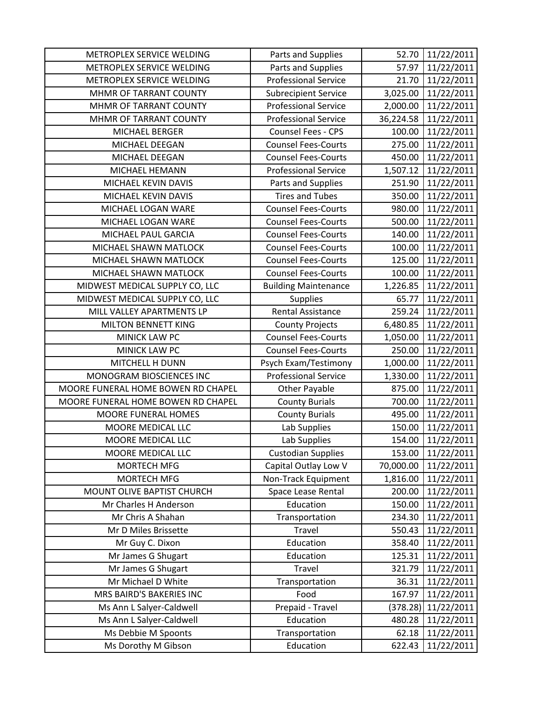| METROPLEX SERVICE WELDING          | Parts and Supplies          | 52.70     | 11/22/2011 |
|------------------------------------|-----------------------------|-----------|------------|
| METROPLEX SERVICE WELDING          | Parts and Supplies          | 57.97     | 11/22/2011 |
| METROPLEX SERVICE WELDING          | <b>Professional Service</b> | 21.70     | 11/22/2011 |
| MHMR OF TARRANT COUNTY             | <b>Subrecipient Service</b> | 3,025.00  | 11/22/2011 |
| MHMR OF TARRANT COUNTY             | <b>Professional Service</b> | 2,000.00  | 11/22/2011 |
| MHMR OF TARRANT COUNTY             | <b>Professional Service</b> | 36,224.58 | 11/22/2011 |
| MICHAEL BERGER                     | Counsel Fees - CPS          | 100.00    | 11/22/2011 |
| MICHAEL DEEGAN                     | <b>Counsel Fees-Courts</b>  | 275.00    | 11/22/2011 |
| MICHAEL DEEGAN                     | <b>Counsel Fees-Courts</b>  | 450.00    | 11/22/2011 |
| MICHAEL HEMANN                     | <b>Professional Service</b> | 1,507.12  | 11/22/2011 |
| MICHAEL KEVIN DAVIS                | Parts and Supplies          | 251.90    | 11/22/2011 |
| MICHAEL KEVIN DAVIS                | <b>Tires and Tubes</b>      | 350.00    | 11/22/2011 |
| MICHAEL LOGAN WARE                 | <b>Counsel Fees-Courts</b>  | 980.00    | 11/22/2011 |
| MICHAEL LOGAN WARE                 | <b>Counsel Fees-Courts</b>  | 500.00    | 11/22/2011 |
| MICHAEL PAUL GARCIA                | <b>Counsel Fees-Courts</b>  | 140.00    | 11/22/2011 |
| MICHAEL SHAWN MATLOCK              | <b>Counsel Fees-Courts</b>  | 100.00    | 11/22/2011 |
| MICHAEL SHAWN MATLOCK              | <b>Counsel Fees-Courts</b>  | 125.00    | 11/22/2011 |
| MICHAEL SHAWN MATLOCK              | <b>Counsel Fees-Courts</b>  | 100.00    | 11/22/2011 |
| MIDWEST MEDICAL SUPPLY CO, LLC     | <b>Building Maintenance</b> | 1,226.85  | 11/22/2011 |
| MIDWEST MEDICAL SUPPLY CO, LLC     | <b>Supplies</b>             | 65.77     | 11/22/2011 |
| MILL VALLEY APARTMENTS LP          | <b>Rental Assistance</b>    | 259.24    | 11/22/2011 |
| MILTON BENNETT KING                | <b>County Projects</b>      | 6,480.85  | 11/22/2011 |
| MINICK LAW PC                      | <b>Counsel Fees-Courts</b>  | 1,050.00  | 11/22/2011 |
| <b>MINICK LAW PC</b>               | <b>Counsel Fees-Courts</b>  | 250.00    | 11/22/2011 |
| MITCHELL H DUNN                    | Psych Exam/Testimony        | 1,000.00  | 11/22/2011 |
| MONOGRAM BIOSCIENCES INC           | <b>Professional Service</b> | 1,330.00  | 11/22/2011 |
| MOORE FUNERAL HOME BOWEN RD CHAPEL | Other Payable               | 875.00    | 11/22/2011 |
| MOORE FUNERAL HOME BOWEN RD CHAPEL | <b>County Burials</b>       | 700.00    | 11/22/2011 |
| <b>MOORE FUNERAL HOMES</b>         | <b>County Burials</b>       | 495.00    | 11/22/2011 |
| MOORE MEDICAL LLC                  | Lab Supplies                | 150.00    | 11/22/2011 |
| MOORE MEDICAL LLC                  | Lab Supplies                | 154.00    | 11/22/2011 |
| MOORE MEDICAL LLC                  | <b>Custodian Supplies</b>   | 153.00    | 11/22/2011 |
| <b>MORTECH MFG</b>                 | Capital Outlay Low V        | 70,000.00 | 11/22/2011 |
| <b>MORTECH MFG</b>                 | Non-Track Equipment         | 1,816.00  | 11/22/2011 |
| MOUNT OLIVE BAPTIST CHURCH         | Space Lease Rental          | 200.00    | 11/22/2011 |
| Mr Charles H Anderson              | Education                   | 150.00    | 11/22/2011 |
| Mr Chris A Shahan                  | Transportation              | 234.30    | 11/22/2011 |
| Mr D Miles Brissette               | Travel                      | 550.43    | 11/22/2011 |
| Mr Guy C. Dixon                    | Education                   | 358.40    | 11/22/2011 |
| Mr James G Shugart                 | Education                   | 125.31    | 11/22/2011 |
| Mr James G Shugart                 | Travel                      | 321.79    | 11/22/2011 |
| Mr Michael D White                 | Transportation              | 36.31     | 11/22/2011 |
| MRS BAIRD'S BAKERIES INC           | Food                        | 167.97    | 11/22/2011 |
| Ms Ann L Salyer-Caldwell           | Prepaid - Travel            | (378.28)  | 11/22/2011 |
| Ms Ann L Salyer-Caldwell           | Education                   | 480.28    | 11/22/2011 |
| Ms Debbie M Spoonts                | Transportation              | 62.18     | 11/22/2011 |
| Ms Dorothy M Gibson                | Education                   | 622.43    | 11/22/2011 |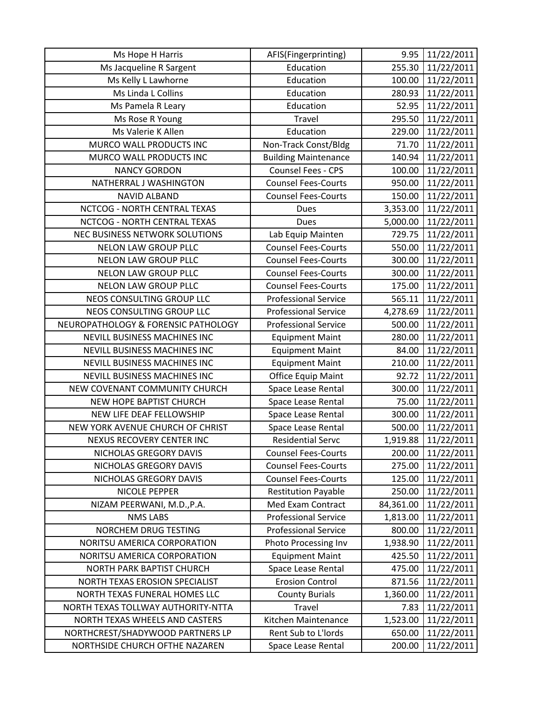| Ms Hope H Harris                    | AFIS(Fingerprinting)        | 9.95      | 11/22/2011 |
|-------------------------------------|-----------------------------|-----------|------------|
| Ms Jacqueline R Sargent             | Education                   | 255.30    | 11/22/2011 |
| Ms Kelly L Lawhorne                 | Education                   | 100.00    | 11/22/2011 |
| Ms Linda L Collins                  | Education                   | 280.93    | 11/22/2011 |
| Ms Pamela R Leary                   | Education                   | 52.95     | 11/22/2011 |
| Ms Rose R Young                     | Travel                      | 295.50    | 11/22/2011 |
| Ms Valerie K Allen                  | Education                   | 229.00    | 11/22/2011 |
| MURCO WALL PRODUCTS INC             | Non-Track Const/Bldg        | 71.70     | 11/22/2011 |
| MURCO WALL PRODUCTS INC             | <b>Building Maintenance</b> | 140.94    | 11/22/2011 |
| <b>NANCY GORDON</b>                 | Counsel Fees - CPS          | 100.00    | 11/22/2011 |
| NATHERRAL J WASHINGTON              | <b>Counsel Fees-Courts</b>  | 950.00    | 11/22/2011 |
| <b>NAVID ALBAND</b>                 | <b>Counsel Fees-Courts</b>  | 150.00    | 11/22/2011 |
| NCTCOG - NORTH CENTRAL TEXAS        | Dues                        | 3,353.00  | 11/22/2011 |
| NCTCOG - NORTH CENTRAL TEXAS        | <b>Dues</b>                 | 5,000.00  | 11/22/2011 |
| NEC BUSINESS NETWORK SOLUTIONS      | Lab Equip Mainten           | 729.75    | 11/22/2011 |
| NELON LAW GROUP PLLC                | <b>Counsel Fees-Courts</b>  | 550.00    | 11/22/2011 |
| NELON LAW GROUP PLLC                | <b>Counsel Fees-Courts</b>  | 300.00    | 11/22/2011 |
| NELON LAW GROUP PLLC                | <b>Counsel Fees-Courts</b>  | 300.00    | 11/22/2011 |
| NELON LAW GROUP PLLC                | <b>Counsel Fees-Courts</b>  | 175.00    | 11/22/2011 |
| NEOS CONSULTING GROUP LLC           | <b>Professional Service</b> | 565.11    | 11/22/2011 |
| NEOS CONSULTING GROUP LLC           | <b>Professional Service</b> | 4,278.69  | 11/22/2011 |
| NEUROPATHOLOGY & FORENSIC PATHOLOGY | <b>Professional Service</b> | 500.00    | 11/22/2011 |
| NEVILL BUSINESS MACHINES INC        | <b>Equipment Maint</b>      | 280.00    | 11/22/2011 |
| NEVILL BUSINESS MACHINES INC        | <b>Equipment Maint</b>      | 84.00     | 11/22/2011 |
| NEVILL BUSINESS MACHINES INC        | <b>Equipment Maint</b>      | 210.00    | 11/22/2011 |
| NEVILL BUSINESS MACHINES INC        | <b>Office Equip Maint</b>   | 92.72     | 11/22/2011 |
| NEW COVENANT COMMUNITY CHURCH       | Space Lease Rental          | 300.00    | 11/22/2011 |
| NEW HOPE BAPTIST CHURCH             | Space Lease Rental          | 75.00     | 11/22/2011 |
| NEW LIFE DEAF FELLOWSHIP            | Space Lease Rental          | 300.00    | 11/22/2011 |
| NEW YORK AVENUE CHURCH OF CHRIST    | Space Lease Rental          | 500.00    | 11/22/2011 |
| NEXUS RECOVERY CENTER INC           | <b>Residential Servc</b>    | 1,919.88  | 11/22/2011 |
| NICHOLAS GREGORY DAVIS              | <b>Counsel Fees-Courts</b>  | 200.00    | 11/22/2011 |
| NICHOLAS GREGORY DAVIS              | <b>Counsel Fees-Courts</b>  | 275.00    | 11/22/2011 |
| NICHOLAS GREGORY DAVIS              | <b>Counsel Fees-Courts</b>  | 125.00    | 11/22/2011 |
| NICOLE PEPPER                       | <b>Restitution Payable</b>  | 250.00    | 11/22/2011 |
| NIZAM PEERWANI, M.D., P.A.          | Med Exam Contract           | 84,361.00 | 11/22/2011 |
| <b>NMS LABS</b>                     | <b>Professional Service</b> | 1,813.00  | 11/22/2011 |
| NORCHEM DRUG TESTING                | <b>Professional Service</b> | 800.00    | 11/22/2011 |
| NORITSU AMERICA CORPORATION         | Photo Processing Inv        | 1,938.90  | 11/22/2011 |
| NORITSU AMERICA CORPORATION         | <b>Equipment Maint</b>      | 425.50    | 11/22/2011 |
| <b>NORTH PARK BAPTIST CHURCH</b>    | Space Lease Rental          | 475.00    | 11/22/2011 |
| NORTH TEXAS EROSION SPECIALIST      | <b>Erosion Control</b>      | 871.56    | 11/22/2011 |
| NORTH TEXAS FUNERAL HOMES LLC       | <b>County Burials</b>       | 1,360.00  | 11/22/2011 |
| NORTH TEXAS TOLLWAY AUTHORITY-NTTA  | Travel                      | 7.83      | 11/22/2011 |
| NORTH TEXAS WHEELS AND CASTERS      | Kitchen Maintenance         | 1,523.00  | 11/22/2011 |
| NORTHCREST/SHADYWOOD PARTNERS LP    | Rent Sub to L'Iords         | 650.00    | 11/22/2011 |
| NORTHSIDE CHURCH OFTHE NAZAREN      | Space Lease Rental          | 200.00    | 11/22/2011 |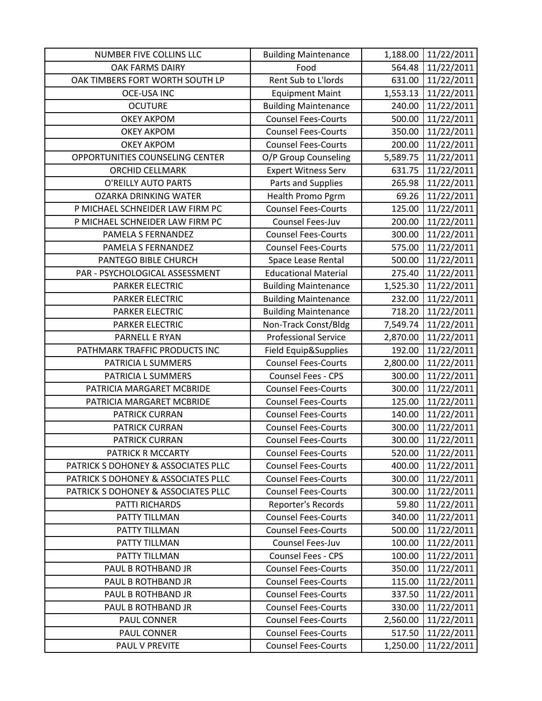| NUMBER FIVE COLLINS LLC             | <b>Building Maintenance</b> | 1,188.00 | 11/22/2011 |
|-------------------------------------|-----------------------------|----------|------------|
| OAK FARMS DAIRY                     | Food                        | 564.48   | 11/22/2011 |
| OAK TIMBERS FORT WORTH SOUTH LP     | Rent Sub to L'Iords         | 631.00   | 11/22/2011 |
| <b>OCE-USA INC</b>                  | <b>Equipment Maint</b>      | 1,553.13 | 11/22/2011 |
| <b>OCUTURE</b>                      | <b>Building Maintenance</b> | 240.00   | 11/22/2011 |
| <b>OKEY AKPOM</b>                   | <b>Counsel Fees-Courts</b>  | 500.00   | 11/22/2011 |
| <b>OKEY AKPOM</b>                   | <b>Counsel Fees-Courts</b>  | 350.00   | 11/22/2011 |
| <b>OKEY AKPOM</b>                   | <b>Counsel Fees-Courts</b>  | 200.00   | 11/22/2011 |
| OPPORTUNITIES COUNSELING CENTER     | O/P Group Counseling        | 5,589.75 | 11/22/2011 |
| <b>ORCHID CELLMARK</b>              | <b>Expert Witness Serv</b>  | 631.75   | 11/22/2011 |
| <b>O'REILLY AUTO PARTS</b>          | Parts and Supplies          | 265.98   | 11/22/2011 |
| <b>OZARKA DRINKING WATER</b>        | Health Promo Pgrm           | 69.26    | 11/22/2011 |
| P MICHAEL SCHNEIDER LAW FIRM PC     | <b>Counsel Fees-Courts</b>  | 125.00   | 11/22/2011 |
| P MICHAEL SCHNEIDER LAW FIRM PC     | <b>Counsel Fees-Juv</b>     | 200.00   | 11/22/2011 |
| PAMELA S FERNANDEZ                  | <b>Counsel Fees-Courts</b>  | 300.00   | 11/22/2011 |
| PAMELA S FERNANDEZ                  | <b>Counsel Fees-Courts</b>  | 575.00   | 11/22/2011 |
| PANTEGO BIBLE CHURCH                | Space Lease Rental          | 500.00   | 11/22/2011 |
| PAR - PSYCHOLOGICAL ASSESSMENT      | <b>Educational Material</b> | 275.40   | 11/22/2011 |
| PARKER ELECTRIC                     | <b>Building Maintenance</b> | 1,525.30 | 11/22/2011 |
| <b>PARKER ELECTRIC</b>              | <b>Building Maintenance</b> | 232.00   | 11/22/2011 |
| <b>PARKER ELECTRIC</b>              | <b>Building Maintenance</b> | 718.20   | 11/22/2011 |
| <b>PARKER ELECTRIC</b>              | Non-Track Const/Bldg        | 7,549.74 | 11/22/2011 |
| PARNELL E RYAN                      | <b>Professional Service</b> | 2,870.00 | 11/22/2011 |
| PATHMARK TRAFFIC PRODUCTS INC       | Field Equip&Supplies        | 192.00   | 11/22/2011 |
| PATRICIA L SUMMERS                  | <b>Counsel Fees-Courts</b>  | 2,800.00 | 11/22/2011 |
| PATRICIA L SUMMERS                  | Counsel Fees - CPS          | 300.00   | 11/22/2011 |
| PATRICIA MARGARET MCBRIDE           | <b>Counsel Fees-Courts</b>  | 300.00   | 11/22/2011 |
| PATRICIA MARGARET MCBRIDE           | <b>Counsel Fees-Courts</b>  | 125.00   | 11/22/2011 |
| PATRICK CURRAN                      | <b>Counsel Fees-Courts</b>  | 140.00   | 11/22/2011 |
| <b>PATRICK CURRAN</b>               | <b>Counsel Fees-Courts</b>  | 300.00   | 11/22/2011 |
| <b>PATRICK CURRAN</b>               | <b>Counsel Fees-Courts</b>  | 300.00   | 11/22/2011 |
| PATRICK R MCCARTY                   | <b>Counsel Fees-Courts</b>  | 520.00   | 11/22/2011 |
| PATRICK S DOHONEY & ASSOCIATES PLLC | <b>Counsel Fees-Courts</b>  | 400.00   | 11/22/2011 |
| PATRICK S DOHONEY & ASSOCIATES PLLC | <b>Counsel Fees-Courts</b>  | 300.00   | 11/22/2011 |
| PATRICK S DOHONEY & ASSOCIATES PLLC | <b>Counsel Fees-Courts</b>  | 300.00   | 11/22/2011 |
| PATTI RICHARDS                      | Reporter's Records          | 59.80    | 11/22/2011 |
| PATTY TILLMAN                       | <b>Counsel Fees-Courts</b>  | 340.00   | 11/22/2011 |
| PATTY TILLMAN                       | <b>Counsel Fees-Courts</b>  | 500.00   | 11/22/2011 |
| PATTY TILLMAN                       | Counsel Fees-Juv            | 100.00   | 11/22/2011 |
| PATTY TILLMAN                       | Counsel Fees - CPS          | 100.00   | 11/22/2011 |
| PAUL B ROTHBAND JR                  | <b>Counsel Fees-Courts</b>  | 350.00   | 11/22/2011 |
| PAUL B ROTHBAND JR                  | <b>Counsel Fees-Courts</b>  | 115.00   | 11/22/2011 |
| PAUL B ROTHBAND JR                  | <b>Counsel Fees-Courts</b>  | 337.50   | 11/22/2011 |
| PAUL B ROTHBAND JR                  | <b>Counsel Fees-Courts</b>  | 330.00   | 11/22/2011 |
| PAUL CONNER                         | <b>Counsel Fees-Courts</b>  | 2,560.00 | 11/22/2011 |
| PAUL CONNER                         | <b>Counsel Fees-Courts</b>  | 517.50   | 11/22/2011 |
| PAUL V PREVITE                      | <b>Counsel Fees-Courts</b>  | 1,250.00 | 11/22/2011 |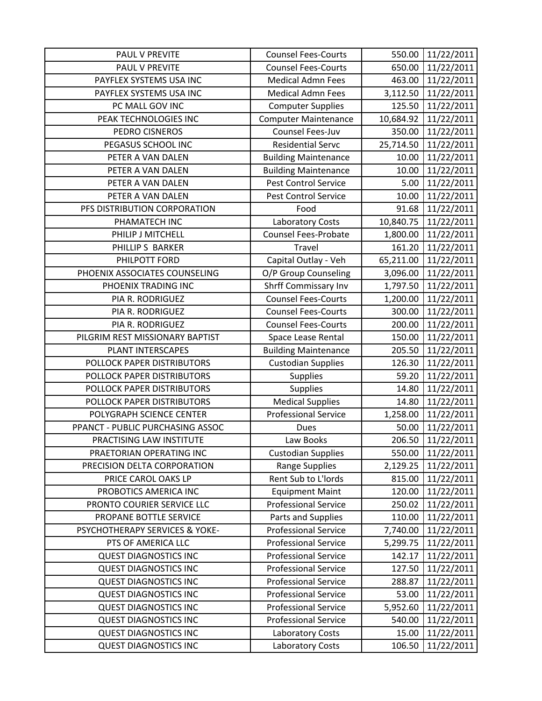| <b>PAUL V PREVITE</b>            | <b>Counsel Fees-Courts</b>  | 550.00    | 11/22/2011 |
|----------------------------------|-----------------------------|-----------|------------|
| PAUL V PREVITE                   | <b>Counsel Fees-Courts</b>  | 650.00    | 11/22/2011 |
| PAYFLEX SYSTEMS USA INC          | <b>Medical Admn Fees</b>    | 463.00    | 11/22/2011 |
| PAYFLEX SYSTEMS USA INC          | <b>Medical Admn Fees</b>    | 3,112.50  | 11/22/2011 |
| PC MALL GOV INC                  | <b>Computer Supplies</b>    | 125.50    | 11/22/2011 |
| PEAK TECHNOLOGIES INC            | <b>Computer Maintenance</b> | 10,684.92 | 11/22/2011 |
| PEDRO CISNEROS                   | Counsel Fees-Juv            | 350.00    | 11/22/2011 |
| PEGASUS SCHOOL INC               | <b>Residential Servc</b>    | 25,714.50 | 11/22/2011 |
| PETER A VAN DALEN                | <b>Building Maintenance</b> | 10.00     | 11/22/2011 |
| PETER A VAN DALEN                | <b>Building Maintenance</b> | 10.00     | 11/22/2011 |
| PETER A VAN DALEN                | <b>Pest Control Service</b> | 5.00      | 11/22/2011 |
| PETER A VAN DALEN                | <b>Pest Control Service</b> | 10.00     | 11/22/2011 |
| PFS DISTRIBUTION CORPORATION     | Food                        | 91.68     | 11/22/2011 |
| PHAMATECH INC                    | Laboratory Costs            | 10,840.75 | 11/22/2011 |
| PHILIP J MITCHELL                | Counsel Fees-Probate        | 1,800.00  | 11/22/2011 |
| PHILLIP S BARKER                 | <b>Travel</b>               | 161.20    | 11/22/2011 |
| PHILPOTT FORD                    | Capital Outlay - Veh        | 65,211.00 | 11/22/2011 |
| PHOENIX ASSOCIATES COUNSELING    | O/P Group Counseling        | 3,096.00  | 11/22/2011 |
| PHOENIX TRADING INC              | Shrff Commissary Inv        | 1,797.50  | 11/22/2011 |
| PIA R. RODRIGUEZ                 | <b>Counsel Fees-Courts</b>  | 1,200.00  | 11/22/2011 |
| PIA R. RODRIGUEZ                 | <b>Counsel Fees-Courts</b>  | 300.00    | 11/22/2011 |
| PIA R. RODRIGUEZ                 | <b>Counsel Fees-Courts</b>  | 200.00    | 11/22/2011 |
| PILGRIM REST MISSIONARY BAPTIST  | Space Lease Rental          | 150.00    | 11/22/2011 |
| PLANT INTERSCAPES                | <b>Building Maintenance</b> | 205.50    | 11/22/2011 |
| POLLOCK PAPER DISTRIBUTORS       | <b>Custodian Supplies</b>   | 126.30    | 11/22/2011 |
| POLLOCK PAPER DISTRIBUTORS       | <b>Supplies</b>             | 59.20     | 11/22/2011 |
| POLLOCK PAPER DISTRIBUTORS       | <b>Supplies</b>             | 14.80     | 11/22/2011 |
| POLLOCK PAPER DISTRIBUTORS       | <b>Medical Supplies</b>     | 14.80     | 11/22/2011 |
| POLYGRAPH SCIENCE CENTER         | <b>Professional Service</b> | 1,258.00  | 11/22/2011 |
| PPANCT - PUBLIC PURCHASING ASSOC | <b>Dues</b>                 | 50.00     | 11/22/2011 |
| PRACTISING LAW INSTITUTE         | Law Books                   | 206.50    | 11/22/2011 |
| PRAETORIAN OPERATING INC         | <b>Custodian Supplies</b>   | 550.00    | 11/22/2011 |
| PRECISION DELTA CORPORATION      | <b>Range Supplies</b>       | 2,129.25  | 11/22/2011 |
| PRICE CAROL OAKS LP              | Rent Sub to L'Iords         | 815.00    | 11/22/2011 |
| PROBOTICS AMERICA INC            | <b>Equipment Maint</b>      | 120.00    | 11/22/2011 |
| PRONTO COURIER SERVICE LLC       | <b>Professional Service</b> | 250.02    | 11/22/2011 |
| PROPANE BOTTLE SERVICE           | Parts and Supplies          | 110.00    | 11/22/2011 |
| PSYCHOTHERAPY SERVICES & YOKE-   | <b>Professional Service</b> | 7,740.00  | 11/22/2011 |
| PTS OF AMERICA LLC               | <b>Professional Service</b> | 5,299.75  | 11/22/2011 |
| <b>QUEST DIAGNOSTICS INC</b>     | <b>Professional Service</b> | 142.17    | 11/22/2011 |
| <b>QUEST DIAGNOSTICS INC</b>     | <b>Professional Service</b> | 127.50    | 11/22/2011 |
| <b>QUEST DIAGNOSTICS INC</b>     | <b>Professional Service</b> | 288.87    | 11/22/2011 |
| <b>QUEST DIAGNOSTICS INC</b>     | <b>Professional Service</b> | 53.00     | 11/22/2011 |
| <b>QUEST DIAGNOSTICS INC</b>     | <b>Professional Service</b> | 5,952.60  | 11/22/2011 |
| <b>QUEST DIAGNOSTICS INC</b>     | <b>Professional Service</b> | 540.00    | 11/22/2011 |
| <b>QUEST DIAGNOSTICS INC</b>     | Laboratory Costs            | 15.00     | 11/22/2011 |
| <b>QUEST DIAGNOSTICS INC</b>     | Laboratory Costs            | 106.50    | 11/22/2011 |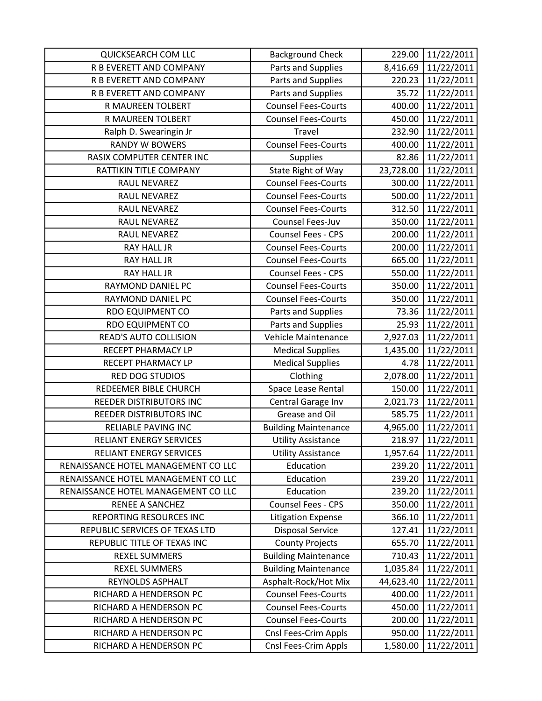| <b>QUICKSEARCH COM LLC</b>          | <b>Background Check</b>     | 229.00    | 11/22/2011 |
|-------------------------------------|-----------------------------|-----------|------------|
| R B EVERETT AND COMPANY             | Parts and Supplies          | 8,416.69  | 11/22/2011 |
| R B EVERETT AND COMPANY             | Parts and Supplies          | 220.23    | 11/22/2011 |
| R B EVERETT AND COMPANY             | Parts and Supplies          | 35.72     | 11/22/2011 |
| R MAUREEN TOLBERT                   | <b>Counsel Fees-Courts</b>  | 400.00    | 11/22/2011 |
| R MAUREEN TOLBERT                   | <b>Counsel Fees-Courts</b>  | 450.00    | 11/22/2011 |
| Ralph D. Swearingin Jr              | Travel                      | 232.90    | 11/22/2011 |
| <b>RANDY W BOWERS</b>               | <b>Counsel Fees-Courts</b>  | 400.00    | 11/22/2011 |
| RASIX COMPUTER CENTER INC           | <b>Supplies</b>             | 82.86     | 11/22/2011 |
| RATTIKIN TITLE COMPANY              | State Right of Way          | 23,728.00 | 11/22/2011 |
| RAUL NEVAREZ                        | <b>Counsel Fees-Courts</b>  | 300.00    | 11/22/2011 |
| RAUL NEVAREZ                        | <b>Counsel Fees-Courts</b>  | 500.00    | 11/22/2011 |
| RAUL NEVAREZ                        | <b>Counsel Fees-Courts</b>  | 312.50    | 11/22/2011 |
| RAUL NEVAREZ                        | Counsel Fees-Juv            | 350.00    | 11/22/2011 |
| RAUL NEVAREZ                        | <b>Counsel Fees - CPS</b>   | 200.00    | 11/22/2011 |
| RAY HALL JR                         | <b>Counsel Fees-Courts</b>  | 200.00    | 11/22/2011 |
| RAY HALL JR                         | <b>Counsel Fees-Courts</b>  | 665.00    | 11/22/2011 |
| <b>RAY HALL JR</b>                  | <b>Counsel Fees - CPS</b>   | 550.00    | 11/22/2011 |
| RAYMOND DANIEL PC                   | <b>Counsel Fees-Courts</b>  | 350.00    | 11/22/2011 |
| RAYMOND DANIEL PC                   | <b>Counsel Fees-Courts</b>  | 350.00    | 11/22/2011 |
| <b>RDO EQUIPMENT CO</b>             | Parts and Supplies          | 73.36     | 11/22/2011 |
| <b>RDO EQUIPMENT CO</b>             | Parts and Supplies          | 25.93     | 11/22/2011 |
| READ'S AUTO COLLISION               | Vehicle Maintenance         | 2,927.03  | 11/22/2011 |
| RECEPT PHARMACY LP                  | <b>Medical Supplies</b>     | 1,435.00  | 11/22/2011 |
| RECEPT PHARMACY LP                  | <b>Medical Supplies</b>     | 4.78      | 11/22/2011 |
| RED DOG STUDIOS                     | Clothing                    | 2,078.00  | 11/22/2011 |
| REDEEMER BIBLE CHURCH               | Space Lease Rental          | 150.00    | 11/22/2011 |
| <b>REEDER DISTRIBUTORS INC</b>      | Central Garage Inv          | 2,021.73  | 11/22/2011 |
| <b>REEDER DISTRIBUTORS INC</b>      | Grease and Oil              | 585.75    | 11/22/2011 |
| <b>RELIABLE PAVING INC</b>          | <b>Building Maintenance</b> | 4,965.00  | 11/22/2011 |
| <b>RELIANT ENERGY SERVICES</b>      | <b>Utility Assistance</b>   | 218.97    | 11/22/2011 |
| RELIANT ENERGY SERVICES             | <b>Utility Assistance</b>   | 1,957.64  | 11/22/2011 |
| RENAISSANCE HOTEL MANAGEMENT CO LLC | Education                   | 239.20    | 11/22/2011 |
| RENAISSANCE HOTEL MANAGEMENT CO LLC | Education                   | 239.20    | 11/22/2011 |
| RENAISSANCE HOTEL MANAGEMENT CO LLC | Education                   | 239.20    | 11/22/2011 |
| RENEE A SANCHEZ                     | Counsel Fees - CPS          | 350.00    | 11/22/2011 |
| REPORTING RESOURCES INC             | <b>Litigation Expense</b>   | 366.10    | 11/22/2011 |
| REPUBLIC SERVICES OF TEXAS LTD      | <b>Disposal Service</b>     | 127.41    | 11/22/2011 |
| REPUBLIC TITLE OF TEXAS INC         | <b>County Projects</b>      | 655.70    | 11/22/2011 |
| <b>REXEL SUMMERS</b>                | <b>Building Maintenance</b> | 710.43    | 11/22/2011 |
| <b>REXEL SUMMERS</b>                | <b>Building Maintenance</b> | 1,035.84  | 11/22/2011 |
| REYNOLDS ASPHALT                    | Asphalt-Rock/Hot Mix        | 44,623.40 | 11/22/2011 |
| RICHARD A HENDERSON PC              | <b>Counsel Fees-Courts</b>  | 400.00    | 11/22/2011 |
| RICHARD A HENDERSON PC              | <b>Counsel Fees-Courts</b>  | 450.00    | 11/22/2011 |
| RICHARD A HENDERSON PC              | <b>Counsel Fees-Courts</b>  | 200.00    | 11/22/2011 |
| RICHARD A HENDERSON PC              | Cnsl Fees-Crim Appls        | 950.00    | 11/22/2011 |
| RICHARD A HENDERSON PC              | Cnsl Fees-Crim Appls        | 1,580.00  | 11/22/2011 |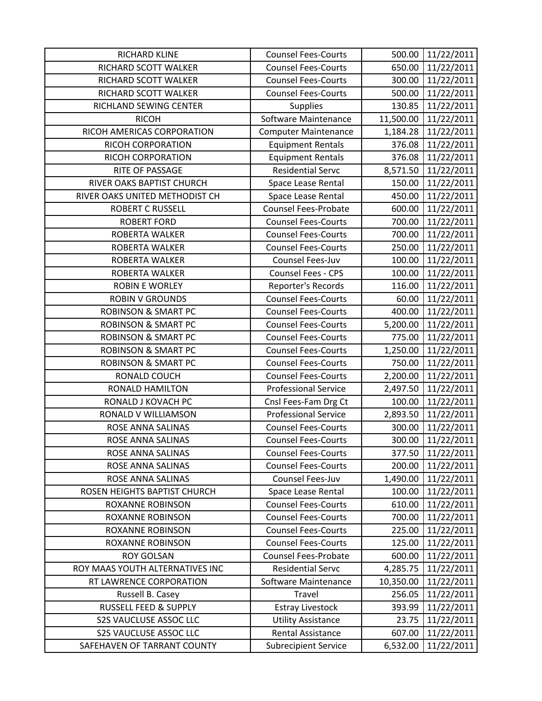| RICHARD KLINE                   | <b>Counsel Fees-Courts</b>  | 500.00    | 11/22/2011 |
|---------------------------------|-----------------------------|-----------|------------|
| RICHARD SCOTT WALKER            | <b>Counsel Fees-Courts</b>  | 650.00    | 11/22/2011 |
| RICHARD SCOTT WALKER            | <b>Counsel Fees-Courts</b>  | 300.00    | 11/22/2011 |
| RICHARD SCOTT WALKER            | <b>Counsel Fees-Courts</b>  | 500.00    | 11/22/2011 |
| RICHLAND SEWING CENTER          | <b>Supplies</b>             | 130.85    | 11/22/2011 |
| <b>RICOH</b>                    | Software Maintenance        | 11,500.00 | 11/22/2011 |
| RICOH AMERICAS CORPORATION      | <b>Computer Maintenance</b> | 1,184.28  | 11/22/2011 |
| RICOH CORPORATION               | <b>Equipment Rentals</b>    | 376.08    | 11/22/2011 |
| RICOH CORPORATION               | <b>Equipment Rentals</b>    | 376.08    | 11/22/2011 |
| RITE OF PASSAGE                 | <b>Residential Servc</b>    | 8,571.50  | 11/22/2011 |
| RIVER OAKS BAPTIST CHURCH       | Space Lease Rental          | 150.00    | 11/22/2011 |
| RIVER OAKS UNITED METHODIST CH  | Space Lease Rental          | 450.00    | 11/22/2011 |
| <b>ROBERT C RUSSELL</b>         | <b>Counsel Fees-Probate</b> | 600.00    | 11/22/2011 |
| <b>ROBERT FORD</b>              | <b>Counsel Fees-Courts</b>  | 700.00    | 11/22/2011 |
| ROBERTA WALKER                  | <b>Counsel Fees-Courts</b>  | 700.00    | 11/22/2011 |
| ROBERTA WALKER                  | <b>Counsel Fees-Courts</b>  | 250.00    | 11/22/2011 |
| ROBERTA WALKER                  | Counsel Fees-Juv            | 100.00    | 11/22/2011 |
| <b>ROBERTA WALKER</b>           | Counsel Fees - CPS          | 100.00    | 11/22/2011 |
| <b>ROBIN E WORLEY</b>           | Reporter's Records          | 116.00    | 11/22/2011 |
| <b>ROBIN V GROUNDS</b>          | <b>Counsel Fees-Courts</b>  | 60.00     | 11/22/2011 |
| <b>ROBINSON &amp; SMART PC</b>  | <b>Counsel Fees-Courts</b>  | 400.00    | 11/22/2011 |
| <b>ROBINSON &amp; SMART PC</b>  | <b>Counsel Fees-Courts</b>  | 5,200.00  | 11/22/2011 |
| <b>ROBINSON &amp; SMART PC</b>  | <b>Counsel Fees-Courts</b>  | 775.00    | 11/22/2011 |
| <b>ROBINSON &amp; SMART PC</b>  | <b>Counsel Fees-Courts</b>  | 1,250.00  | 11/22/2011 |
| <b>ROBINSON &amp; SMART PC</b>  | <b>Counsel Fees-Courts</b>  | 750.00    | 11/22/2011 |
| RONALD COUCH                    | <b>Counsel Fees-Courts</b>  | 2,200.00  | 11/22/2011 |
| <b>RONALD HAMILTON</b>          | <b>Professional Service</b> | 2,497.50  | 11/22/2011 |
| RONALD J KOVACH PC              | Cnsl Fees-Fam Drg Ct        | 100.00    | 11/22/2011 |
| RONALD V WILLIAMSON             | <b>Professional Service</b> | 2,893.50  | 11/22/2011 |
| ROSE ANNA SALINAS               | <b>Counsel Fees-Courts</b>  | 300.00    | 11/22/2011 |
| ROSE ANNA SALINAS               | <b>Counsel Fees-Courts</b>  | 300.00    | 11/22/2011 |
| ROSE ANNA SALINAS               | <b>Counsel Fees-Courts</b>  | 377.50    | 11/22/2011 |
| ROSE ANNA SALINAS               | <b>Counsel Fees-Courts</b>  | 200.00    | 11/22/2011 |
| ROSE ANNA SALINAS               | Counsel Fees-Juv            | 1,490.00  | 11/22/2011 |
| ROSEN HEIGHTS BAPTIST CHURCH    | Space Lease Rental          | 100.00    | 11/22/2011 |
| <b>ROXANNE ROBINSON</b>         | <b>Counsel Fees-Courts</b>  | 610.00    | 11/22/2011 |
| <b>ROXANNE ROBINSON</b>         | <b>Counsel Fees-Courts</b>  | 700.00    | 11/22/2011 |
| <b>ROXANNE ROBINSON</b>         | <b>Counsel Fees-Courts</b>  | 225.00    | 11/22/2011 |
| <b>ROXANNE ROBINSON</b>         | <b>Counsel Fees-Courts</b>  | 125.00    | 11/22/2011 |
| <b>ROY GOLSAN</b>               | <b>Counsel Fees-Probate</b> | 600.00    | 11/22/2011 |
| ROY MAAS YOUTH ALTERNATIVES INC | <b>Residential Servc</b>    | 4,285.75  | 11/22/2011 |
| RT LAWRENCE CORPORATION         | Software Maintenance        | 10,350.00 | 11/22/2011 |
| Russell B. Casey                | Travel                      | 256.05    | 11/22/2011 |
| RUSSELL FEED & SUPPLY           | <b>Estray Livestock</b>     | 393.99    | 11/22/2011 |
| <b>S2S VAUCLUSE ASSOC LLC</b>   | <b>Utility Assistance</b>   | 23.75     | 11/22/2011 |
| <b>S2S VAUCLUSE ASSOC LLC</b>   | Rental Assistance           | 607.00    | 11/22/2011 |
| SAFEHAVEN OF TARRANT COUNTY     | <b>Subrecipient Service</b> | 6,532.00  | 11/22/2011 |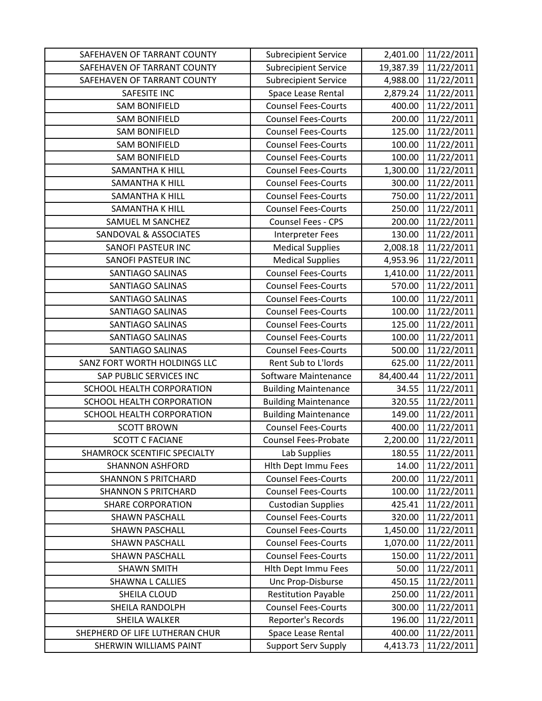| SAFEHAVEN OF TARRANT COUNTY    | <b>Subrecipient Service</b> | 2,401.00  | 11/22/2011 |
|--------------------------------|-----------------------------|-----------|------------|
| SAFEHAVEN OF TARRANT COUNTY    | <b>Subrecipient Service</b> | 19,387.39 | 11/22/2011 |
| SAFEHAVEN OF TARRANT COUNTY    | <b>Subrecipient Service</b> | 4,988.00  | 11/22/2011 |
| SAFESITE INC                   | Space Lease Rental          | 2,879.24  | 11/22/2011 |
| <b>SAM BONIFIELD</b>           | <b>Counsel Fees-Courts</b>  | 400.00    | 11/22/2011 |
| <b>SAM BONIFIELD</b>           | <b>Counsel Fees-Courts</b>  | 200.00    | 11/22/2011 |
| <b>SAM BONIFIELD</b>           | <b>Counsel Fees-Courts</b>  | 125.00    | 11/22/2011 |
| <b>SAM BONIFIELD</b>           | <b>Counsel Fees-Courts</b>  | 100.00    | 11/22/2011 |
| <b>SAM BONIFIELD</b>           | <b>Counsel Fees-Courts</b>  | 100.00    | 11/22/2011 |
| SAMANTHA K HILL                | <b>Counsel Fees-Courts</b>  | 1,300.00  | 11/22/2011 |
| <b>SAMANTHA K HILL</b>         | <b>Counsel Fees-Courts</b>  | 300.00    | 11/22/2011 |
| SAMANTHA K HILL                | <b>Counsel Fees-Courts</b>  | 750.00    | 11/22/2011 |
| SAMANTHA K HILL                | <b>Counsel Fees-Courts</b>  | 250.00    | 11/22/2011 |
| SAMUEL M SANCHEZ               | Counsel Fees - CPS          | 200.00    | 11/22/2011 |
| SANDOVAL & ASSOCIATES          | <b>Interpreter Fees</b>     | 130.00    | 11/22/2011 |
| SANOFI PASTEUR INC             | <b>Medical Supplies</b>     | 2,008.18  | 11/22/2011 |
| SANOFI PASTEUR INC             | <b>Medical Supplies</b>     | 4,953.96  | 11/22/2011 |
| SANTIAGO SALINAS               | <b>Counsel Fees-Courts</b>  | 1,410.00  | 11/22/2011 |
| <b>SANTIAGO SALINAS</b>        | <b>Counsel Fees-Courts</b>  | 570.00    | 11/22/2011 |
| <b>SANTIAGO SALINAS</b>        | <b>Counsel Fees-Courts</b>  | 100.00    | 11/22/2011 |
| SANTIAGO SALINAS               | <b>Counsel Fees-Courts</b>  | 100.00    | 11/22/2011 |
| SANTIAGO SALINAS               | <b>Counsel Fees-Courts</b>  | 125.00    | 11/22/2011 |
| SANTIAGO SALINAS               | <b>Counsel Fees-Courts</b>  | 100.00    | 11/22/2011 |
| SANTIAGO SALINAS               | <b>Counsel Fees-Courts</b>  | 500.00    | 11/22/2011 |
| SANZ FORT WORTH HOLDINGS LLC   | Rent Sub to L'Iords         | 625.00    | 11/22/2011 |
| SAP PUBLIC SERVICES INC        | Software Maintenance        | 84,400.44 | 11/22/2011 |
| SCHOOL HEALTH CORPORATION      | <b>Building Maintenance</b> | 34.55     | 11/22/2011 |
| SCHOOL HEALTH CORPORATION      | <b>Building Maintenance</b> | 320.55    | 11/22/2011 |
| SCHOOL HEALTH CORPORATION      | <b>Building Maintenance</b> | 149.00    | 11/22/2011 |
| <b>SCOTT BROWN</b>             | <b>Counsel Fees-Courts</b>  | 400.00    | 11/22/2011 |
| <b>SCOTT C FACIANE</b>         | <b>Counsel Fees-Probate</b> | 2,200.00  | 11/22/2011 |
| SHAMROCK SCENTIFIC SPECIALTY   | Lab Supplies                | 180.55    | 11/22/2011 |
| <b>SHANNON ASHFORD</b>         | <b>Hith Dept Immu Fees</b>  | 14.00     | 11/22/2011 |
| <b>SHANNON S PRITCHARD</b>     | <b>Counsel Fees-Courts</b>  | 200.00    | 11/22/2011 |
| <b>SHANNON S PRITCHARD</b>     | <b>Counsel Fees-Courts</b>  | 100.00    | 11/22/2011 |
| <b>SHARE CORPORATION</b>       | <b>Custodian Supplies</b>   | 425.41    | 11/22/2011 |
| <b>SHAWN PASCHALL</b>          | <b>Counsel Fees-Courts</b>  | 320.00    | 11/22/2011 |
| <b>SHAWN PASCHALL</b>          | <b>Counsel Fees-Courts</b>  | 1,450.00  | 11/22/2011 |
| <b>SHAWN PASCHALL</b>          | <b>Counsel Fees-Courts</b>  | 1,070.00  | 11/22/2011 |
| <b>SHAWN PASCHALL</b>          | <b>Counsel Fees-Courts</b>  | 150.00    | 11/22/2011 |
| <b>SHAWN SMITH</b>             | <b>Hith Dept Immu Fees</b>  | 50.00     | 11/22/2011 |
| <b>SHAWNA L CALLIES</b>        | Unc Prop-Disburse           | 450.15    | 11/22/2011 |
| SHEILA CLOUD                   | <b>Restitution Payable</b>  | 250.00    | 11/22/2011 |
| SHEILA RANDOLPH                | <b>Counsel Fees-Courts</b>  | 300.00    | 11/22/2011 |
| SHEILA WALKER                  | Reporter's Records          | 196.00    | 11/22/2011 |
| SHEPHERD OF LIFE LUTHERAN CHUR | Space Lease Rental          | 400.00    | 11/22/2011 |
| SHERWIN WILLIAMS PAINT         | <b>Support Serv Supply</b>  | 4,413.73  | 11/22/2011 |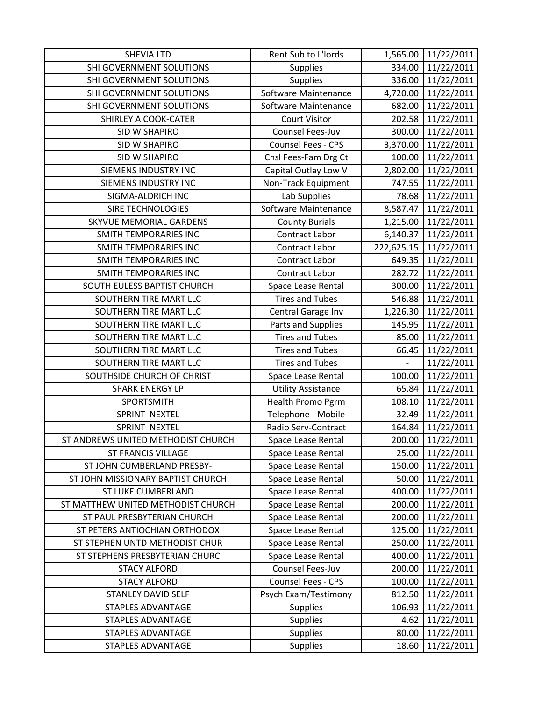| <b>SHEVIA LTD</b>                  | Rent Sub to L'Iords       | 1,565.00                 | 11/22/2011 |
|------------------------------------|---------------------------|--------------------------|------------|
| SHI GOVERNMENT SOLUTIONS           | <b>Supplies</b>           | 334.00                   | 11/22/2011 |
| SHI GOVERNMENT SOLUTIONS           | <b>Supplies</b>           | 336.00                   | 11/22/2011 |
| SHI GOVERNMENT SOLUTIONS           | Software Maintenance      | 4,720.00                 | 11/22/2011 |
| SHI GOVERNMENT SOLUTIONS           | Software Maintenance      | 682.00                   | 11/22/2011 |
| SHIRLEY A COOK-CATER               | <b>Court Visitor</b>      | 202.58                   | 11/22/2011 |
| <b>SID W SHAPIRO</b>               | Counsel Fees-Juv          | 300.00                   | 11/22/2011 |
| <b>SID W SHAPIRO</b>               | Counsel Fees - CPS        | 3,370.00                 | 11/22/2011 |
| <b>SID W SHAPIRO</b>               | Cnsl Fees-Fam Drg Ct      | 100.00                   | 11/22/2011 |
| <b>SIEMENS INDUSTRY INC</b>        | Capital Outlay Low V      | 2,802.00                 | 11/22/2011 |
| SIEMENS INDUSTRY INC               | Non-Track Equipment       | 747.55                   | 11/22/2011 |
| SIGMA-ALDRICH INC                  | Lab Supplies              | 78.68                    | 11/22/2011 |
| SIRE TECHNOLOGIES                  | Software Maintenance      | 8,587.47                 | 11/22/2011 |
| SKYVUE MEMORIAL GARDENS            | <b>County Burials</b>     | 1,215.00                 | 11/22/2011 |
| <b>SMITH TEMPORARIES INC</b>       | Contract Labor            | 6,140.37                 | 11/22/2011 |
| <b>SMITH TEMPORARIES INC</b>       | Contract Labor            | 222,625.15               | 11/22/2011 |
| SMITH TEMPORARIES INC              | Contract Labor            | 649.35                   | 11/22/2011 |
| SMITH TEMPORARIES INC              | Contract Labor            | 282.72                   | 11/22/2011 |
| SOUTH EULESS BAPTIST CHURCH        | Space Lease Rental        | 300.00                   | 11/22/2011 |
| SOUTHERN TIRE MART LLC             | <b>Tires and Tubes</b>    | 546.88                   | 11/22/2011 |
| SOUTHERN TIRE MART LLC             | Central Garage Inv        | 1,226.30                 | 11/22/2011 |
| SOUTHERN TIRE MART LLC             | Parts and Supplies        | 145.95                   | 11/22/2011 |
| SOUTHERN TIRE MART LLC             | <b>Tires and Tubes</b>    | 85.00                    | 11/22/2011 |
| SOUTHERN TIRE MART LLC             | <b>Tires and Tubes</b>    | 66.45                    | 11/22/2011 |
| SOUTHERN TIRE MART LLC             | <b>Tires and Tubes</b>    | $\overline{\phantom{0}}$ | 11/22/2011 |
| SOUTHSIDE CHURCH OF CHRIST         | Space Lease Rental        | 100.00                   | 11/22/2011 |
| <b>SPARK ENERGY LP</b>             | <b>Utility Assistance</b> | 65.84                    | 11/22/2011 |
| SPORTSMITH                         | Health Promo Pgrm         | 108.10                   | 11/22/2011 |
| SPRINT NEXTEL                      | Telephone - Mobile        | 32.49                    | 11/22/2011 |
| SPRINT NEXTEL                      | Radio Serv-Contract       | 164.84                   | 11/22/2011 |
| ST ANDREWS UNITED METHODIST CHURCH | Space Lease Rental        | 200.00                   | 11/22/2011 |
| <b>ST FRANCIS VILLAGE</b>          | Space Lease Rental        | 25.00                    | 11/22/2011 |
| ST JOHN CUMBERLAND PRESBY-         | Space Lease Rental        | 150.00                   | 11/22/2011 |
| ST JOHN MISSIONARY BAPTIST CHURCH  | Space Lease Rental        | 50.00                    | 11/22/2011 |
| <b>ST LUKE CUMBERLAND</b>          | Space Lease Rental        | 400.00                   | 11/22/2011 |
| ST MATTHEW UNITED METHODIST CHURCH | Space Lease Rental        | 200.00                   | 11/22/2011 |
| ST PAUL PRESBYTERIAN CHURCH        | Space Lease Rental        | 200.00                   | 11/22/2011 |
| ST PETERS ANTIOCHIAN ORTHODOX      | Space Lease Rental        | 125.00                   | 11/22/2011 |
| ST STEPHEN UNTD METHODIST CHUR     | Space Lease Rental        | 250.00                   | 11/22/2011 |
| ST STEPHENS PRESBYTERIAN CHURC     | Space Lease Rental        | 400.00                   | 11/22/2011 |
| <b>STACY ALFORD</b>                | Counsel Fees-Juv          | 200.00                   | 11/22/2011 |
| <b>STACY ALFORD</b>                | Counsel Fees - CPS        | 100.00                   | 11/22/2011 |
| <b>STANLEY DAVID SELF</b>          | Psych Exam/Testimony      | 812.50                   | 11/22/2011 |
| STAPLES ADVANTAGE                  | <b>Supplies</b>           | 106.93                   | 11/22/2011 |
| <b>STAPLES ADVANTAGE</b>           | <b>Supplies</b>           | 4.62                     | 11/22/2011 |
| <b>STAPLES ADVANTAGE</b>           | <b>Supplies</b>           | 80.00                    | 11/22/2011 |
| <b>STAPLES ADVANTAGE</b>           | <b>Supplies</b>           | 18.60                    | 11/22/2011 |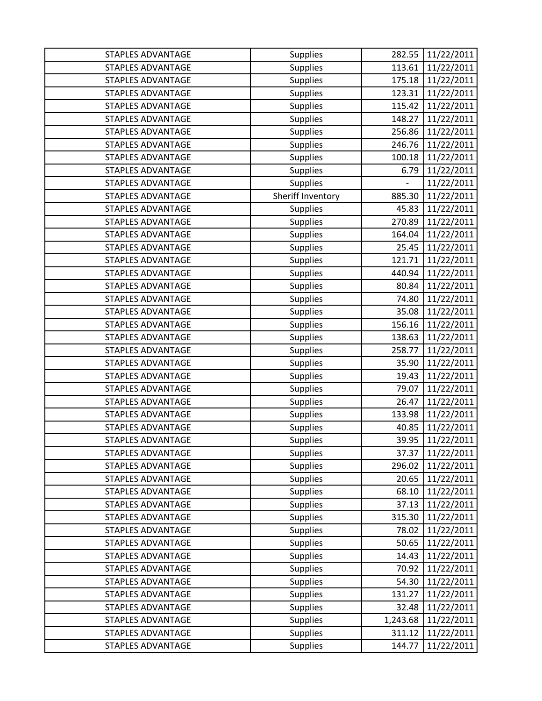| <b>STAPLES ADVANTAGE</b> | <b>Supplies</b>   | 282.55        | 11/22/2011 |
|--------------------------|-------------------|---------------|------------|
| <b>STAPLES ADVANTAGE</b> | <b>Supplies</b>   | 113.61        | 11/22/2011 |
| STAPLES ADVANTAGE        | <b>Supplies</b>   | 175.18        | 11/22/2011 |
| <b>STAPLES ADVANTAGE</b> | <b>Supplies</b>   | 123.31        | 11/22/2011 |
| <b>STAPLES ADVANTAGE</b> | <b>Supplies</b>   | 115.42        | 11/22/2011 |
| STAPLES ADVANTAGE        | <b>Supplies</b>   | 148.27        | 11/22/2011 |
| <b>STAPLES ADVANTAGE</b> | <b>Supplies</b>   | 256.86        | 11/22/2011 |
| <b>STAPLES ADVANTAGE</b> | <b>Supplies</b>   | 246.76        | 11/22/2011 |
| <b>STAPLES ADVANTAGE</b> | <b>Supplies</b>   | 100.18        | 11/22/2011 |
| <b>STAPLES ADVANTAGE</b> | <b>Supplies</b>   | 6.79          | 11/22/2011 |
| <b>STAPLES ADVANTAGE</b> | <b>Supplies</b>   | $\frac{1}{2}$ | 11/22/2011 |
| STAPLES ADVANTAGE        | Sheriff Inventory | 885.30        | 11/22/2011 |
| STAPLES ADVANTAGE        | <b>Supplies</b>   | 45.83         | 11/22/2011 |
| <b>STAPLES ADVANTAGE</b> | <b>Supplies</b>   | 270.89        | 11/22/2011 |
| <b>STAPLES ADVANTAGE</b> | <b>Supplies</b>   | 164.04        | 11/22/2011 |
| <b>STAPLES ADVANTAGE</b> | <b>Supplies</b>   | 25.45         | 11/22/2011 |
| <b>STAPLES ADVANTAGE</b> | <b>Supplies</b>   | 121.71        | 11/22/2011 |
| STAPLES ADVANTAGE        | <b>Supplies</b>   | 440.94        | 11/22/2011 |
| <b>STAPLES ADVANTAGE</b> | <b>Supplies</b>   | 80.84         | 11/22/2011 |
| <b>STAPLES ADVANTAGE</b> | <b>Supplies</b>   | 74.80         | 11/22/2011 |
| <b>STAPLES ADVANTAGE</b> | <b>Supplies</b>   | 35.08         | 11/22/2011 |
| <b>STAPLES ADVANTAGE</b> | <b>Supplies</b>   | 156.16        | 11/22/2011 |
| <b>STAPLES ADVANTAGE</b> | <b>Supplies</b>   | 138.63        | 11/22/2011 |
| <b>STAPLES ADVANTAGE</b> | <b>Supplies</b>   | 258.77        | 11/22/2011 |
| <b>STAPLES ADVANTAGE</b> | <b>Supplies</b>   | 35.90         | 11/22/2011 |
| <b>STAPLES ADVANTAGE</b> | <b>Supplies</b>   | 19.43         | 11/22/2011 |
| <b>STAPLES ADVANTAGE</b> | <b>Supplies</b>   | 79.07         | 11/22/2011 |
| <b>STAPLES ADVANTAGE</b> | <b>Supplies</b>   | 26.47         | 11/22/2011 |
| <b>STAPLES ADVANTAGE</b> | <b>Supplies</b>   | 133.98        | 11/22/2011 |
| <b>STAPLES ADVANTAGE</b> | <b>Supplies</b>   | 40.85         | 11/22/2011 |
| <b>STAPLES ADVANTAGE</b> | <b>Supplies</b>   | 39.95         | 11/22/2011 |
| <b>STAPLES ADVANTAGE</b> | <b>Supplies</b>   | 37.37         | 11/22/2011 |
| <b>STAPLES ADVANTAGE</b> | <b>Supplies</b>   | 296.02        | 11/22/2011 |
| <b>STAPLES ADVANTAGE</b> | <b>Supplies</b>   | 20.65         | 11/22/2011 |
| <b>STAPLES ADVANTAGE</b> | <b>Supplies</b>   | 68.10         | 11/22/2011 |
| <b>STAPLES ADVANTAGE</b> | <b>Supplies</b>   | 37.13         | 11/22/2011 |
| STAPLES ADVANTAGE        | <b>Supplies</b>   | 315.30        | 11/22/2011 |
| <b>STAPLES ADVANTAGE</b> | <b>Supplies</b>   | 78.02         | 11/22/2011 |
| <b>STAPLES ADVANTAGE</b> | <b>Supplies</b>   | 50.65         | 11/22/2011 |
| STAPLES ADVANTAGE        | <b>Supplies</b>   | 14.43         | 11/22/2011 |
| STAPLES ADVANTAGE        | <b>Supplies</b>   | 70.92         | 11/22/2011 |
| <b>STAPLES ADVANTAGE</b> | <b>Supplies</b>   | 54.30         | 11/22/2011 |
| <b>STAPLES ADVANTAGE</b> | <b>Supplies</b>   | 131.27        | 11/22/2011 |
| STAPLES ADVANTAGE        | <b>Supplies</b>   | 32.48         | 11/22/2011 |
| <b>STAPLES ADVANTAGE</b> | <b>Supplies</b>   | 1,243.68      | 11/22/2011 |
| <b>STAPLES ADVANTAGE</b> | <b>Supplies</b>   | 311.12        | 11/22/2011 |
| STAPLES ADVANTAGE        | Supplies          | 144.77        | 11/22/2011 |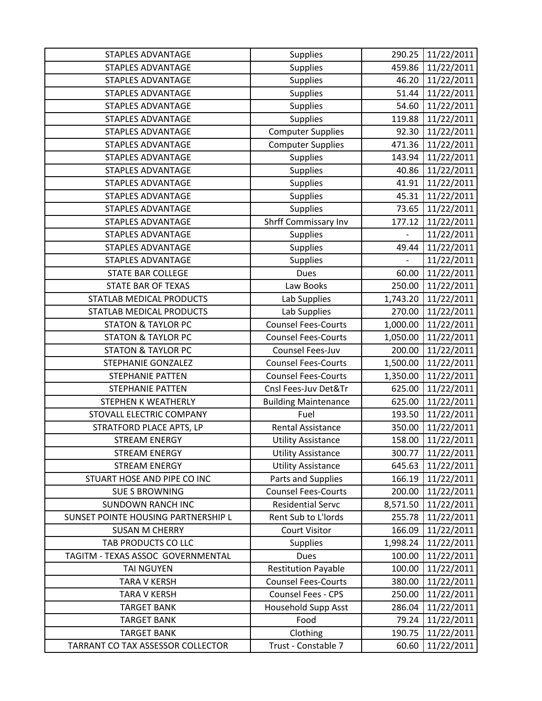| <b>STAPLES ADVANTAGE</b>            | <b>Supplies</b>             | 290.25                   | 11/22/2011 |
|-------------------------------------|-----------------------------|--------------------------|------------|
| <b>STAPLES ADVANTAGE</b>            | <b>Supplies</b>             | 459.86                   | 11/22/2011 |
| <b>STAPLES ADVANTAGE</b>            | <b>Supplies</b>             | 46.20                    | 11/22/2011 |
| <b>STAPLES ADVANTAGE</b>            | <b>Supplies</b>             | 51.44                    | 11/22/2011 |
| <b>STAPLES ADVANTAGE</b>            | <b>Supplies</b>             | 54.60                    | 11/22/2011 |
| STAPLES ADVANTAGE                   | <b>Supplies</b>             | 119.88                   | 11/22/2011 |
| <b>STAPLES ADVANTAGE</b>            | <b>Computer Supplies</b>    | 92.30                    | 11/22/2011 |
| <b>STAPLES ADVANTAGE</b>            | <b>Computer Supplies</b>    | 471.36                   | 11/22/2011 |
| <b>STAPLES ADVANTAGE</b>            | <b>Supplies</b>             | 143.94                   | 11/22/2011 |
| <b>STAPLES ADVANTAGE</b>            | <b>Supplies</b>             | 40.86                    | 11/22/2011 |
| <b>STAPLES ADVANTAGE</b>            | <b>Supplies</b>             | 41.91                    | 11/22/2011 |
| <b>STAPLES ADVANTAGE</b>            | <b>Supplies</b>             | 45.31                    | 11/22/2011 |
| <b>STAPLES ADVANTAGE</b>            | <b>Supplies</b>             | 73.65                    | 11/22/2011 |
| <b>STAPLES ADVANTAGE</b>            | <b>Shrff Commissary Inv</b> | 177.12                   | 11/22/2011 |
| <b>STAPLES ADVANTAGE</b>            | <b>Supplies</b>             | $\overline{\phantom{0}}$ | 11/22/2011 |
| <b>STAPLES ADVANTAGE</b>            | <b>Supplies</b>             | 49.44                    | 11/22/2011 |
| <b>STAPLES ADVANTAGE</b>            | <b>Supplies</b>             |                          | 11/22/2011 |
| <b>STATE BAR COLLEGE</b>            | <b>Dues</b>                 | 60.00                    | 11/22/2011 |
| <b>STATE BAR OF TEXAS</b>           | Law Books                   | 250.00                   | 11/22/2011 |
| STATLAB MEDICAL PRODUCTS            | Lab Supplies                | 1,743.20                 | 11/22/2011 |
| STATLAB MEDICAL PRODUCTS            | Lab Supplies                | 270.00                   | 11/22/2011 |
| <b>STATON &amp; TAYLOR PC</b>       | <b>Counsel Fees-Courts</b>  | 1,000.00                 | 11/22/2011 |
| <b>STATON &amp; TAYLOR PC</b>       | <b>Counsel Fees-Courts</b>  | 1,050.00                 | 11/22/2011 |
| <b>STATON &amp; TAYLOR PC</b>       | Counsel Fees-Juv            | 200.00                   | 11/22/2011 |
| <b>STEPHANIE GONZALEZ</b>           | <b>Counsel Fees-Courts</b>  | 1,500.00                 | 11/22/2011 |
| <b>STEPHANIE PATTEN</b>             | <b>Counsel Fees-Courts</b>  | 1,350.00                 | 11/22/2011 |
| <b>STEPHANIE PATTEN</b>             | Cnsl Fees-Juv Det&Tr        | 625.00                   | 11/22/2011 |
| STEPHEN K WEATHERLY                 | <b>Building Maintenance</b> | 625.00                   | 11/22/2011 |
| STOVALL ELECTRIC COMPANY            | Fuel                        | 193.50                   | 11/22/2011 |
| STRATFORD PLACE APTS, LP            | <b>Rental Assistance</b>    | 350.00                   | 11/22/2011 |
| <b>STREAM ENERGY</b>                | <b>Utility Assistance</b>   | 158.00                   | 11/22/2011 |
| <b>STREAM ENERGY</b>                | <b>Utility Assistance</b>   | 300.77                   | 11/22/2011 |
| <b>STREAM ENERGY</b>                | <b>Utility Assistance</b>   | 645.63                   | 11/22/2011 |
| STUART HOSE AND PIPE CO INC         | Parts and Supplies          | 166.19                   | 11/22/2011 |
| <b>SUE S BROWNING</b>               | <b>Counsel Fees-Courts</b>  | 200.00                   | 11/22/2011 |
| <b>SUNDOWN RANCH INC</b>            | <b>Residential Servc</b>    | 8,571.50                 | 11/22/2011 |
| SUNSET POINTE HOUSING PARTNERSHIP L | Rent Sub to L'Iords         | 255.78                   | 11/22/2011 |
| <b>SUSAN M CHERRY</b>               | <b>Court Visitor</b>        | 166.09                   | 11/22/2011 |
| TAB PRODUCTS CO LLC                 | <b>Supplies</b>             | 1,998.24                 | 11/22/2011 |
| TAGITM - TEXAS ASSOC GOVERNMENTAL   | <b>Dues</b>                 | 100.00                   | 11/22/2011 |
| <b>TAI NGUYEN</b>                   | <b>Restitution Payable</b>  | 100.00                   | 11/22/2011 |
| <b>TARA V KERSH</b>                 | <b>Counsel Fees-Courts</b>  | 380.00                   | 11/22/2011 |
| <b>TARA V KERSH</b>                 | Counsel Fees - CPS          | 250.00                   | 11/22/2011 |
| <b>TARGET BANK</b>                  | Household Supp Asst         | 286.04                   | 11/22/2011 |
| <b>TARGET BANK</b>                  | Food                        | 79.24                    | 11/22/2011 |
| <b>TARGET BANK</b>                  | Clothing                    | 190.75                   | 11/22/2011 |
| TARRANT CO TAX ASSESSOR COLLECTOR   | Trust - Constable 7         | 60.60                    | 11/22/2011 |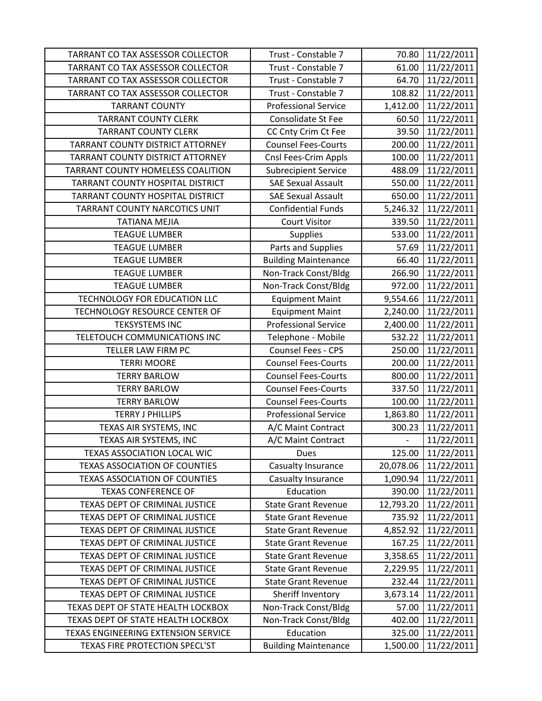| TARRANT CO TAX ASSESSOR COLLECTOR    | Trust - Constable 7         | 70.80                    | 11/22/2011 |
|--------------------------------------|-----------------------------|--------------------------|------------|
| TARRANT CO TAX ASSESSOR COLLECTOR    | Trust - Constable 7         | 61.00                    | 11/22/2011 |
| TARRANT CO TAX ASSESSOR COLLECTOR    | Trust - Constable 7         | 64.70                    | 11/22/2011 |
| TARRANT CO TAX ASSESSOR COLLECTOR    | Trust - Constable 7         | 108.82                   | 11/22/2011 |
| <b>TARRANT COUNTY</b>                | <b>Professional Service</b> | 1,412.00                 | 11/22/2011 |
| <b>TARRANT COUNTY CLERK</b>          | <b>Consolidate St Fee</b>   | 60.50                    | 11/22/2011 |
| <b>TARRANT COUNTY CLERK</b>          | CC Cnty Crim Ct Fee         | 39.50                    | 11/22/2011 |
| TARRANT COUNTY DISTRICT ATTORNEY     | <b>Counsel Fees-Courts</b>  | 200.00                   | 11/22/2011 |
| TARRANT COUNTY DISTRICT ATTORNEY     | Cnsl Fees-Crim Appls        | 100.00                   | 11/22/2011 |
| TARRANT COUNTY HOMELESS COALITION    | <b>Subrecipient Service</b> | 488.09                   | 11/22/2011 |
| TARRANT COUNTY HOSPITAL DISTRICT     | <b>SAE Sexual Assault</b>   | 550.00                   | 11/22/2011 |
| TARRANT COUNTY HOSPITAL DISTRICT     | <b>SAE Sexual Assault</b>   | 650.00                   | 11/22/2011 |
| TARRANT COUNTY NARCOTICS UNIT        | <b>Confidential Funds</b>   | 5,246.32                 | 11/22/2011 |
| <b>TATIANA MEJIA</b>                 | <b>Court Visitor</b>        | 339.50                   | 11/22/2011 |
| <b>TEAGUE LUMBER</b>                 | <b>Supplies</b>             | 533.00                   | 11/22/2011 |
| <b>TEAGUE LUMBER</b>                 | Parts and Supplies          | 57.69                    | 11/22/2011 |
| <b>TEAGUE LUMBER</b>                 | <b>Building Maintenance</b> | 66.40                    | 11/22/2011 |
| <b>TEAGUE LUMBER</b>                 | Non-Track Const/Bldg        | 266.90                   | 11/22/2011 |
| <b>TEAGUE LUMBER</b>                 | Non-Track Const/Bldg        | 972.00                   | 11/22/2011 |
| TECHNOLOGY FOR EDUCATION LLC         | <b>Equipment Maint</b>      | 9,554.66                 | 11/22/2011 |
| TECHNOLOGY RESOURCE CENTER OF        | <b>Equipment Maint</b>      | 2,240.00                 | 11/22/2011 |
| <b>TEKSYSTEMS INC</b>                | <b>Professional Service</b> | 2,400.00                 | 11/22/2011 |
| TELETOUCH COMMUNICATIONS INC         | Telephone - Mobile          | 532.22                   | 11/22/2011 |
| TELLER LAW FIRM PC                   | Counsel Fees - CPS          | 250.00                   | 11/22/2011 |
| <b>TERRI MOORE</b>                   | <b>Counsel Fees-Courts</b>  | 200.00                   | 11/22/2011 |
| <b>TERRY BARLOW</b>                  | <b>Counsel Fees-Courts</b>  | 800.00                   | 11/22/2011 |
| <b>TERRY BARLOW</b>                  | <b>Counsel Fees-Courts</b>  | 337.50                   | 11/22/2011 |
| <b>TERRY BARLOW</b>                  | <b>Counsel Fees-Courts</b>  | 100.00                   | 11/22/2011 |
| <b>TERRY J PHILLIPS</b>              | <b>Professional Service</b> | 1,863.80                 | 11/22/2011 |
| TEXAS AIR SYSTEMS, INC               | A/C Maint Contract          | 300.23                   | 11/22/2011 |
| TEXAS AIR SYSTEMS, INC               | A/C Maint Contract          | $\overline{\phantom{0}}$ | 11/22/2011 |
| TEXAS ASSOCIATION LOCAL WIC          | <b>Dues</b>                 | 125.00                   | 11/22/2011 |
| <b>TEXAS ASSOCIATION OF COUNTIES</b> | Casualty Insurance          | 20,078.06                | 11/22/2011 |
| <b>TEXAS ASSOCIATION OF COUNTIES</b> | Casualty Insurance          | 1,090.94                 | 11/22/2011 |
| <b>TEXAS CONFERENCE OF</b>           | Education                   | 390.00                   | 11/22/2011 |
| TEXAS DEPT OF CRIMINAL JUSTICE       | <b>State Grant Revenue</b>  | 12,793.20                | 11/22/2011 |
| TEXAS DEPT OF CRIMINAL JUSTICE       | <b>State Grant Revenue</b>  | 735.92                   | 11/22/2011 |
| TEXAS DEPT OF CRIMINAL JUSTICE       | <b>State Grant Revenue</b>  | 4,852.92                 | 11/22/2011 |
| TEXAS DEPT OF CRIMINAL JUSTICE       | <b>State Grant Revenue</b>  | 167.25                   | 11/22/2011 |
| TEXAS DEPT OF CRIMINAL JUSTICE       | <b>State Grant Revenue</b>  | 3,358.65                 | 11/22/2011 |
| TEXAS DEPT OF CRIMINAL JUSTICE       | <b>State Grant Revenue</b>  | 2,229.95                 | 11/22/2011 |
| TEXAS DEPT OF CRIMINAL JUSTICE       | <b>State Grant Revenue</b>  | 232.44                   | 11/22/2011 |
| TEXAS DEPT OF CRIMINAL JUSTICE       | Sheriff Inventory           | 3,673.14                 | 11/22/2011 |
| TEXAS DEPT OF STATE HEALTH LOCKBOX   | Non-Track Const/Bldg        | 57.00                    | 11/22/2011 |
| TEXAS DEPT OF STATE HEALTH LOCKBOX   | Non-Track Const/Bldg        | 402.00                   | 11/22/2011 |
| TEXAS ENGINEERING EXTENSION SERVICE  | Education                   | 325.00                   | 11/22/2011 |
| TEXAS FIRE PROTECTION SPECL'ST       | <b>Building Maintenance</b> | 1,500.00                 | 11/22/2011 |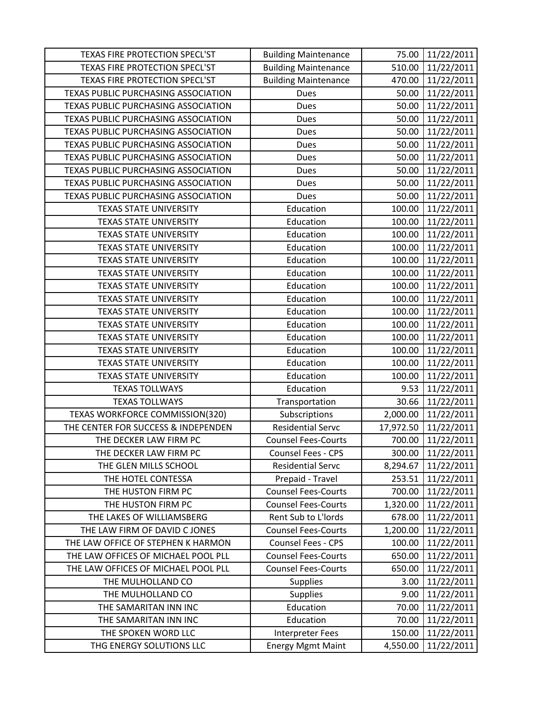| <b>TEXAS FIRE PROTECTION SPECL'ST</b> | <b>Building Maintenance</b> | 75.00     | 11/22/2011 |
|---------------------------------------|-----------------------------|-----------|------------|
| <b>TEXAS FIRE PROTECTION SPECL'ST</b> | <b>Building Maintenance</b> | 510.00    | 11/22/2011 |
| TEXAS FIRE PROTECTION SPECL'ST        | <b>Building Maintenance</b> | 470.00    | 11/22/2011 |
| TEXAS PUBLIC PURCHASING ASSOCIATION   | <b>Dues</b>                 | 50.00     | 11/22/2011 |
| TEXAS PUBLIC PURCHASING ASSOCIATION   | <b>Dues</b>                 | 50.00     | 11/22/2011 |
| TEXAS PUBLIC PURCHASING ASSOCIATION   | <b>Dues</b>                 | 50.00     | 11/22/2011 |
| TEXAS PUBLIC PURCHASING ASSOCIATION   | <b>Dues</b>                 | 50.00     | 11/22/2011 |
| TEXAS PUBLIC PURCHASING ASSOCIATION   | Dues                        | 50.00     | 11/22/2011 |
| TEXAS PUBLIC PURCHASING ASSOCIATION   | <b>Dues</b>                 | 50.00     | 11/22/2011 |
| TEXAS PUBLIC PURCHASING ASSOCIATION   | Dues                        | 50.00     | 11/22/2011 |
| TEXAS PUBLIC PURCHASING ASSOCIATION   | <b>Dues</b>                 | 50.00     | 11/22/2011 |
| TEXAS PUBLIC PURCHASING ASSOCIATION   | Dues                        | 50.00     | 11/22/2011 |
| <b>TEXAS STATE UNIVERSITY</b>         | Education                   | 100.00    | 11/22/2011 |
| <b>TEXAS STATE UNIVERSITY</b>         | Education                   | 100.00    | 11/22/2011 |
| <b>TEXAS STATE UNIVERSITY</b>         | Education                   | 100.00    | 11/22/2011 |
| <b>TEXAS STATE UNIVERSITY</b>         | Education                   | 100.00    | 11/22/2011 |
| <b>TEXAS STATE UNIVERSITY</b>         | Education                   | 100.00    | 11/22/2011 |
| <b>TEXAS STATE UNIVERSITY</b>         | Education                   | 100.00    | 11/22/2011 |
| <b>TEXAS STATE UNIVERSITY</b>         | Education                   | 100.00    | 11/22/2011 |
| <b>TEXAS STATE UNIVERSITY</b>         | Education                   | 100.00    | 11/22/2011 |
| <b>TEXAS STATE UNIVERSITY</b>         | Education                   | 100.00    | 11/22/2011 |
| <b>TEXAS STATE UNIVERSITY</b>         | Education                   | 100.00    | 11/22/2011 |
| <b>TEXAS STATE UNIVERSITY</b>         | Education                   | 100.00    | 11/22/2011 |
| <b>TEXAS STATE UNIVERSITY</b>         | Education                   | 100.00    | 11/22/2011 |
| <b>TEXAS STATE UNIVERSITY</b>         | Education                   | 100.00    | 11/22/2011 |
| <b>TEXAS STATE UNIVERSITY</b>         | Education                   | 100.00    | 11/22/2011 |
| <b>TEXAS TOLLWAYS</b>                 | Education                   | 9.53      | 11/22/2011 |
| <b>TEXAS TOLLWAYS</b>                 | Transportation              | 30.66     | 11/22/2011 |
| TEXAS WORKFORCE COMMISSION(320)       | Subscriptions               | 2,000.00  | 11/22/2011 |
| THE CENTER FOR SUCCESS & INDEPENDEN   | <b>Residential Servc</b>    | 17,972.50 | 11/22/2011 |
| THE DECKER LAW FIRM PC                | <b>Counsel Fees-Courts</b>  | 700.00    | 11/22/2011 |
| THE DECKER LAW FIRM PC                | Counsel Fees - CPS          | 300.00    | 11/22/2011 |
| THE GLEN MILLS SCHOOL                 | <b>Residential Servc</b>    | 8,294.67  | 11/22/2011 |
| THE HOTEL CONTESSA                    | Prepaid - Travel            | 253.51    | 11/22/2011 |
| THE HUSTON FIRM PC                    | <b>Counsel Fees-Courts</b>  | 700.00    | 11/22/2011 |
| THE HUSTON FIRM PC                    | <b>Counsel Fees-Courts</b>  | 1,320.00  | 11/22/2011 |
| THE LAKES OF WILLIAMSBERG             | Rent Sub to L'Iords         | 678.00    | 11/22/2011 |
| THE LAW FIRM OF DAVID C JONES         | <b>Counsel Fees-Courts</b>  | 1,200.00  | 11/22/2011 |
| THE LAW OFFICE OF STEPHEN K HARMON    | <b>Counsel Fees - CPS</b>   | 100.00    | 11/22/2011 |
| THE LAW OFFICES OF MICHAEL POOL PLL   | <b>Counsel Fees-Courts</b>  | 650.00    | 11/22/2011 |
| THE LAW OFFICES OF MICHAEL POOL PLL   | <b>Counsel Fees-Courts</b>  | 650.00    | 11/22/2011 |
| THE MULHOLLAND CO                     | <b>Supplies</b>             | 3.00      | 11/22/2011 |
| THE MULHOLLAND CO                     | <b>Supplies</b>             | 9.00      | 11/22/2011 |
| THE SAMARITAN INN INC                 | Education                   | 70.00     | 11/22/2011 |
| THE SAMARITAN INN INC                 | Education                   | 70.00     | 11/22/2011 |
| THE SPOKEN WORD LLC                   | Interpreter Fees            | 150.00    | 11/22/2011 |
| THG ENERGY SOLUTIONS LLC              | <b>Energy Mgmt Maint</b>    | 4,550.00  | 11/22/2011 |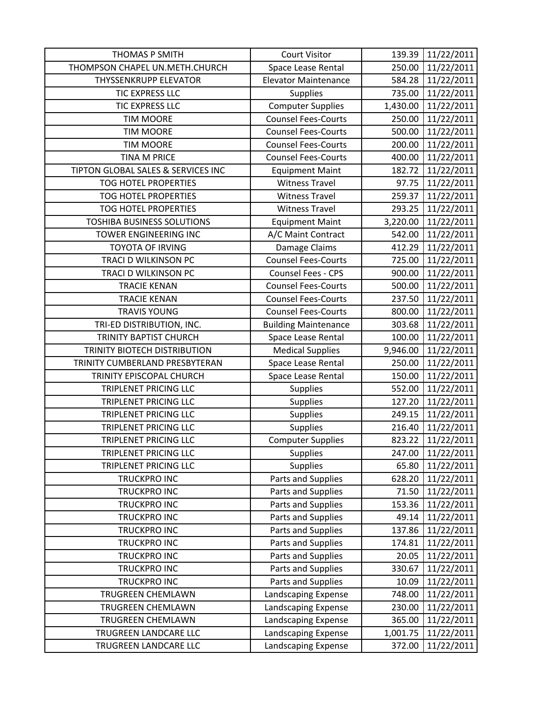| <b>THOMAS P SMITH</b>              | <b>Court Visitor</b>        | 139.39   | 11/22/2011 |
|------------------------------------|-----------------------------|----------|------------|
| THOMPSON CHAPEL UN.METH.CHURCH     | Space Lease Rental          | 250.00   | 11/22/2011 |
| <b>THYSSENKRUPP ELEVATOR</b>       | <b>Elevator Maintenance</b> | 584.28   | 11/22/2011 |
| TIC EXPRESS LLC                    | Supplies                    | 735.00   | 11/22/2011 |
| TIC EXPRESS LLC                    | <b>Computer Supplies</b>    | 1,430.00 | 11/22/2011 |
| <b>TIM MOORE</b>                   | <b>Counsel Fees-Courts</b>  | 250.00   | 11/22/2011 |
| <b>TIM MOORE</b>                   | <b>Counsel Fees-Courts</b>  | 500.00   | 11/22/2011 |
| <b>TIM MOORE</b>                   | <b>Counsel Fees-Courts</b>  | 200.00   | 11/22/2011 |
| <b>TINA M PRICE</b>                | <b>Counsel Fees-Courts</b>  | 400.00   | 11/22/2011 |
| TIPTON GLOBAL SALES & SERVICES INC | <b>Equipment Maint</b>      | 182.72   | 11/22/2011 |
| <b>TOG HOTEL PROPERTIES</b>        | <b>Witness Travel</b>       | 97.75    | 11/22/2011 |
| <b>TOG HOTEL PROPERTIES</b>        | <b>Witness Travel</b>       | 259.37   | 11/22/2011 |
| <b>TOG HOTEL PROPERTIES</b>        | <b>Witness Travel</b>       | 293.25   | 11/22/2011 |
| <b>TOSHIBA BUSINESS SOLUTIONS</b>  | <b>Equipment Maint</b>      | 3,220.00 | 11/22/2011 |
| <b>TOWER ENGINEERING INC</b>       | A/C Maint Contract          | 542.00   | 11/22/2011 |
| <b>TOYOTA OF IRVING</b>            | Damage Claims               | 412.29   | 11/22/2011 |
| TRACI D WILKINSON PC               | <b>Counsel Fees-Courts</b>  | 725.00   | 11/22/2011 |
| TRACI D WILKINSON PC               | Counsel Fees - CPS          | 900.00   | 11/22/2011 |
| <b>TRACIE KENAN</b>                | <b>Counsel Fees-Courts</b>  | 500.00   | 11/22/2011 |
| <b>TRACIE KENAN</b>                | <b>Counsel Fees-Courts</b>  | 237.50   | 11/22/2011 |
| <b>TRAVIS YOUNG</b>                | <b>Counsel Fees-Courts</b>  | 800.00   | 11/22/2011 |
| TRI-ED DISTRIBUTION, INC.          | <b>Building Maintenance</b> | 303.68   | 11/22/2011 |
| TRINITY BAPTIST CHURCH             | Space Lease Rental          | 100.00   | 11/22/2011 |
| TRINITY BIOTECH DISTRIBUTION       | <b>Medical Supplies</b>     | 9,946.00 | 11/22/2011 |
| TRINITY CUMBERLAND PRESBYTERAN     | Space Lease Rental          | 250.00   | 11/22/2011 |
| TRINITY EPISCOPAL CHURCH           | Space Lease Rental          | 150.00   | 11/22/2011 |
| TRIPLENET PRICING LLC              | <b>Supplies</b>             | 552.00   | 11/22/2011 |
| TRIPLENET PRICING LLC              | Supplies                    | 127.20   | 11/22/2011 |
| <b>TRIPLENET PRICING LLC</b>       | Supplies                    | 249.15   | 11/22/2011 |
| TRIPLENET PRICING LLC              | <b>Supplies</b>             | 216.40   | 11/22/2011 |
| TRIPLENET PRICING LLC              | <b>Computer Supplies</b>    | 823.22   | 11/22/2011 |
| TRIPLENET PRICING LLC              | <b>Supplies</b>             | 247.00   | 11/22/2011 |
| TRIPLENET PRICING LLC              | <b>Supplies</b>             | 65.80    | 11/22/2011 |
| <b>TRUCKPRO INC</b>                | Parts and Supplies          | 628.20   | 11/22/2011 |
| TRUCKPRO INC                       | Parts and Supplies          | 71.50    | 11/22/2011 |
| <b>TRUCKPRO INC</b>                | Parts and Supplies          | 153.36   | 11/22/2011 |
| <b>TRUCKPRO INC</b>                | Parts and Supplies          | 49.14    | 11/22/2011 |
| TRUCKPRO INC                       | Parts and Supplies          | 137.86   | 11/22/2011 |
| <b>TRUCKPRO INC</b>                | Parts and Supplies          | 174.81   | 11/22/2011 |
| TRUCKPRO INC                       | Parts and Supplies          | 20.05    | 11/22/2011 |
| <b>TRUCKPRO INC</b>                | Parts and Supplies          | 330.67   | 11/22/2011 |
| <b>TRUCKPRO INC</b>                | Parts and Supplies          | 10.09    | 11/22/2011 |
| <b>TRUGREEN CHEMLAWN</b>           | Landscaping Expense         | 748.00   | 11/22/2011 |
| TRUGREEN CHEMLAWN                  | Landscaping Expense         | 230.00   | 11/22/2011 |
| TRUGREEN CHEMLAWN                  | Landscaping Expense         | 365.00   | 11/22/2011 |
| TRUGREEN LANDCARE LLC              | Landscaping Expense         | 1,001.75 | 11/22/2011 |
| TRUGREEN LANDCARE LLC              | Landscaping Expense         | 372.00   | 11/22/2011 |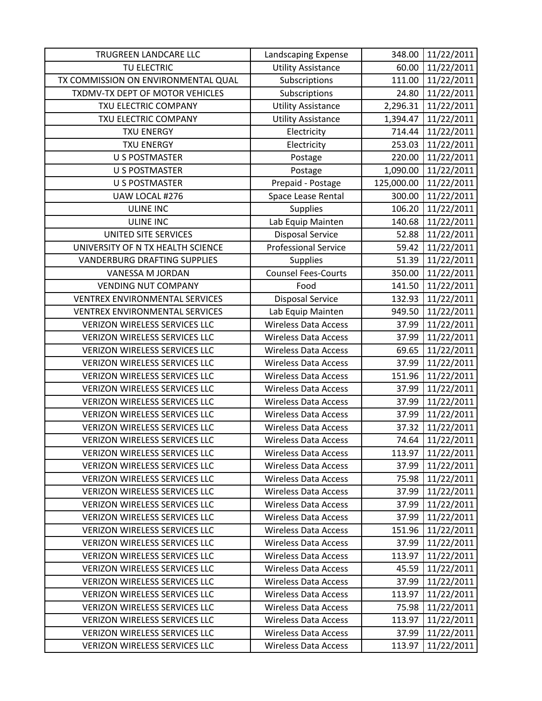| TRUGREEN LANDCARE LLC                 | Landscaping Expense         | 348.00     | 11/22/2011 |
|---------------------------------------|-----------------------------|------------|------------|
| TU ELECTRIC                           | <b>Utility Assistance</b>   | 60.00      | 11/22/2011 |
| TX COMMISSION ON ENVIRONMENTAL QUAL   | Subscriptions               | 111.00     | 11/22/2011 |
| TXDMV-TX DEPT OF MOTOR VEHICLES       | Subscriptions               | 24.80      | 11/22/2011 |
| TXU ELECTRIC COMPANY                  | <b>Utility Assistance</b>   | 2,296.31   | 11/22/2011 |
| TXU ELECTRIC COMPANY                  | <b>Utility Assistance</b>   | 1,394.47   | 11/22/2011 |
| <b>TXU ENERGY</b>                     | Electricity                 | 714.44     | 11/22/2011 |
| <b>TXU ENERGY</b>                     | Electricity                 | 253.03     | 11/22/2011 |
| <b>U S POSTMASTER</b>                 | Postage                     | 220.00     | 11/22/2011 |
| <b>U S POSTMASTER</b>                 | Postage                     | 1,090.00   | 11/22/2011 |
| <b>U S POSTMASTER</b>                 | Prepaid - Postage           | 125,000.00 | 11/22/2011 |
| UAW LOCAL #276                        | Space Lease Rental          | 300.00     | 11/22/2011 |
| <b>ULINE INC</b>                      | <b>Supplies</b>             | 106.20     | 11/22/2011 |
| <b>ULINE INC</b>                      | Lab Equip Mainten           | 140.68     | 11/22/2011 |
| UNITED SITE SERVICES                  | <b>Disposal Service</b>     | 52.88      | 11/22/2011 |
| UNIVERSITY OF N TX HEALTH SCIENCE     | <b>Professional Service</b> | 59.42      | 11/22/2011 |
| <b>VANDERBURG DRAFTING SUPPLIES</b>   | <b>Supplies</b>             | 51.39      | 11/22/2011 |
| VANESSA M JORDAN                      | <b>Counsel Fees-Courts</b>  | 350.00     | 11/22/2011 |
| <b>VENDING NUT COMPANY</b>            | Food                        | 141.50     | 11/22/2011 |
| <b>VENTREX ENVIRONMENTAL SERVICES</b> | <b>Disposal Service</b>     | 132.93     | 11/22/2011 |
| VENTREX ENVIRONMENTAL SERVICES        | Lab Equip Mainten           | 949.50     | 11/22/2011 |
| <b>VERIZON WIRELESS SERVICES LLC</b>  | <b>Wireless Data Access</b> | 37.99      | 11/22/2011 |
| <b>VERIZON WIRELESS SERVICES LLC</b>  | <b>Wireless Data Access</b> | 37.99      | 11/22/2011 |
| <b>VERIZON WIRELESS SERVICES LLC</b>  | <b>Wireless Data Access</b> | 69.65      | 11/22/2011 |
| <b>VERIZON WIRELESS SERVICES LLC</b>  | <b>Wireless Data Access</b> | 37.99      | 11/22/2011 |
| <b>VERIZON WIRELESS SERVICES LLC</b>  | Wireless Data Access        | 151.96     | 11/22/2011 |
| <b>VERIZON WIRELESS SERVICES LLC</b>  | <b>Wireless Data Access</b> | 37.99      | 11/22/2011 |
| <b>VERIZON WIRELESS SERVICES LLC</b>  | <b>Wireless Data Access</b> | 37.99      | 11/22/2011 |
| <b>VERIZON WIRELESS SERVICES LLC</b>  | <b>Wireless Data Access</b> | 37.99      | 11/22/2011 |
| <b>VERIZON WIRELESS SERVICES LLC</b>  | <b>Wireless Data Access</b> | 37.32      | 11/22/2011 |
| <b>VERIZON WIRELESS SERVICES LLC</b>  | <b>Wireless Data Access</b> | 74.64      | 11/22/2011 |
| <b>VERIZON WIRELESS SERVICES LLC</b>  | <b>Wireless Data Access</b> | 113.97     | 11/22/2011 |
| <b>VERIZON WIRELESS SERVICES LLC</b>  | <b>Wireless Data Access</b> | 37.99      | 11/22/2011 |
| <b>VERIZON WIRELESS SERVICES LLC</b>  | <b>Wireless Data Access</b> | 75.98      | 11/22/2011 |
| <b>VERIZON WIRELESS SERVICES LLC</b>  | <b>Wireless Data Access</b> | 37.99      | 11/22/2011 |
| <b>VERIZON WIRELESS SERVICES LLC</b>  | <b>Wireless Data Access</b> | 37.99      | 11/22/2011 |
| <b>VERIZON WIRELESS SERVICES LLC</b>  | <b>Wireless Data Access</b> | 37.99      | 11/22/2011 |
| <b>VERIZON WIRELESS SERVICES LLC</b>  | <b>Wireless Data Access</b> | 151.96     | 11/22/2011 |
| <b>VERIZON WIRELESS SERVICES LLC</b>  | <b>Wireless Data Access</b> | 37.99      | 11/22/2011 |
| VERIZON WIRELESS SERVICES LLC         | <b>Wireless Data Access</b> | 113.97     | 11/22/2011 |
| <b>VERIZON WIRELESS SERVICES LLC</b>  | Wireless Data Access        | 45.59      | 11/22/2011 |
| <b>VERIZON WIRELESS SERVICES LLC</b>  | <b>Wireless Data Access</b> | 37.99      | 11/22/2011 |
| <b>VERIZON WIRELESS SERVICES LLC</b>  | <b>Wireless Data Access</b> | 113.97     | 11/22/2011 |
| <b>VERIZON WIRELESS SERVICES LLC</b>  | <b>Wireless Data Access</b> | 75.98      | 11/22/2011 |
| <b>VERIZON WIRELESS SERVICES LLC</b>  | <b>Wireless Data Access</b> | 113.97     | 11/22/2011 |
| <b>VERIZON WIRELESS SERVICES LLC</b>  | <b>Wireless Data Access</b> | 37.99      | 11/22/2011 |
| VERIZON WIRELESS SERVICES LLC         | <b>Wireless Data Access</b> | 113.97     | 11/22/2011 |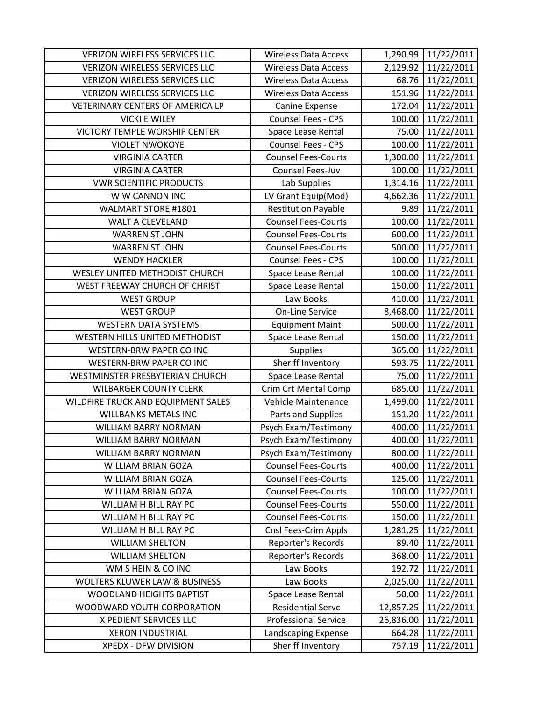| <b>VERIZON WIRELESS SERVICES LLC</b>     | <b>Wireless Data Access</b> | 1,290.99  | 11/22/2011 |
|------------------------------------------|-----------------------------|-----------|------------|
| <b>VERIZON WIRELESS SERVICES LLC</b>     | <b>Wireless Data Access</b> | 2,129.92  | 11/22/2011 |
| <b>VERIZON WIRELESS SERVICES LLC</b>     | <b>Wireless Data Access</b> | 68.76     | 11/22/2011 |
| <b>VERIZON WIRELESS SERVICES LLC</b>     | <b>Wireless Data Access</b> | 151.96    | 11/22/2011 |
| VETERINARY CENTERS OF AMERICA LP         | Canine Expense              | 172.04    | 11/22/2011 |
| <b>VICKI E WILEY</b>                     | Counsel Fees - CPS          | 100.00    | 11/22/2011 |
| VICTORY TEMPLE WORSHIP CENTER            | Space Lease Rental          | 75.00     | 11/22/2011 |
| <b>VIOLET NWOKOYE</b>                    | Counsel Fees - CPS          | 100.00    | 11/22/2011 |
| <b>VIRGINIA CARTER</b>                   | <b>Counsel Fees-Courts</b>  | 1,300.00  | 11/22/2011 |
| <b>VIRGINIA CARTER</b>                   | Counsel Fees-Juv            | 100.00    | 11/22/2011 |
| <b>VWR SCIENTIFIC PRODUCTS</b>           | Lab Supplies                | 1,314.16  | 11/22/2011 |
| W W CANNON INC                           | LV Grant Equip(Mod)         | 4,662.36  | 11/22/2011 |
| <b>WALMART STORE #1801</b>               | <b>Restitution Payable</b>  | 9.89      | 11/22/2011 |
| <b>WALT A CLEVELAND</b>                  | <b>Counsel Fees-Courts</b>  | 100.00    | 11/22/2011 |
| <b>WARREN ST JOHN</b>                    | <b>Counsel Fees-Courts</b>  | 600.00    | 11/22/2011 |
| <b>WARREN ST JOHN</b>                    | <b>Counsel Fees-Courts</b>  | 500.00    | 11/22/2011 |
| <b>WENDY HACKLER</b>                     | <b>Counsel Fees - CPS</b>   | 100.00    | 11/22/2011 |
| WESLEY UNITED METHODIST CHURCH           | Space Lease Rental          | 100.00    | 11/22/2011 |
| WEST FREEWAY CHURCH OF CHRIST            | Space Lease Rental          | 150.00    | 11/22/2011 |
| <b>WEST GROUP</b>                        | Law Books                   | 410.00    | 11/22/2011 |
| <b>WEST GROUP</b>                        | <b>On-Line Service</b>      | 8,468.00  | 11/22/2011 |
| <b>WESTERN DATA SYSTEMS</b>              | <b>Equipment Maint</b>      | 500.00    | 11/22/2011 |
| WESTERN HILLS UNITED METHODIST           | Space Lease Rental          | 150.00    | 11/22/2011 |
| <b>WESTERN-BRW PAPER CO INC</b>          | <b>Supplies</b>             | 365.00    | 11/22/2011 |
| <b>WESTERN-BRW PAPER CO INC</b>          | Sheriff Inventory           | 593.75    | 11/22/2011 |
| WESTMINSTER PRESBYTERIAN CHURCH          | Space Lease Rental          | 75.00     | 11/22/2011 |
| <b>WILBARGER COUNTY CLERK</b>            | <b>Crim Crt Mental Comp</b> | 685.00    | 11/22/2011 |
| WILDFIRE TRUCK AND EQUIPMENT SALES       | Vehicle Maintenance         | 1,499.00  | 11/22/2011 |
| <b>WILLBANKS METALS INC</b>              | Parts and Supplies          | 151.20    | 11/22/2011 |
| <b>WILLIAM BARRY NORMAN</b>              | Psych Exam/Testimony        | 400.00    | 11/22/2011 |
| <b>WILLIAM BARRY NORMAN</b>              | Psych Exam/Testimony        | 400.00    | 11/22/2011 |
| <b>WILLIAM BARRY NORMAN</b>              | Psych Exam/Testimony        | 800.00    | 11/22/2011 |
| WILLIAM BRIAN GOZA                       | <b>Counsel Fees-Courts</b>  | 400.00    | 11/22/2011 |
| <b>WILLIAM BRIAN GOZA</b>                | <b>Counsel Fees-Courts</b>  | 125.00    | 11/22/2011 |
| <b>WILLIAM BRIAN GOZA</b>                | <b>Counsel Fees-Courts</b>  | 100.00    | 11/22/2011 |
| WILLIAM H BILL RAY PC                    | <b>Counsel Fees-Courts</b>  | 550.00    | 11/22/2011 |
| WILLIAM H BILL RAY PC                    | <b>Counsel Fees-Courts</b>  | 150.00    | 11/22/2011 |
| WILLIAM H BILL RAY PC                    | Cnsl Fees-Crim Appls        | 1,281.25  | 11/22/2011 |
| <b>WILLIAM SHELTON</b>                   | Reporter's Records          | 89.40     | 11/22/2011 |
| <b>WILLIAM SHELTON</b>                   | Reporter's Records          | 368.00    | 11/22/2011 |
| WM S HEIN & CO INC                       | Law Books                   | 192.72    | 11/22/2011 |
| <b>WOLTERS KLUWER LAW &amp; BUSINESS</b> | Law Books                   | 2,025.00  | 11/22/2011 |
| <b>WOODLAND HEIGHTS BAPTIST</b>          | Space Lease Rental          | 50.00     | 11/22/2011 |
| WOODWARD YOUTH CORPORATION               | <b>Residential Servc</b>    | 12,857.25 | 11/22/2011 |
| X PEDIENT SERVICES LLC                   | <b>Professional Service</b> | 26,836.00 | 11/22/2011 |
| <b>XERON INDUSTRIAL</b>                  | Landscaping Expense         | 664.28    | 11/22/2011 |
| XPEDX - DFW DIVISION                     | Sheriff Inventory           | 757.19    | 11/22/2011 |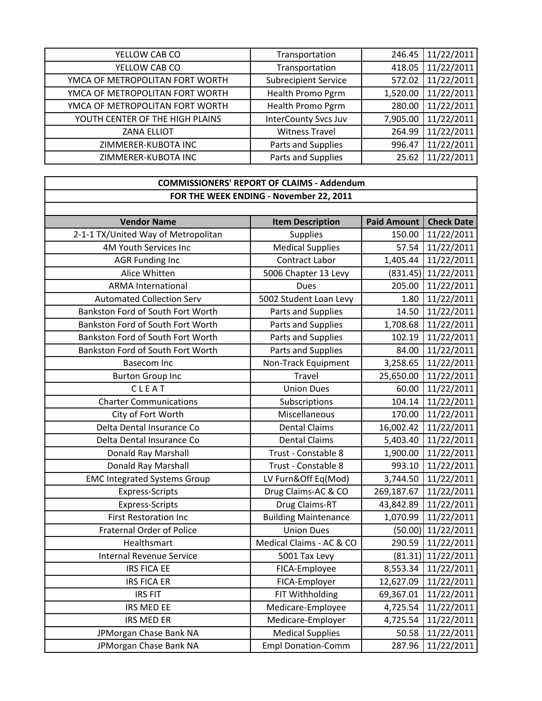| YELLOW CAB CO                   | Transportation              | 246.45   | 11/22/2011 |
|---------------------------------|-----------------------------|----------|------------|
| YELLOW CAB CO                   | Transportation              | 418.05   | 11/22/2011 |
| YMCA OF METROPOLITAN FORT WORTH | <b>Subrecipient Service</b> | 572.02   | 11/22/2011 |
| YMCA OF METROPOLITAN FORT WORTH | Health Promo Pgrm           | 1,520.00 | 11/22/2011 |
| YMCA OF METROPOLITAN FORT WORTH | Health Promo Pgrm           | 280.00   | 11/22/2011 |
| YOUTH CENTER OF THE HIGH PLAINS | <b>InterCounty Svcs Juv</b> | 7,905.00 | 11/22/2011 |
| <b>ZANA ELLIOT</b>              | <b>Witness Travel</b>       | 264.99   | 11/22/2011 |
| ZIMMERER-KUBOTA INC             | Parts and Supplies          | 996.47   | 11/22/2011 |
| ZIMMERER-KUBOTA INC             | Parts and Supplies          | 25.62    | 11/22/2011 |

## **COMMISSIONERS' REPORT OF CLAIMS ‐ Addendum FOR THE WEEK ENDING ‐ November 22, 2011**

| <b>Vendor Name</b>                  | <b>Item Description</b>     | <b>Paid Amount</b> | <b>Check Date</b> |
|-------------------------------------|-----------------------------|--------------------|-------------------|
| 2-1-1 TX/United Way of Metropolitan | Supplies                    | 150.00             | 11/22/2011        |
| 4M Youth Services Inc               | <b>Medical Supplies</b>     | 57.54              | 11/22/2011        |
| <b>AGR Funding Inc</b>              | Contract Labor              | 1,405.44           | 11/22/2011        |
| Alice Whitten                       | 5006 Chapter 13 Levy        | (831.45)           | 11/22/2011        |
| <b>ARMA International</b>           | <b>Dues</b>                 | 205.00             | 11/22/2011        |
| <b>Automated Collection Serv</b>    | 5002 Student Loan Levy      | 1.80               | 11/22/2011        |
| Bankston Ford of South Fort Worth   | Parts and Supplies          | 14.50              | 11/22/2011        |
| Bankston Ford of South Fort Worth   | Parts and Supplies          | 1,708.68           | 11/22/2011        |
| Bankston Ford of South Fort Worth   | Parts and Supplies          | 102.19             | 11/22/2011        |
| Bankston Ford of South Fort Worth   | Parts and Supplies          | 84.00              | 11/22/2011        |
| <b>Basecom Inc</b>                  | Non-Track Equipment         | 3,258.65           | 11/22/2011        |
| <b>Burton Group Inc</b>             | Travel                      | 25,650.00          | 11/22/2011        |
| CLEAT                               | <b>Union Dues</b>           | 60.00              | 11/22/2011        |
| <b>Charter Communications</b>       | Subscriptions               | 104.14             | 11/22/2011        |
| City of Fort Worth                  | Miscellaneous               | 170.00             | 11/22/2011        |
| Delta Dental Insurance Co           | <b>Dental Claims</b>        | 16,002.42          | 11/22/2011        |
| Delta Dental Insurance Co           | <b>Dental Claims</b>        | 5,403.40           | 11/22/2011        |
| Donald Ray Marshall                 | Trust - Constable 8         | 1,900.00           | 11/22/2011        |
| Donald Ray Marshall                 | Trust - Constable 8         | 993.10             | 11/22/2011        |
| <b>EMC Integrated Systems Group</b> | LV Furn&Off Eq(Mod)         | 3,744.50           | 11/22/2011        |
| <b>Express-Scripts</b>              | Drug Claims-AC & CO         | 269,187.67         | 11/22/2011        |
| <b>Express-Scripts</b>              | Drug Claims-RT              | 43,842.89          | 11/22/2011        |
| <b>First Restoration Inc</b>        | <b>Building Maintenance</b> | 1,070.99           | 11/22/2011        |
| <b>Fraternal Order of Police</b>    | <b>Union Dues</b>           | (50.00)            | 11/22/2011        |
| Healthsmart                         | Medical Claims - AC & CO    | 290.59             | 11/22/2011        |
| <b>Internal Revenue Service</b>     | 5001 Tax Levy               | (81.31)            | 11/22/2011        |
| <b>IRS FICA EE</b>                  | FICA-Employee               | 8,553.34           | 11/22/2011        |
| <b>IRS FICA ER</b>                  | FICA-Employer               | 12,627.09          | 11/22/2011        |
| <b>IRS FIT</b>                      | FIT Withholding             | 69,367.01          | 11/22/2011        |
| IRS MED EE                          | Medicare-Employee           | 4,725.54           | 11/22/2011        |
| <b>IRS MED ER</b>                   | Medicare-Employer           | 4,725.54           | 11/22/2011        |
| JPMorgan Chase Bank NA              | <b>Medical Supplies</b>     | 50.58              | 11/22/2011        |
| JPMorgan Chase Bank NA              | <b>Empl Donation-Comm</b>   | 287.96             | 11/22/2011        |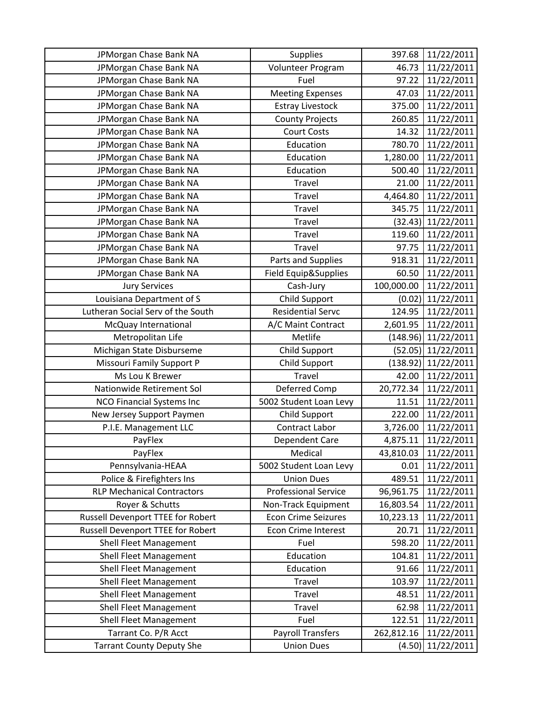| JPMorgan Chase Bank NA            | <b>Supplies</b>             | 397.68     | 11/22/2011 |
|-----------------------------------|-----------------------------|------------|------------|
| JPMorgan Chase Bank NA            | Volunteer Program           | 46.73      | 11/22/2011 |
| JPMorgan Chase Bank NA            | Fuel                        | 97.22      | 11/22/2011 |
| JPMorgan Chase Bank NA            | <b>Meeting Expenses</b>     | 47.03      | 11/22/2011 |
| JPMorgan Chase Bank NA            | <b>Estray Livestock</b>     | 375.00     | 11/22/2011 |
| JPMorgan Chase Bank NA            | <b>County Projects</b>      | 260.85     | 11/22/2011 |
| JPMorgan Chase Bank NA            | <b>Court Costs</b>          | 14.32      | 11/22/2011 |
| JPMorgan Chase Bank NA            | Education                   | 780.70     | 11/22/2011 |
| JPMorgan Chase Bank NA            | Education                   | 1,280.00   | 11/22/2011 |
| JPMorgan Chase Bank NA            | Education                   | 500.40     | 11/22/2011 |
| JPMorgan Chase Bank NA            | Travel                      | 21.00      | 11/22/2011 |
| JPMorgan Chase Bank NA            | <b>Travel</b>               | 4,464.80   | 11/22/2011 |
| JPMorgan Chase Bank NA            | Travel                      | 345.75     | 11/22/2011 |
| JPMorgan Chase Bank NA            | Travel                      | (32.43)    | 11/22/2011 |
| JPMorgan Chase Bank NA            | <b>Travel</b>               | 119.60     | 11/22/2011 |
| JPMorgan Chase Bank NA            | <b>Travel</b>               | 97.75      | 11/22/2011 |
| JPMorgan Chase Bank NA            | Parts and Supplies          | 918.31     | 11/22/2011 |
| JPMorgan Chase Bank NA            | Field Equip&Supplies        | 60.50      | 11/22/2011 |
| <b>Jury Services</b>              | Cash-Jury                   | 100,000.00 | 11/22/2011 |
| Louisiana Department of S         | <b>Child Support</b>        | (0.02)     | 11/22/2011 |
| Lutheran Social Serv of the South | <b>Residential Servc</b>    | 124.95     | 11/22/2011 |
| McQuay International              | A/C Maint Contract          | 2,601.95   | 11/22/2011 |
| Metropolitan Life                 | Metlife                     | (148.96)   | 11/22/2011 |
| Michigan State Disburseme         | Child Support               | (52.05)    | 11/22/2011 |
| <b>Missouri Family Support P</b>  | Child Support               | (138.92)   | 11/22/2011 |
| Ms Lou K Brewer                   | Travel                      | 42.00      | 11/22/2011 |
| Nationwide Retirement Sol         | Deferred Comp               | 20,772.34  | 11/22/2011 |
| <b>NCO Financial Systems Inc</b>  | 5002 Student Loan Levy      | 11.51      | 11/22/2011 |
| New Jersey Support Paymen         | Child Support               | 222.00     | 11/22/2011 |
| P.I.E. Management LLC             | Contract Labor              | 3,726.00   | 11/22/2011 |
| PayFlex                           | Dependent Care              | 4,875.11   | 11/22/2011 |
| PayFlex                           | Medical                     | 43,810.03  | 11/22/2011 |
| Pennsylvania-HEAA                 | 5002 Student Loan Levy      | 0.01       | 11/22/2011 |
| Police & Firefighters Ins         | <b>Union Dues</b>           | 489.51     | 11/22/2011 |
| <b>RLP Mechanical Contractors</b> | <b>Professional Service</b> | 96,961.75  | 11/22/2011 |
| Royer & Schutts                   | Non-Track Equipment         | 16,803.54  | 11/22/2011 |
| Russell Devenport TTEE for Robert | <b>Econ Crime Seizures</b>  | 10,223.13  | 11/22/2011 |
| Russell Devenport TTEE for Robert | <b>Econ Crime Interest</b>  | 20.71      | 11/22/2011 |
| Shell Fleet Management            | Fuel                        | 598.20     | 11/22/2011 |
| <b>Shell Fleet Management</b>     | Education                   | 104.81     | 11/22/2011 |
| <b>Shell Fleet Management</b>     | Education                   | 91.66      | 11/22/2011 |
| <b>Shell Fleet Management</b>     | <b>Travel</b>               | 103.97     | 11/22/2011 |
| <b>Shell Fleet Management</b>     | <b>Travel</b>               | 48.51      | 11/22/2011 |
| <b>Shell Fleet Management</b>     | Travel                      | 62.98      | 11/22/2011 |
| <b>Shell Fleet Management</b>     | Fuel                        | 122.51     | 11/22/2011 |
| Tarrant Co. P/R Acct              | <b>Payroll Transfers</b>    | 262,812.16 | 11/22/2011 |
| <b>Tarrant County Deputy She</b>  | <b>Union Dues</b>           | (4.50)     | 11/22/2011 |